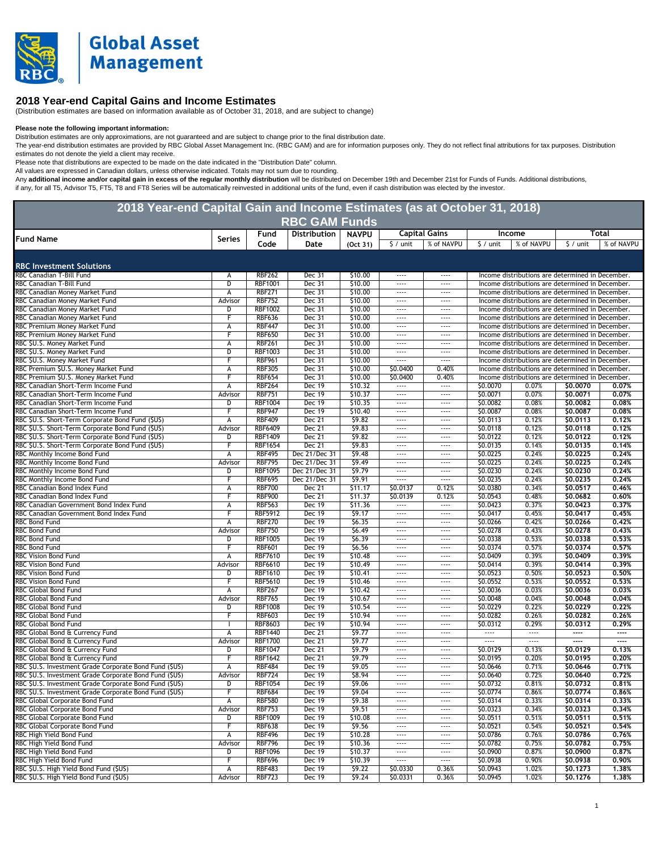

## **2018 Year-end Capital Gains and Income Estimates**

(Distribution estimates are based on information available as of October 31, 2018, and are subject to change)

**Please note the following important information:**<br>Distribution estimates are only approximations, are not guaranteed and are subject to change prior to the final distribution date.

The year-end distribution estimates are provided by RBC Global Asset Management Inc. (RBC GAM) and are for information purposes only. They do not reflect final attributions for tax purposes. Distribution estimates do not denote the yield a client may receive.

Please note that distributions are expected to be made on the date indicated in the "Distribution Date" column.

All values are expressed in Canadian dollars, unless otherwise indicated. Totals may not sum due to rounding.

Any **additional income and/or capital gain in excess of the regular monthly distribution** will be distributiod on December 19th and December 21st for Funds of Funds. Additional distributions, if any, for all T5, Advisor T5, FT5, T8 and FT8 Series will be automatically reinvested in additional units of the fund, even if cash distribution was elected by the investor.

| 2018 Year-end Capital Gain and Income Estimates (as at October 31, 2018)<br><b>RBC GAM Funds</b> |               |                |               |              |                      |                          |                      |            |                                                  |            |  |
|--------------------------------------------------------------------------------------------------|---------------|----------------|---------------|--------------|----------------------|--------------------------|----------------------|------------|--------------------------------------------------|------------|--|
|                                                                                                  |               | Fund           | Distribution  | <b>NAVPU</b> |                      | <b>Capital Gains</b>     |                      | Income     |                                                  | Total      |  |
| <b>Fund Name</b>                                                                                 | <b>Series</b> | Code           | Date          | (Oct 31)     | $\frac{1}{2}$ / unit | % of NAVPU               | $\frac{1}{2}$ / unit | % of NAVPU | $\frac{1}{2}$ / unit                             | % of NAVPU |  |
|                                                                                                  |               |                |               |              |                      |                          |                      |            |                                                  |            |  |
| <b>RBC Investment Solutions</b>                                                                  |               |                |               |              |                      |                          |                      |            |                                                  |            |  |
| RBC Canadian T-Bill Fund                                                                         | А             | <b>RBF262</b>  | Dec 31        | \$10.00      | ----                 | $---$                    |                      |            | Income distributions are determined in December. |            |  |
| RBC Canadian T-Bill Fund                                                                         | D             | <b>RBF1001</b> | Dec 31        | \$10.00      |                      | $\cdots$                 |                      |            | Income distributions are determined in December. |            |  |
| RBC Canadian Money Market Fund                                                                   | А             | <b>RBF271</b>  | Dec 31        | \$10.00      |                      | $\cdots$                 |                      |            | Income distributions are determined in December. |            |  |
| RBC Canadian Money Market Fund                                                                   | Advisor       | <b>RBF752</b>  | Dec 31        | \$10.00      | $- - - -$            | $- - - -$                |                      |            | Income distributions are determined in December. |            |  |
| RBC Canadian Money Market Fund                                                                   | D             | <b>RBF1002</b> | Dec 31        | \$10.00      | $\cdots$             | $\cdots$                 |                      |            | Income distributions are determined in December. |            |  |
| RBC Canadian Money Market Fund                                                                   | F             | <b>RBF636</b>  | Dec 31        | \$10.00      | $\cdots$             | $\cdots$                 |                      |            | Income distributions are determined in December. |            |  |
| RBC Premium Money Market Fund                                                                    | А             | <b>RBF447</b>  | Dec 31        | \$10.00      | $---$                | $\cdots$                 |                      |            | Income distributions are determined in December. |            |  |
| RBC Premium Money Market Fund                                                                    |               | <b>RBF650</b>  | Dec 31        | \$10.00      | $\cdots$             | $\cdots$                 |                      |            | Income distributions are determined in December. |            |  |
| RBC \$U.S. Money Market Fund                                                                     | А             | <b>RBF261</b>  | Dec 31        | \$10.00      | $\cdots$             | $\cdots$                 |                      |            | Income distributions are determined in December. |            |  |
| RBC \$U.S. Money Market Fund                                                                     | D             | <b>RBF1003</b> | <b>Dec 31</b> | \$10.00      | $\cdots$             | $\cdots$                 |                      |            | Income distributions are determined in December. |            |  |
| RBC \$U.S. Money Market Fund                                                                     |               | <b>RBF961</b>  | Dec 31        | \$10.00      | $\cdots$             | $1 - 1 - 1 = 1$          |                      |            | Income distributions are determined in December. |            |  |
| RBC Premium \$U.S. Money Market Fund                                                             | А             | <b>RBF305</b>  | Dec 31        | \$10.00      | \$0.0400             | 0.40%                    |                      |            | Income distributions are determined in December. |            |  |
| RBC Premium \$U.S. Money Market Fund                                                             | F             | <b>RBF654</b>  | Dec 31        | \$10.00      | \$0.0400             | 0.40%                    |                      |            | Income distributions are determined in December. |            |  |
| RBC Canadian Short-Term Income Fund                                                              | А             | <b>RBF264</b>  | Dec 19        | \$10.32      |                      | $\overline{\phantom{a}}$ | \$0.0070             | 0.07%      | \$0,0070                                         | 0.07%      |  |
| RBC Canadian Short-Term Income Fund                                                              | Advisor       | <b>RBF751</b>  | <b>Dec 19</b> | \$10.37      | $\cdots$             | $\cdots$                 | \$0.0071             | 0.07%      | \$0.0071                                         | 0.07%      |  |
| RBC Canadian Short-Term Income Fund                                                              | D             | <b>RBF1004</b> | Dec 19        | \$10.35      |                      | $\cdots$                 | \$0.0082             | 0.08%      | \$0,0082                                         | 0.08%      |  |
| RBC Canadian Short-Term Income Fund                                                              | F             | <b>RBF947</b>  | Dec 19        | \$10.40      |                      | $\cdots$                 | \$0.0087             | 0.08%      | \$0.0087                                         | 0.08%      |  |
| RBC \$U.S. Short-Term Corporate Bond Fund (\$US)                                                 | А             | <b>RBF409</b>  | Dec 21        | \$9.82       | $\cdots$             | $---$                    | \$0.0113             | 0.12%      | \$0.0113                                         | 0.12%      |  |
| RBC \$U.S. Short-Term Corporate Bond Fund (\$US)                                                 | Advisor       | <b>RBF6409</b> | Dec 21        | 59.83        | $\cdots$             | $\cdots$                 | \$0.0118             | 0.12%      | \$0.0118                                         | 0.12%      |  |
| RBC \$U.S. Short-Term Corporate Bond Fund (\$US)                                                 | D             | <b>RBF1409</b> | Dec 21        | \$9.82       | $\cdots$             | $---$                    | \$0.0122             | 0.12%      | 50.0122                                          | 0.12%      |  |
| RBC \$U.S. Short-Term Corporate Bond Fund (\$US)                                                 | F             | <b>RBF1654</b> | Dec 21        | 59.83        |                      | $\cdots$                 | \$0.0135             | 0.14%      | \$0,0135                                         | 0.14%      |  |
| RBC Monthly Income Bond Fund                                                                     | А             | <b>RBF495</b>  | Dec 21/Dec 31 | 59.48        | $\cdots$             | $\sim$ $\sim$ $\sim$     | \$0.0225             | 0.24%      | \$0.0225                                         | 0.24%      |  |
| RBC Monthly Income Bond Fund                                                                     | Advisor       | <b>RBF795</b>  | Dec 21/Dec 31 | 59.49        | $\cdots$             | $\cdots$                 | \$0.0225             | 0.24%      | \$0.0225                                         | 0.24%      |  |
| RBC Monthly Income Bond Fund                                                                     | D             | <b>RBF1095</b> | Dec 21/Dec 31 | \$9.79       |                      | $\cdots$                 | \$0.0230             | 0.24%      | \$0,0230                                         | 0.24%      |  |
| RBC Monthly Income Bond Fund                                                                     | F             | <b>RBF695</b>  | Dec 21/Dec 31 | \$9.91       |                      | $\cdots$                 | \$0.0235             | 0.24%      | \$0.0235                                         | 0.24%      |  |
| RBC Canadian Bond Index Fund                                                                     | А             | <b>RBF700</b>  | Dec 21        | \$11.17      | \$0.0137             | 0.12%                    | \$0.0380             | 0.34%      | \$0.0517                                         | 0.46%      |  |
| RBC Canadian Bond Index Fund                                                                     |               | <b>RBF900</b>  | Dec 21        | \$11.37      | \$0.0139             | 0.12%                    | \$0.0543             | 0.48%      | \$0,0682                                         | 0.60%      |  |
| RBC Canadian Government Bond Index Fund                                                          | А             | <b>RBF563</b>  | <b>Dec 19</b> | \$11.36      |                      | $\cdots$                 | \$0.0423             | 0.37%      | \$0.0423                                         | 0.37%      |  |
| RBC Canadian Government Bond Index Fund                                                          | F             | <b>RBF5912</b> | Dec 19        | 59.17        | $\cdots$             | $\sim$                   | \$0.0417             | 0.45%      | \$0,0417                                         | 0.45%      |  |
| <b>RBC Bond Fund</b>                                                                             | А             | <b>RBF270</b>  | Dec 19        | 56.35        | ----                 | $\cdots$                 | \$0.0266             | 0.42%      | \$0,0266                                         | 0.42%      |  |
| RBC Bond Fund                                                                                    | Advisor       | <b>RBF750</b>  | <b>Dec 19</b> | 56.49        |                      | $\cdots$                 | \$0.0278             | 0.43%      | \$0.0278                                         | 0.43%      |  |
| <b>RBC Bond Fund</b>                                                                             | D             | <b>RBF1005</b> | <b>Dec 19</b> | \$6.39       | $\cdots$             | $\cdots$                 | \$0.0338             | 0.53%      | \$0.0338                                         | 0.53%      |  |
| <b>RBC Bond Fund</b>                                                                             |               | <b>RBF601</b>  | Dec 19        | \$6.56       | ----                 | $---$                    | \$0.0374             | 0.57%      | \$0.0374                                         | 0.57%      |  |
| RBC Vision Bond Fund                                                                             | A             | <b>RBF7610</b> | Dec 19        | \$10.48      | $---$                | $\cdots$                 | \$0.0409             | 0.39%      | \$0.0409                                         | 0.39%      |  |
| RBC Vision Bond Fund                                                                             | Advisor       | <b>RBF6610</b> | <b>Dec 19</b> | \$10.49      | $\cdots$             | $---$                    | \$0.0414             | 0.39%      | \$0.0414                                         | 0.39%      |  |
| <b>RBC Vision Bond Fund</b>                                                                      | D             | <b>RBF1610</b> | Dec 19        | \$10.41      | $---$                | $\cdots$                 | \$0.0523             | 0.50%      | \$0.0523                                         | 0,50%      |  |
| <b>RBC Vision Bond Fund</b>                                                                      | F             | <b>RBF5610</b> | <b>Dec 19</b> | \$10.46      | $\cdots$             | $\cdots$                 | \$0.0552             | 0.53%      | \$0.0552                                         | 0.53%      |  |
| RBC Global Bond Fund                                                                             | А             | <b>RBF267</b>  | <b>Dec 19</b> | \$10.42      | ----                 | $---$                    | \$0.0036             | 0.03%      | 50,0036                                          | 0.03%      |  |
| RBC Global Bond Fund                                                                             | Advisor       | <b>RBF765</b>  | Dec 19        | \$10.67      | $\cdots$             | $\cdots$                 | \$0.0048             | 0.04%      | \$0,0048                                         | 0.04%      |  |
| RBC Global Bond Fund                                                                             | D             | <b>RBF1008</b> | <b>Dec 19</b> | \$10.54      | $\cdots$             | $\cdots$                 | \$0.0229             | 0.22%      | \$0.0229                                         | 0.22%      |  |
| RBC Global Bond Fund                                                                             | F             | <b>RBF603</b>  | Dec 19        | \$10.94      | ----                 | $\cdots$                 | \$0.0282             | 0.26%      | \$0.0282                                         | 0.26%      |  |
| RBC Global Bond Fund                                                                             |               | <b>RBF8603</b> | Dec 19        | \$10.94      |                      | $\cdots$                 | \$0.0312             | 0.29%      | \$0.0312                                         | 0.29%      |  |
| RBC Global Bond & Currency Fund                                                                  | А             | <b>RBF1440</b> | Dec 21        | 59.77        | $\cdots$             | $\cdots$                 | $\cdots$             | $\cdots$   | ----                                             | ----       |  |
| RBC Global Bond & Currency Fund                                                                  | Advisor       | <b>RBF1700</b> | Dec 21        | \$9.77       | $\cdots$             | $\cdots$                 |                      | $\cdots$   | $\overline{}$                                    | $---$      |  |
| RBC Global Bond & Currency Fund                                                                  | D             | <b>RBF1047</b> | Dec 21        | 59.79        |                      | $\cdots$                 | \$0.0129             | 0.13%      | \$0.0129                                         | 0.13%      |  |
| RBC Global Bond & Currency Fund                                                                  | F             | <b>RBF1642</b> | Dec 21        | 59.79        |                      | $\cdots$                 | \$0.0195             | 0.20%      | \$0,0195                                         | 0.20%      |  |
| RBC \$U.S. Investment Grade Corporate Bond Fund (\$US)                                           |               | <b>RBF484</b>  | Dec 19        | 59.05        | $\cdots$             | $- - -$                  | \$0.0646             | 0.71%      | \$0.0646                                         | 0.71%      |  |
|                                                                                                  | А             |                |               |              |                      |                          |                      |            |                                                  |            |  |
| RBC \$U.S. Investment Grade Corporate Bond Fund (\$US)                                           | Advisor       | <b>RBF724</b>  | <b>Dec 19</b> | \$8.94       |                      | $\cdots$                 | \$0.0640             | 0.72%      | \$0.0640                                         | 0.72%      |  |
| RBC \$U.S. Investment Grade Corporate Bond Fund (\$US)                                           | D             | RBF1054        | Dec 19        | \$9.06       | ----                 | $\cdots$                 | \$0.0732             | 0.81%      | \$0.0732                                         | 0.81%      |  |
| RBC \$U.S. Investment Grade Corporate Bond Fund (\$US)                                           | F             | <b>RBF684</b>  | Dec 19        | \$9.04       | $\cdots$             | $\cdots$                 | \$0.0774             | 0.86%      | \$0.0774                                         | 0.86%      |  |
| <b>RBC Global Corporate Bond Fund</b>                                                            | A             | <b>RBF580</b>  | Dec 19        | \$9.38       | $\cdots$             | $\cdots$                 | \$0.0314             | 0.33%      | \$0.0314                                         | 0.33%      |  |
| RBC Global Corporate Bond Fund                                                                   | Advisor       | <b>RBF753</b>  | Dec 19        | \$9.51       |                      | $\cdots$                 | \$0.0323             | 0.34%      | \$0.0323                                         | 0.34%      |  |
| <b>RBC Global Corporate Bond Fund</b>                                                            | D             | <b>RBF1009</b> | <b>Dec 19</b> | \$10.08      | $\cdots$             | $\cdots$                 | \$0.0511             | 0.51%      | \$0.0511                                         | 0.51%      |  |
| RBC Global Corporate Bond Fund                                                                   | F             | <b>RBF638</b>  | <b>Dec 19</b> | 59.56        | $---$                | $\cdots$                 | \$0.0521             | 0.54%      | \$0.0521                                         | 0.54%      |  |
| RBC High Yield Bond Fund                                                                         | A             | <b>RBF496</b>  | Dec 19        | \$10.28      | ----                 | $\cdots$                 | \$0.0786             | 0.76%      | \$0.0786                                         | 0.76%      |  |
| RBC High Yield Bond Fund                                                                         | Advisor       | <b>RBF796</b>  | <b>Dec 19</b> | \$10.36      |                      | $\cdots$                 | \$0.0782             | 0.75%      | \$0.0782                                         | 0.75%      |  |
| RBC High Yield Bond Fund                                                                         | D             | <b>RBF1096</b> | Dec 19        | \$10.37      | $\cdots$             | $\cdots$                 | \$0.0900             | 0.87%      | \$0.0900                                         | 0.87%      |  |
| RBC High Yield Bond Fund                                                                         | F             | <b>RBF696</b>  | Dec 19        | \$10.39      |                      | $\cdots$                 | \$0.0938             | 0.90%      | \$0.0938                                         | 0,90%      |  |
| RBC \$U.S. High Yield Bond Fund (\$US)                                                           | А             | <b>RBF483</b>  | <b>Dec 19</b> | \$9.22       | \$0.0330             | 0.36%                    | \$0.0943             | 1.02%      | \$0.1273                                         | 1.38%      |  |
| RBC \$U.S. High Yield Bond Fund (\$US)                                                           | Advisor       | <b>RBF723</b>  | Dec 19        | \$9.24       | \$0.0331             | 0.36%                    | \$0.0945             | 1.02%      | \$0,1276                                         | 1.38%      |  |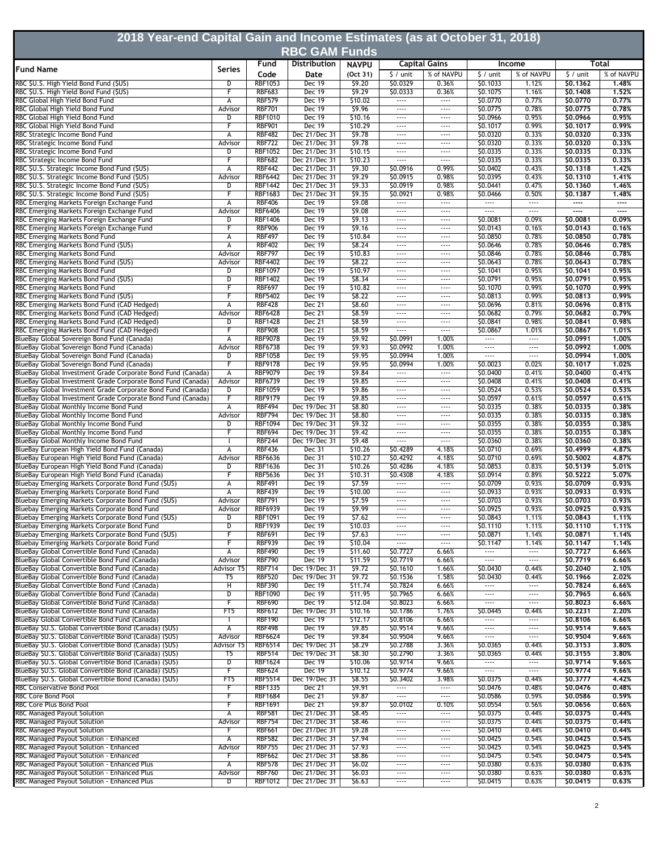| 2018 Year-end Capital Gain and Income Estimates (as at October 31, 2018)<br><b>RBC GAM Funds</b>                             |                                    |                                  |                                |                          |                      |                          |                              |                                      |                      |                          |  |
|------------------------------------------------------------------------------------------------------------------------------|------------------------------------|----------------------------------|--------------------------------|--------------------------|----------------------|--------------------------|------------------------------|--------------------------------------|----------------------|--------------------------|--|
|                                                                                                                              |                                    |                                  | <b>Distribution</b>            |                          |                      | <b>Capital Gains</b>     | Income                       |                                      |                      | Total                    |  |
| <b>Fund Name</b>                                                                                                             | Series                             | Fund<br>Code                     | Date                           | <b>NAVPU</b><br>(Oct 31) | $$/$ unit            | % of NAVPU               | $\frac{1}{2}$ / unit         | % of NAVPU                           | $\frac{1}{2}$ / unit | % of NAVPU               |  |
| RBC \$U.S. High Yield Bond Fund (\$US)                                                                                       | D                                  | <b>RBF1053</b>                   | <b>Dec 19</b>                  | \$9.20                   | \$0.0329             | 0.36%                    | \$0.1033                     | 1.12%                                | \$0.1362             | 1.48%                    |  |
| RBC \$U.S. High Yield Bond Fund (\$US)                                                                                       | F                                  | <b>RBF683</b>                    | Dec 19                         | 59.29                    | \$0.0333             | 0.36%                    | \$0.1075                     | 1.16%                                | \$0.1408             | 1.52%                    |  |
| RBC Global High Yield Bond Fund<br>RBC Global High Yield Bond Fund                                                           | А<br>Advisor                       | <b>RBF579</b><br><b>RBF701</b>   | Dec 19<br>Dec 19               | \$10.02<br>\$9.96        | $\cdots$<br>$\cdots$ | $\cdots$<br>             | \$0.0770<br>\$0.0775         | 0.77%<br>0.78%                       | \$0.0770<br>\$0.0775 | 0.77%<br>0.78%           |  |
| RBC Global High Yield Bond Fund                                                                                              | D                                  | <b>RBF1010</b>                   | <b>Dec 19</b>                  | \$10.16                  | $\cdots$             | $\cdots$                 | \$0.0966                     | 0.95%                                | \$0,0966             | 0.95%                    |  |
| RBC Global High Yield Bond Fund                                                                                              | F                                  | <b>RBF901</b>                    | <b>Dec 19</b>                  | \$10.29                  | $---$                | $\cdots$                 | \$0.1017                     | 0.99%                                | 50.1017              | 0.99%                    |  |
| RBC Strategic Income Bond Fund                                                                                               | А                                  | <b>RBF482</b>                    | Dec 21/Dec 31                  | \$9.78                   | $\cdots$             |                          | \$0.0320                     | 0.33%                                | \$0,0320             | 0.33%                    |  |
| RBC Strategic Income Bond Fund<br>RBC Strategic Income Bond Fund                                                             | Advisor<br>D                       | <b>RBF722</b><br><b>RBF1052</b>  | Dec 21/Dec 31<br>Dec 21/Dec 31 | \$9.78<br>\$10.15        | $\cdots$<br>$---$    | $\cdots$<br>$\cdots$     | \$0.0320<br>\$0.0335         | 0.33%<br>0.33%                       | \$0.0320<br>\$0.0335 | 0.33%<br>0.33%           |  |
| RBC Strategic Income Bond Fund                                                                                               | F                                  | <b>RBF682</b>                    | Dec 21/Dec 31                  | \$10.23                  | $\cdots$             | $\cdots$                 | \$0.0335                     | 0.33%                                | \$0.0335             | 0.33%                    |  |
| RBC \$U.S. Strategic Income Bond Fund (\$US)                                                                                 | А                                  | <b>RBF442</b>                    | Dec 21/Dec 31                  | \$9.30                   | \$0.0916             | 0.99%                    | \$0.0402                     | 0.43%                                | \$0.1318             | 1.42%                    |  |
| RBC \$U.S. Strategic Income Bond Fund (\$US)                                                                                 | Advisor                            | <b>RBF6442</b>                   | Dec 21/Dec 31                  | 59.29                    | \$0.0915             | 0.98%                    | \$0.0395                     | 0.43%                                | \$0.1310             | 1.41%                    |  |
| RBC \$U.S. Strategic Income Bond Fund (\$US)<br>RBC \$U.S. Strategic Income Bond Fund (\$US)                                 | D<br>F                             | <b>RBF1442</b><br><b>RBF1683</b> | Dec 21/Dec 31<br>Dec 21/Dec 31 | 59.33<br>\$9.35          | \$0.0919<br>\$0.0921 | 0.98%<br>0.98%           | \$0.0441<br>\$0.0466         | 0.47%<br>0.50%                       | \$0.1360<br>\$0.1387 | 1.46%<br>1.48%           |  |
| RBC Emerging Markets Foreign Exchange Fund                                                                                   | А                                  | <b>RBF406</b>                    | <b>Dec 19</b>                  | 59.08                    | 1.11                 | $\overline{\phantom{a}}$ |                              | $\overline{\phantom{a}}$             | ----                 | $\overline{\phantom{a}}$ |  |
| RBC Emerging Markets Foreign Exchange Fund                                                                                   | Advisor                            | <b>RBF6406</b>                   | Dec 19                         | \$9.08                   | $\cdots$             | $\cdots$                 | $\cdots$                     | $\overline{\phantom{a}}$             | ----                 | $---$                    |  |
| RBC Emerging Markets Foreign Exchange Fund<br>RBC Emerging Markets Foreign Exchange Fund                                     | D<br>F                             | <b>RBF1406</b><br><b>RBF906</b>  | Dec 19<br>Dec 19               | 59.13<br>\$9.16          | $\cdots$<br>$\cdots$ | $---$<br>$\cdots$        | \$0.0081<br>\$0.0143         | 0.09%<br>0.16%                       | \$0,0081<br>\$0.0143 | 0.09%<br>0.16%           |  |
| RBC Emerging Markets Bond Fund                                                                                               | А                                  | <b>RBF497</b>                    | Dec 19                         | \$10.84                  | $\cdots$             | $\cdots$                 | \$0.0850                     | 0.78%                                | \$0.0850             | 0.78%                    |  |
| RBC Emerging Markets Bond Fund (\$US)                                                                                        | A                                  | <b>RBF402</b>                    | Dec 19                         | \$8.24                   | $\cdots$             | $\cdots$                 | \$0.0646                     | 0.78%                                | \$0.0646             | 0.78%                    |  |
| RBC Emerging Markets Bond Fund                                                                                               | Advisor                            | <b>RBF797</b>                    | <b>Dec 19</b>                  | \$10.83                  | $\cdots$             | $\cdots$                 | \$0.0846                     | 0.78%                                | \$0.0846             | 0.78%                    |  |
| RBC Emerging Markets Bond Fund (\$US)<br>RBC Emerging Markets Bond Fund                                                      | Advisor<br>D                       | <b>RBF4402</b><br><b>RBF1097</b> | <b>Dec 19</b><br><b>Dec 19</b> | \$8.22<br>\$10.97        | $\cdots$<br>$\cdots$ | $\cdots$<br>$\cdots$     | \$0.0643<br>\$0.1041         | 0.78%<br>0.95%                       | \$0.0643<br>\$0.1041 | 0.78%<br>0.95%           |  |
| RBC Emerging Markets Bond Fund (\$US)                                                                                        | $\overline{\mathtt{D}}$            | <b>RBF1402</b>                   | <b>Dec 19</b>                  | 58.34                    | $\cdots$             | $---$                    | \$0.0791                     | 0.95%                                | \$0,0791             | 0.95%                    |  |
| RBC Emerging Markets Bond Fund                                                                                               | F                                  | <b>RBF697</b>                    | <b>Dec 19</b>                  | \$10.82                  | $\cdots$             | $\cdots$                 | \$0.1070                     | 0.99%                                | \$0.1070             | 0.99%                    |  |
| RBC Emerging Markets Bond Fund (\$US)                                                                                        | F                                  | <b>RBF5402</b>                   | Dec 19                         | \$8.22                   | $\cdots$             | $\cdots$                 | \$0.0813                     | 0.99%                                | \$0.0813             | 0.99%                    |  |
| RBC Emerging Markets Bond Fund (CAD Hedged)<br>RBC Emerging Markets Bond Fund (CAD Hedged)                                   | A<br>Advisor                       | <b>RBF428</b><br><b>RBF6428</b>  | <b>Dec 21</b><br>Dec 21        | \$8.60<br>\$8.59         | $\cdots$<br>$\cdots$ | $---$<br>$\cdots$        | \$0.0696<br>\$0.0682         | 0.81%<br>0.79%                       | \$0.0696<br>\$0.0682 | 0.81%<br>0.79%           |  |
| RBC Emerging Markets Bond Fund (CAD Hedged)                                                                                  | D                                  | <b>RBF1428</b>                   | <b>Dec 21</b>                  | \$8.59                   | $\cdots$             | $\cdots$                 | \$0.0841                     | 0.98%                                | \$0.0841             | 0.98%                    |  |
| RBC Emerging Markets Bond Fund (CAD Hedged)                                                                                  | F                                  | <b>RBF908</b>                    | Dec 21                         | \$8.59                   | $\cdots$             | $\cdots$                 | \$0.0867                     | 1.01%                                | \$0,0867             | 1.01%                    |  |
| BlueBay Global Sovereign Bond Fund (Canada)                                                                                  | А                                  | <b>RBF9078</b>                   | <b>Dec 19</b>                  | 59.92                    | \$0.0991             | 1.00%                    | $\overline{\phantom{a}}$     | $\overline{\phantom{a}}$             | \$0.0991             | 1.00%                    |  |
| BlueBay Global Sovereign Bond Fund (Canada)<br>BlueBay Global Sovereign Bond Fund (Canada)                                   | Advisor<br>D                       | <b>RBF6738</b><br><b>RBF1058</b> | Dec 19<br><b>Dec 19</b>        | 59.93<br>\$9.95          | \$0.0992<br>\$0.0994 | 1.00%<br>1.00%           | <br>$\cdots$                 | $\cdots$<br>$\cdots$                 | \$0,0992<br>\$0.0994 | 1.00%<br>1.00%           |  |
| BlueBay Global Sovereign Bond Fund (Canada)                                                                                  | F                                  | <b>RBF9178</b>                   | Dec 19                         | \$9.95                   | \$0.0994             | 1.00%                    | \$0.0023                     | 0.02%                                | \$0,1017             | 1.02%                    |  |
| BlueBay Global Investment Grade Corporate Bond Fund (Canada)                                                                 | А                                  | <b>RBF9079</b>                   | Dec 19                         | \$9.84                   |                      |                          | \$0.0400                     | 0.41%                                | \$0,0400             | 0.41%                    |  |
| BlueBay Global Investment Grade Corporate Bond Fund (Canada)                                                                 | Advisor                            | <b>RBF6739</b>                   | Dec 19                         | \$9.85                   | $\cdots$             | $\cdots$                 | \$0.0408                     | 0.41%                                | \$0.0408             | 0.41%                    |  |
| BlueBay Global Investment Grade Corporate Bond Fund (Canada)<br>BlueBay Global Investment Grade Corporate Bond Fund (Canada) | D<br>F                             | <b>RBF1059</b><br><b>RBF9179</b> | Dec 19<br>Dec 19               | \$9.86<br>\$9.85         | $\cdots$<br>$\cdots$ | $\cdots$<br>$\cdots$     | \$0.0524<br>\$0.0597         | 0.53%<br>0.61%                       | \$0.0524<br>\$0.0597 | 0.53%<br>0.61%           |  |
| BlueBay Global Monthly Income Bond Fund                                                                                      | А                                  | <b>RBF494</b>                    | Dec 19/Dec 31                  | \$8.80                   | $\cdots$             | $\cdots$                 | \$0.0335                     | 0.38%                                | \$0.0335             | 0.38%                    |  |
| BlueBay Global Monthly Income Bond Fund                                                                                      | Advisor                            | <b>RBF794</b>                    | Dec 19/Dec 31                  | \$8.80                   | $\cdots$             | $\cdots$                 | \$0.0335                     | 0.38%                                | \$0.0335             | 0.38%                    |  |
| BlueBay Global Monthly Income Bond Fund<br>BlueBay Global Monthly Income Bond Fund                                           | D<br>F                             | <b>RBF1094</b><br><b>RBF694</b>  | Dec 19/Dec 31<br>Dec 19/Dec 31 | \$9.32<br>59.42          | $\cdots$<br>$\cdots$ | $\cdots$<br>$\cdots$     | \$0.0355<br>\$0.0355         | 0.38%<br>0.38%                       | \$0,0355<br>\$0.0355 | 0.38%<br>0.38%           |  |
| BlueBay Global Monthly Income Bond Fund                                                                                      |                                    | <b>RBF244</b>                    | Dec 19/Dec 31                  | \$9.48                   | $\cdots$             | $\cdots$                 | \$0.0360                     | 0.38%                                | \$0.0360             | 0.38%                    |  |
| BlueBay European High Yield Bond Fund (Canada)                                                                               | А                                  | <b>RBF436</b>                    | Dec 31                         | \$10.26                  | \$0.4289             | 4.18%                    | \$0.0710                     | 0.69%                                | \$0.4999             | 4.87%                    |  |
| BlueBay European High Yield Bond Fund (Canada)                                                                               | Advisor                            | <b>RBF6636</b>                   | Dec 31                         | \$10.27                  | \$0.4292             | 4.18%                    | \$0.0710                     | 0.69%                                | \$0.5002             | 4,87%                    |  |
| BlueBay European High Yield Bond Fund (Canada)<br>BlueBay European High Yield Bond Fund (Canada)                             | D<br>F                             | <b>RBF1636</b><br><b>RBF5636</b> | <b>Dec 31</b><br>Dec 31        | \$10.26<br>\$10.31       | \$0.4286<br>\$0.4308 | 4.18%<br>4.18%           | \$0.0853<br>\$0.0914         | 0.83%<br>0.89%                       | \$0.5139<br>\$0.5222 | 5.01%<br>5.07%           |  |
| Bluebay Emerging Markets Corporate Bond Fund (\$US)                                                                          | А                                  | <b>RBF491</b>                    | Dec 19                         | \$7.59                   | $\cdots$             | $\cdots$                 | \$0.0709                     | 0.93%                                | \$0.0709             | 0.93%                    |  |
| Bluebay Emerging Markets Corporate Bond Fund                                                                                 | A                                  | <b>RBF439</b>                    | Dec 19                         | \$10.00                  | $\cdots$             |                          | \$0.0933                     | 0.93%                                | 50.0933              | 0.93%                    |  |
| Bluebay Emerging Markets Corporate Bond Fund (\$US)                                                                          | Advisor                            | <b>RBF791</b>                    | Dec 19                         | \$7.59                   | $\cdots$             | $\cdots$                 | \$0.0703                     | 0.93%                                | \$0.0703             | 0.93%                    |  |
| Bluebay Emerging Markets Corporate Bond Fund<br>Bluebay Emerging Markets Corporate Bond Fund (\$US)                          | Advisor<br>D                       | <b>RBF6939</b><br><b>RBF1091</b> | Dec 19<br><b>Dec 19</b>        | 59.99<br>\$7.62          | $\cdots$<br>$\cdots$ | $\cdots$<br>$\cdots$     | \$0.0925<br>\$0.0843         | 0.93%<br>1.11%                       | \$0.0925<br>\$0.0843 | 0.93%<br>1.11%           |  |
| Bluebay Emerging Markets Corporate Bond Fund                                                                                 | D                                  | <b>RBF1939</b>                   | Dec 19                         | \$10.03                  | $\cdots$             | $---$                    | \$0.1110                     | 1.11%                                | \$0.1110             | 1.11%                    |  |
| Bluebay Emerging Markets Corporate Bond Fund (\$US)                                                                          | F                                  | <b>RBF691</b>                    | Dec 19                         | \$7.63                   | $\cdots$             | $\cdots$                 | \$0.0871                     | 1.14%                                | \$0.0871             | 1.14%                    |  |
| Bluebay Emerging Markets Corporate Bond Fund                                                                                 | F                                  | <b>RBF939</b>                    | <b>Dec 19</b>                  | \$10.04                  | $\cdots$             | $\cdots$                 | \$0.1147                     | 1.14%                                | \$0.1147             | 1.14%                    |  |
| BlueBay Global Convertible Bond Fund (Canada)<br>BlueBay Global Convertible Bond Fund (Canada)                               | $\overline{\mathsf{A}}$<br>Advisor | <b>RBF490</b><br><b>RBF790</b>   | <b>Dec 19</b><br>Dec 19        | \$11.60<br>\$11.59       | \$0.7727<br>\$0.7719 | 6.66%<br>6.66%           | $\overline{\phantom{a}}$<br> | $\overline{\phantom{a}}$<br>$\cdots$ | \$0.7727<br>\$0.7719 | 6.66%<br>6.66%           |  |
| BlueBay Global Convertible Bond Fund (Canada)                                                                                | Advisor T5                         | <b>RBF714</b>                    | Dec 19/Dec 31                  | \$9.72                   | \$0.1610             | 1.66%                    | \$0.0430                     | 0.44%                                | \$0.2040             | 2.10%                    |  |
| BlueBay Global Convertible Bond Fund (Canada)                                                                                | T5                                 | <b>RBF520</b>                    | Dec 19/Dec 31                  | \$9.72                   | \$0.1536             | 1.58%                    | \$0.0430                     | 0.44%                                | \$0.1966             | 2.02%                    |  |
| BlueBay Global Convertible Bond Fund (Canada)<br>BlueBay Global Convertible Bond Fund (Canada)                               | н<br>D                             | <b>RBF390</b><br><b>RBF1090</b>  | Dec 19<br>Dec 19               | \$11.74<br>\$11.95       | \$0.7824<br>\$0.7965 | 6.66%<br>6.66%           | <br>$\cdots$                 | $\cdots$<br>$\cdots$                 | \$0.7824<br>\$0.7965 | 6.66%<br>6.66%           |  |
| BlueBay Global Convertible Bond Fund (Canada)                                                                                | F                                  | <b>RBF690</b>                    | Dec 19                         | \$12.04                  | \$0.8023             | 6.66%                    |                              | $\cdots$                             | \$0.8023             | 6.66%                    |  |
| BlueBay Global Convertible Bond Fund (Canada)                                                                                | FT <sub>5</sub>                    | <b>RBF612</b>                    | Dec 19/Dec 31                  | \$10.16                  | \$0.1786             | 1.76%                    | \$0.0445                     | 0.44%                                | \$0.2231             | 2.20%                    |  |
| BlueBay Global Convertible Bond Fund (Canada)                                                                                |                                    | <b>RBF190</b>                    | Dec 19                         | \$12.17                  | \$0.8106             | 6.66%                    |                              | $\cdots$                             | \$0.8106             | 6.66%                    |  |
| BlueBay \$U.S. Global Convertible Bond (Canada) (\$US)<br>BlueBay \$U.S. Global Convertible Bond (Canada) (\$US)             | А<br>Advisor                       | <b>RBF498</b><br><b>RBF6624</b>  | Dec 19<br>Dec 19               | \$9.85<br>\$9.84         | \$0.9514<br>\$0.9504 | 9.66%<br>9.66%           | <br>$\cdots$                 | $\overline{\phantom{a}}$<br>$\cdots$ | \$0.9514<br>\$0.9504 | 9.66%<br>9.66%           |  |
| BlueBay \$U.S. Global Convertible Bond (Canada) (\$US)                                                                       | Advisor T5                         | <b>RBF6514</b>                   | Dec 19/Dec 31                  | \$8.29                   | \$0.2788             | 3.36%                    | \$0.0365                     | 0.44%                                | \$0.3153             | 3.80%                    |  |
| BlueBay \$U.S. Global Convertible Bond (Canada) (\$US)                                                                       | T5                                 | <b>RBF514</b>                    | Dec 19/Dec 31                  | \$8.30                   | \$0.2790             | 3.36%                    | \$0.0365                     | 0.44%                                | \$0.3155             | 3.80%                    |  |
| BlueBay \$U.S. Global Convertible Bond (Canada) (\$US)                                                                       | D                                  | <b>RBF1624</b>                   | Dec 19                         | \$10.06                  | \$0.9714             | 9.66%                    |                              | $\cdots$                             | \$0.9714             | 9.66%                    |  |
| BlueBay \$U.S. Global Convertible Bond (Canada) (\$US)<br>BlueBay \$U.S. Global Convertible Bond (Canada) (\$US)             | F<br>FT <sub>5</sub>               | <b>RBF624</b><br><b>RBF5514</b>  | <b>Dec 19</b><br>Dec 19/Dec 31 | \$10.12<br>\$8.55        | \$0.9774<br>\$0.3402 | 9.66%<br>3.98%           | $\cdots$<br>\$0.0375         | $\cdots$<br>0.44%                    | \$0.9774<br>\$0.3777 | 9.66%<br>4.42%           |  |
| RBC Conservative Bond Pool                                                                                                   | F                                  | <b>RBF1335</b>                   | Dec 21                         | \$9.91                   | $\cdots$             |                          | \$0.0476                     | 0.48%                                | \$0.0476             | 0.48%                    |  |
| <b>RBC Core Bond Pool</b>                                                                                                    | F                                  | <b>RBF1684</b>                   | Dec 21                         | \$9.87                   | $\cdots$             | $\overline{\phantom{a}}$ | \$0.0586                     | 0.59%                                | \$0.0586             | 0.59%                    |  |
| <b>RBC Core Plus Bond Pool</b>                                                                                               | F                                  | <b>RBF1691</b>                   | <b>Dec 21</b>                  | \$9.87<br>\$8.45         | \$0.0102<br>$\cdots$ | 0.10%<br>$\cdots$        | \$0.0554                     | 0.56%<br>0.44%                       | \$0.0656<br>\$0.0375 | 0.66%                    |  |
| RBC Managed Payout Solution<br>RBC Managed Payout Solution                                                                   | А<br>Advisor                       | <b>RBF581</b><br><b>RBF754</b>   | Dec 21/Dec 31<br>Dec 21/Dec 31 | \$8.46                   | $\cdots$             | $\cdots$                 | \$0.0375<br>\$0.0375         | 0.44%                                | \$0.0375             | 0.44%<br>0.44%           |  |
| <b>RBC Managed Payout Solution</b>                                                                                           | F                                  | <b>RBF661</b>                    | Dec 21/Dec 31                  | \$9.28                   | $\cdots$             |                          | \$0.0410                     | 0.44%                                | \$0.0410             | 0.44%                    |  |
| RBC Managed Payout Solution - Enhanced                                                                                       | А                                  | <b>RBF582</b>                    | Dec 21/Dec 31                  | \$7.94                   | $\cdots$             | $\cdots$                 | \$0.0425                     | 0.54%                                | \$0.0425             | 0.54%                    |  |
| RBC Managed Payout Solution - Enhanced<br>RBC Managed Payout Solution - Enhanced                                             | Advisor<br>F                       | <b>RBF755</b><br><b>RBF662</b>   | Dec 21/Dec 31<br>Dec 21/Dec 31 | \$7.93<br>\$8.86         | $\cdots$<br>$\cdots$ | $\cdots$<br>$\cdots$     | \$0.0425<br>\$0.0475         | 0.54%<br>0.54%                       | \$0.0425<br>\$0.0475 | 0.54%<br>0.54%           |  |
| RBC Managed Payout Solution - Enhanced Plus                                                                                  | Α                                  | <b>RBF578</b>                    | Dec 21/Dec 31                  | \$6.02                   | $\cdots$             | $\cdots$                 | \$0.0380                     | 0.63%                                | \$0.0380             | 0.63%                    |  |
| RBC Managed Payout Solution - Enhanced Plus                                                                                  | Advisor                            | <b>RBF760</b>                    | Dec 21/Dec 31                  | \$6.03                   | $\cdots$             | $\cdots$                 | \$0.0380                     | 0.63%                                | \$0.0380             | 0.63%                    |  |
| RBC Managed Payout Solution - Enhanced Plus                                                                                  | D                                  | RBF1012                          | Dec 21/Dec 31                  | \$6.63                   | $\cdots$             |                          | \$0.0415                     | 0.63%                                | \$0.0415             | 0.63%                    |  |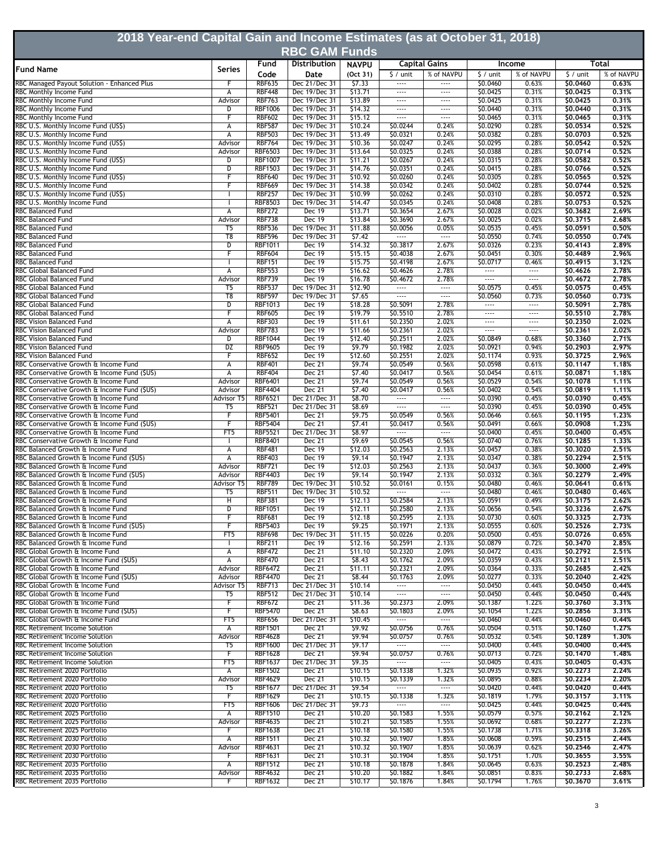| 2018 Year-end Capital Gain and Income Estimates (as at October 31, 2018)              |                           |                                  |                                      |                    |                                                      |                                                      |                      |                   |                      |                |  |
|---------------------------------------------------------------------------------------|---------------------------|----------------------------------|--------------------------------------|--------------------|------------------------------------------------------|------------------------------------------------------|----------------------|-------------------|----------------------|----------------|--|
|                                                                                       |                           | Fund                             | <b>RBC GAM Funds</b><br>Distribution | <b>NAVPU</b>       |                                                      | <b>Capital Gains</b>                                 |                      | Income            | Total                |                |  |
| <b>Fund Name</b>                                                                      | <b>Series</b>             | Code                             | Date                                 | (Oct 31)           | $\frac{1}{2}$ / unit                                 | % of NAVPU                                           | $$/$ unit            | % of NAVPU        | $\frac{1}{2}$ / unit | % of NAVPU     |  |
| RBC Managed Payout Solution - Enhanced Plus                                           |                           | <b>RBF635</b>                    | Dec 21/Dec 31                        | \$7.33             |                                                      |                                                      | \$0.0460             | 0.63%             | \$0,0460             | 0.63%          |  |
| RBC Monthly Income Fund                                                               | A                         | <b>RBF448</b>                    | Dec 19/Dec 31<br>Dec 19/Dec 31       | \$13.71            | $\cdots$                                             | $\cdots$                                             | \$0.0425             | 0.31%             | \$0.0425             | 0,31%          |  |
| RBC Monthly Income Fund<br>RBC Monthly Income Fund                                    | Advisor<br>D              | <b>RBF763</b><br><b>RBF1006</b>  | Dec 19/Dec 31                        | \$13.89<br>\$14.32 | $- - - -$<br>$\cdots$                                | $\cdots$<br>$\cdots$                                 | \$0.0425<br>\$0.0440 | 0.31%<br>0.31%    | \$0.0425<br>\$0,0440 | 0,31%<br>0.31% |  |
| RBC Monthly Income Fund                                                               | F                         | <b>RBF602</b>                    | Dec 19/Dec 31                        | \$15.12            | $\cdots$                                             | $\cdots$                                             | \$0.0465             | 0.31%             | \$0,0465             | 0,31%          |  |
| RBC U.S. Monthly Income Fund (US\$)                                                   | А                         | <b>RBF587</b>                    | Dec 19/Dec 31                        | \$10.24            | \$0.0244                                             | 0.24%                                                | \$0.0290             | 0.28%             | \$0.0534             | 0.52%          |  |
| RBC U.S. Monthly Income Fund<br>RBC U.S. Monthly Income Fund (US\$)                   | А<br>Advisor              | <b>RBF503</b><br><b>RBF764</b>   | Dec 19/Dec 31<br>Dec 19/Dec 31       | \$13.49<br>\$10.36 | \$0.0321<br>\$0.0247                                 | 0.24%<br>0.24%                                       | \$0.0382<br>\$0.0295 | 0.28%<br>0.28%    | \$0.0703<br>\$0.0542 | 0.52%<br>0.52% |  |
| RBC U.S. Monthly Income Fund                                                          | Advisor                   | <b>RBF6503</b>                   | Dec 19/Dec 31                        | \$13.64            | \$0.0325                                             | 0.24%                                                | \$0.0388             | 0.28%             | \$0.0714             | 0.52%          |  |
| RBC U.S. Monthly Income Fund (US\$)                                                   | D                         | <b>RBF1007</b>                   | Dec 19/Dec 31                        | \$11.21            | \$0.0267                                             | 0.24%                                                | \$0.0315             | 0.28%             | \$0.0582             | 0,52%          |  |
| RBC U.S. Monthly Income Fund<br>RBC U.S. Monthly Income Fund (US\$)                   | D<br>F                    | <b>RBF1503</b><br><b>RBF640</b>  | Dec 19/Dec 31<br>Dec 19/Dec 31       | \$14.76<br>\$10.92 | \$0.0351<br>\$0.0260                                 | 0.24%<br>0.24%                                       | \$0.0415<br>\$0.0305 | 0.28%<br>0.28%    | \$0,0766<br>\$0.0565 | 0.52%<br>0,52% |  |
| RBC U.S. Monthly Income Fund                                                          | F                         | <b>RBF669</b>                    | Dec 19/Dec 31                        | \$14.38            | \$0.0342                                             | 0.24%                                                | \$0.0402             | 0.28%             | \$0.0744             | 0.52%          |  |
| RBC U.S. Monthly Income Fund (US\$)                                                   |                           | <b>RBF257</b>                    | Dec 19/Dec 31                        | \$10.99            | \$0.0262                                             | 0.24%                                                | \$0.0310             | 0.28%             | \$0.0572             | 0,52%          |  |
| RBC U.S. Monthly Income Fund                                                          |                           | <b>RBF8503</b><br><b>RBF272</b>  | Dec 19/Dec 31                        | \$14.47            | \$0.0345                                             | 0.24%<br>2.67%                                       | \$0.0408             | 0.28%<br>0.02%    | \$0.0753             | 0,52%<br>2.69% |  |
| <b>RBC Balanced Fund</b><br><b>RBC Balanced Fund</b>                                  | А<br>Advisor              | <b>RBF738</b>                    | Dec 19<br>Dec 19                     | \$13.71<br>\$13.84 | \$0.3654<br>\$0.3690                                 | 2.67%                                                | \$0.0028<br>\$0.0025 | 0.02%             | \$0.3682<br>\$0.3715 | 2.68%          |  |
| <b>RBC Balanced Fund</b>                                                              | T5                        | <b>RBF536</b>                    | Dec 19/Dec 31                        | \$11.88            | \$0.0056                                             | 0.05%                                                | \$0.0535             | 0.45%             | \$0.0591             | 0,50%          |  |
| RBC Balanced Fund                                                                     | T <sub>8</sub>            | <b>RBF596</b>                    | Dec 19/Dec 31                        | \$7.42             | $\cdots$                                             | $\cdots$                                             | \$0.0550             | 0.74%             | \$0.0550             | 0.74%          |  |
| RBC Balanced Fund<br><b>RBC Balanced Fund</b>                                         | D<br>F                    | <b>RBF1011</b><br><b>RBF604</b>  | Dec 19<br><b>Dec 19</b>              | \$14.32<br>\$15.15 | \$0.3817<br>\$0.4038                                 | 2.67%<br>2.67%                                       | \$0.0326<br>\$0.0451 | 0.23%<br>0.30%    | \$0,4143<br>\$0,4489 | 2.89%<br>2,96% |  |
| RBC Balanced Fund                                                                     |                           | <b>RBF151</b>                    | <b>Dec 19</b>                        | \$15.75            | \$0.4198                                             | 2.67%                                                | \$0.0717             | 0.46%             | \$0.4915             | 3.12%          |  |
| <b>RBC Global Balanced Fund</b>                                                       | А                         | <b>RBF553</b>                    | <b>Dec 19</b>                        | \$16.62            | \$0.4626                                             | 2.78%                                                | $\cdots$             | $\cdots$          | \$0,4626             | 2,78%          |  |
| <b>RBC Global Balanced Fund</b>                                                       | Advisor                   | <b>RBF739</b>                    | Dec 19                               | \$16.78            | \$0.4672                                             | 2.78%                                                | $\cdots$             | $\cdots$          | \$0.4672             | 2.78%          |  |
| RBC Global Balanced Fund<br><b>RBC Global Balanced Fund</b>                           | T5<br>$\overline{18}$     | <b>RBF537</b><br><b>RBF597</b>   | Dec 19/Dec 31<br>Dec 19/Dec 31       | \$12.90<br>57.65   | $\overline{\phantom{a}}$<br>$\overline{\phantom{a}}$ | $\overline{\phantom{a}}$<br>$\overline{\phantom{a}}$ | \$0.0575<br>\$0.0560 | 0.45%<br>0.73%    | \$0.0575<br>\$0.0560 | 0.45%<br>0,73% |  |
| RBC Global Balanced Fund                                                              | D                         | <b>RBF1013</b>                   | Dec 19                               | \$18.28            | \$0.5091                                             | 2.78%                                                |                      | $\cdots$          | \$0.5091             | 2,78%          |  |
| RBC Global Balanced Fund                                                              | F                         | <b>RBF605</b>                    | Dec 19                               | \$19.79            | \$0.5510                                             | 2.78%                                                | $\cdots$             | $\cdots$          | \$0.5510             | 2.78%          |  |
| <b>RBC Vision Balanced Fund</b>                                                       | А                         | <b>RBF303</b>                    | <b>Dec 19</b>                        | \$11.61            | \$0.2350                                             | 2.02%                                                | $\cdots$             |                   | \$0,2350             | 2,02%          |  |
| RBC Vision Balanced Fund<br>RBC Vision Balanced Fund                                  | Advisor<br>$\overline{D}$ | <b>RBF783</b><br><b>RBF1044</b>  | <b>Dec 19</b><br><b>Dec 19</b>       | \$11.66<br>\$12.40 | \$0.2361<br>\$0.2511                                 | 2.02%<br>2.02%                                       | $\cdots$<br>\$0.0849 | $\cdots$<br>0.68% | \$0,2361<br>\$0.3360 | 2.02%<br>2.71% |  |
| <b>RBC Vision Balanced Fund</b>                                                       | DZ                        | <b>RBF9605</b>                   | Dec 19                               | 59.79              | \$0.1982                                             | 2.02%                                                | \$0.0921             | 0.94%             | \$0.2903             | 2.97%          |  |
| <b>RBC Vision Balanced Fund</b>                                                       | F                         | <b>RBF652</b>                    | <b>Dec 19</b>                        | \$12.60            | \$0.2551                                             | 2.02%                                                | \$0.1174             | 0.93%             | \$0.3725             | 2.96%          |  |
| RBC Conservative Growth & Income Fund                                                 | А                         | <b>RBF401</b><br><b>RBF404</b>   | Dec 21<br>Dec 21                     | \$9.74             | \$0.0549                                             | 0.56%<br>0.56%                                       | \$0.0598             | 0.61%             | \$0.1147             | 1.18%          |  |
| RBC Conservative Growth & Income Fund (\$US)<br>RBC Conservative Growth & Income Fund | А<br>Advisor              | <b>RBF6401</b>                   | Dec 21                               | \$7.40<br>\$9.74   | \$0.0417<br>\$0.0549                                 | 0.56%                                                | \$0.0454<br>\$0.0529 | 0.61%<br>0.54%    | \$0.0871<br>\$0,1078 | 1.18%<br>1.11% |  |
| RBC Conservative Growth & Income Fund (\$US)                                          | Advisor                   | <b>RBF4404</b>                   | Dec 21                               | \$7.40             | \$0.0417                                             | 0.56%                                                | \$0.0402             | 0.54%             | \$0.0819             | 1.11%          |  |
| RBC Conservative Growth & Income Fund                                                 | Advisor T5                | <b>RBF6521</b>                   | Dec 21/Dec 31                        | \$8.70             | $\cdots$                                             | $\cdots$                                             | \$0.0390             | 0.45%             | \$0.0390             | 0,45%          |  |
| RBC Conservative Growth & Income Fund<br>RBC Conservative Growth & Income Fund        | T <sub>5</sub>            | <b>RBF521</b><br><b>RBF5401</b>  | Dec 21/Dec 31<br>Dec 21              | \$8.69<br>59.75    | $\overline{\phantom{a}}$<br>\$0.0549                 | $\overline{\phantom{a}}$<br>0.56%                    | \$0.0390<br>\$0.0646 | 0.45%<br>0.66%    | \$0,0390<br>\$0.1195 | 0.45%<br>1.23% |  |
| RBC Conservative Growth & Income Fund (\$US)                                          | F                         | <b>RBF5404</b>                   | Dec 21                               | \$7.41             | \$0.0417                                             | 0.56%                                                | \$0.0491             | 0.66%             | \$0.0908             | 1.23%          |  |
| RBC Conservative Growth & Income Fund                                                 | FT5                       | <b>RBF5521</b>                   | Dec 21/Dec 31                        | \$8.97             | $\overline{\phantom{a}}$                             | $\overline{\phantom{a}}$                             | \$0.0400             | 0.45%             | \$0.0400             | 0,45%          |  |
| RBC Conservative Growth & Income Fund                                                 |                           | <b>RBF8401</b>                   | Dec 21                               | \$9.69             | \$0.0545                                             | 0.56%                                                | \$0.0740             | 0.76%             | \$0.1285             | 1,33%          |  |
| RBC Balanced Growth & Income Fund<br>RBC Balanced Growth & Income Fund (\$US)         | А<br>А                    | <b>RBF481</b><br><b>RBF403</b>   | Dec 19<br>Dec 19                     | \$12.03<br>\$9.14  | \$0.2563<br>\$0.1947                                 | 2.13%<br>2.13%                                       | \$0.0457<br>\$0.0347 | 0.38%<br>0.38%    | \$0.3020<br>\$0.2294 | 2,51%<br>2.51% |  |
| RBC Balanced Growth & Income Fund                                                     | Advisor                   | <b>RBF721</b>                    | <b>Dec 19</b>                        | \$12.03            | \$0.2563                                             | 2.13%                                                | \$0.0437             | 0.36%             | \$0,3000             | 2.49%          |  |
| RBC Balanced Growth & Income Fund (\$US)                                              | Advisor                   | <b>RBF4403</b>                   | <b>Dec 19</b>                        | 59.14              | \$0.1947                                             | 2.13%                                                | \$0.0332             | 0.36%             | \$0.2279             | 2.49%          |  |
| RBC Balanced Growth & Income Fund<br>RBC Balanced Growth & Income Fund                | <b>Advisor T5</b><br>T5   | <b>RBF789</b><br><b>RBF511</b>   | Dec 19/Dec 31<br>Dec 19/Dec 31       | \$10.52<br>\$10.52 | \$0.0161<br>$\cdots$                                 | 0.15%<br>                                            | \$0.0480<br>\$0.0480 | 0.46%<br>0.46%    | \$0.0641<br>\$0.0480 | 0.61%<br>0.46% |  |
| RBC Balanced Growth & Income Fund                                                     | $\overline{H}$            | <b>RBF381</b>                    | Dec 19                               | \$12.13            | \$0.2584                                             | 2.13%                                                | \$0.0591             | 0.49%             | \$0.3175             | 2.62%          |  |
| RBC Balanced Growth & Income Fund                                                     | D                         | <b>RBF1051</b>                   | Dec 19                               | \$12.11            | \$0.2580                                             | 2.13%                                                | \$0.0656             | 0.54%             | \$0.3236             | 2.67%          |  |
| RBC Balanced Growth & Income Fund                                                     | F                         | <b>RBF681</b>                    | Dec 19                               | \$12.18            | \$0.2595                                             | 2.13%                                                | \$0.0730             | 0.60%             | \$0.3325             | 2.73%          |  |
| RBC Balanced Growth & Income Fund (\$US)<br>RBC Balanced Growth & Income Fund         | F<br>FT5                  | <b>RBF5403</b><br><b>RBF698</b>  | Dec 19<br>Dec 19/Dec 31              | \$9.25<br>\$11.15  | \$0.1971<br>\$0.0226                                 | 2.13%<br>0.20%                                       | \$0.0555<br>\$0.0500 | 0.60%<br>0.45%    | \$0.2526<br>\$0.0726 | 2.73%<br>0.65% |  |
| RBC Balanced Growth & Income Fund                                                     |                           | <b>RBF211</b>                    | <b>Dec 19</b>                        | \$12.16            | \$0.2591                                             | 2.13%                                                | \$0.0879             | 0.72%             | \$0.3470             | 2.85%          |  |
| RBC Global Growth & Income Fund                                                       | А                         | <b>RBF472</b>                    | <b>Dec 21</b>                        | \$11.10            | \$0.2320                                             | 2.09%                                                | \$0.0472             | 0.43%             | \$0.2792             | 2.51%          |  |
| RBC Global Growth & Income Fund (\$US)<br>RBC Global Growth & Income Fund             | A<br>Advisor              | <b>RBF470</b><br><b>RBF6472</b>  | <b>Dec 21</b><br><b>Dec 21</b>       | \$8.43<br>\$11.11  | \$0.1762<br>\$0.2321                                 | 2.09%<br>2.09%                                       | \$0.0359<br>\$0.0364 | 0.43%<br>0.33%    | \$0.2121<br>\$0.2685 | 2.51%<br>2.42% |  |
| RBC Global Growth & Income Fund (\$US)                                                | Advisor                   | <b>RBF4470</b>                   | <b>Dec 21</b>                        | \$8.44             | \$0.1763                                             | 2.09%                                                | \$0.0277             | 0.33%             | \$0.2040             | 2.42%          |  |
| RBC Global Growth & Income Fund                                                       | Advisor T5                | <b>RBF713</b>                    | Dec 21/Dec 31                        | \$10.14            | $\cdots$                                             | $\cdots$                                             | \$0.0450             | 0.44%             | \$0.0450             | 0.44%          |  |
| RBC Global Growth & Income Fund                                                       | T5                        | <b>RBF512</b>                    | Dec 21/Dec 31                        | \$10.14            | $\cdots$                                             | $\dots$ .                                            | \$0.0450             | 0.44%             | \$0.0450             | 0.44%          |  |
| RBC Global Growth & Income Fund<br>RBC Global Growth & Income Fund (\$US)             | F<br>F                    | <b>RBF672</b><br><b>RBF5470</b>  | <b>Dec 21</b><br>Dec 21              | \$11.36<br>\$8.63  | \$0.2373<br>\$0.1803                                 | 2.09%<br>2.09%                                       | \$0.1387<br>\$0.1054 | 1.22%<br>1.22%    | \$0.3760<br>\$0.2856 | 3.31%<br>3.31% |  |
| RBC Global Growth & Income Fund                                                       | FT5                       | <b>RBF656</b>                    | Dec 21/Dec 31                        | \$10.45            | $\overline{\phantom{a}}$                             | $\overline{\phantom{a}}$                             | \$0.0460             | 0.44%             | \$0.0460             | 0.44%          |  |
| RBC Retirement Income Solution                                                        | А                         | <b>RBF1501</b>                   | <b>Dec 21</b>                        | 59.92              | \$0.0756                                             | 0.76%                                                | \$0.0504             | 0.51%             | \$0.1260             | 1.27%          |  |
| RBC Retirement Income Solution                                                        | Advisor                   | <b>RBF4628</b>                   | Dec 21                               | \$9.94             | \$0.0757                                             | 0.76%                                                | \$0.0532             | 0.54%             | \$0.1289             | 1.30%          |  |
| RBC Retirement Income Solution<br>RBC Retirement Income Solution                      | T5<br>F                   | <b>RBF1600</b><br><b>RBF1628</b> | Dec 21/Dec 31<br>Dec 21              | \$9.17<br>\$9.94   | $\cdots$<br>\$0.0757                                 | $\cdots$<br>0.76%                                    | \$0.0400<br>\$0.0713 | 0.44%<br>0.72%    | \$0,0400<br>\$0,1470 | 0.44%<br>1,48% |  |
| RBC Retirement Income Solution                                                        | FT5                       | <b>RBF1637</b>                   | Dec 21/Dec 31                        | \$9.35             | $\cdots$                                             | $\cdots$                                             | \$0.0405             | 0.43%             | \$0.0405             | 0.43%          |  |
| RBC Retirement 2020 Portfolio                                                         | A                         | <b>RBF1502</b>                   | Dec 21                               | \$10.15            | \$0.1338                                             | 1.32%                                                | \$0.0935             | 0.92%             | \$0.2273             | 2.24%          |  |
| RBC Retirement 2020 Portfolio                                                         | Advisor                   | <b>RBF4629</b>                   | <b>Dec 21</b>                        | \$10.15<br>59.54   | \$0.1339<br>$\overline{\phantom{a}}$                 | 1.32%<br>$\overline{\phantom{a}}$                    | \$0.0895             | 0.88%             | \$0,2234             | 2.20%          |  |
| RBC Retirement 2020 Portfolio<br>RBC Retirement 2020 Portfolio                        | T5<br>F                   | <b>RBF1677</b><br><b>RBF1629</b> | Dec 21/Dec 31<br><b>Dec 21</b>       | \$10.15            | \$0.1338                                             | 1.32%                                                | \$0.0420<br>\$0.1819 | 0.44%<br>1.79%    | \$0.0420<br>\$0.3157 | 0.44%<br>3.11% |  |
| RBC Retirement 2020 Portfolio                                                         | FT5                       | <b>RBF1606</b>                   | Dec 21/Dec 31                        | \$9.73             | $\cdots$                                             | $\overline{\phantom{a}}$                             | \$0.0425             | 0.44%             | \$0.0425             | 0.44%          |  |
| RBC Retirement 2025 Portfolio                                                         | $\mathsf{A}$              | <b>RBF1510</b>                   | Dec 21                               | \$10.20            | \$0.1583                                             | 1.55%                                                | \$0.0579             | 0.57%             | \$0.2162             | 2.12%          |  |
| RBC Retirement 2025 Portfolio                                                         | Advisor<br>F              | <b>RBF4635</b>                   | <b>Dec 21</b>                        | \$10.21            | \$0.1585                                             | 1.55%<br>1.55%                                       | \$0.0692             | 0.68%             | \$0,2277             | 2.23%<br>3.26% |  |
| RBC Retirement 2025 Portfolio<br>RBC Retirement 2030 Portfolio                        | A                         | <b>RBF1638</b><br><b>RBF1511</b> | <b>Dec 21</b><br><b>Dec 21</b>       | \$10.18<br>\$10.32 | \$0.1580<br>\$0.1907                                 | 1.85%                                                | \$0.1738<br>\$0.0608 | 1.71%<br>0.59%    | \$0.3318<br>\$0.2515 | 2.44%          |  |
| RBC Retirement 2030 Portfolio                                                         | Advisor                   | <b>RBF4631</b>                   | <b>Dec 21</b>                        | \$10.32            | \$0.1907                                             | 1.85%                                                | \$0.0639             | 0.62%             | \$0,2546             | 2.47%          |  |
| RBC Retirement 2030 Portfolio                                                         | F                         | <b>RBF1631</b>                   | Dec 21                               | \$10.31            | \$0.1904                                             | 1.85%                                                | \$0.1751             | 1.70%             | \$0.3655             | 3.55%          |  |
| RBC Retirement 2035 Portfolio<br>RBC Retirement 2035 Portfolio                        | A<br>Advisor              | <b>RBF1512</b><br><b>RBF4632</b> | <b>Dec 21</b><br><b>Dec 21</b>       | \$10.18<br>\$10.20 | \$0.1878<br>\$0.1882                                 | 1.84%<br>1.84%                                       | \$0.0645<br>\$0.0851 | 0.63%<br>0.83%    | \$0.2523<br>\$0.2733 | 2,48%<br>2.68% |  |
| RBC Retirement 2035 Portfolio                                                         | F                         | RBF1632                          | Dec 21                               | \$10.17            | \$0.1876                                             | 1.84%                                                | \$0.1794             | 1.76%             | \$0.3670             | 3.61%          |  |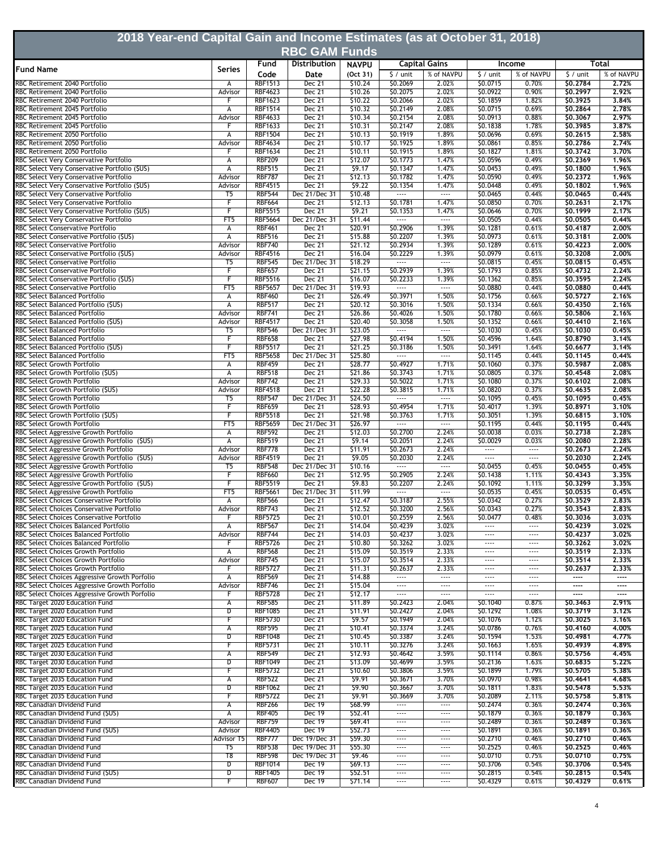| 2018 Year-end Capital Gain and Income Estimates (as at October 31, 2018)                |                           |                                  |                                |                    |                                      |                                   |                      |                      |                                      |                   |
|-----------------------------------------------------------------------------------------|---------------------------|----------------------------------|--------------------------------|--------------------|--------------------------------------|-----------------------------------|----------------------|----------------------|--------------------------------------|-------------------|
|                                                                                         |                           |                                  | <b>RBC GAM Funds</b>           |                    |                                      |                                   |                      |                      |                                      |                   |
| <b>Fund Name</b>                                                                        | <b>Series</b>             | Fund                             | <b>Distribution</b>            | <b>NAVPU</b>       |                                      | <b>Capital Gains</b>              |                      | <b>Income</b>        |                                      | Total             |
|                                                                                         |                           | Code                             | Date                           | (Oct 31)           | $$/$ unit                            | % of NAVPU                        | $$/$ unit            | % of NAVPU           | $$/$ unit                            | % of NAVPU        |
| RBC Retirement 2040 Portfolio<br>RBC Retirement 2040 Portfolio                          | A<br>Advisor              | <b>RBF1513</b><br><b>RBF4623</b> | Dec 21<br>Dec 21               | \$10.24<br>\$10.26 | \$0.2069<br>\$0.2075                 | 2.02%<br>2.02%                    | \$0.0715<br>\$0.0922 | 0.70%<br>0.90%       | \$0.2784<br>\$0,2997                 | 2.72%<br>2.92%    |
| RBC Retirement 2040 Portfolio                                                           |                           | <b>RBF1623</b>                   | Dec 21                         | \$10.22            | \$0.2066                             | 2.02%                             | \$0.1859             | 1.82%                | \$0.3925                             | 3,84%             |
| RBC Retirement 2045 Portfolio                                                           | А                         | <b>RBF1514</b>                   | Dec 21                         | \$10.32            | \$0.2149                             | 2.08%                             | \$0.0715             | 0.69%                | \$0.2864                             | 2,78%             |
| RBC Retirement 2045 Portfolio<br>RBC Retirement 2045 Portfolio                          | Advisor                   | <b>RBF4633</b><br><b>RBF1633</b> | Dec 21<br>Dec 21               | \$10.34<br>\$10.31 | \$0.2154<br>\$0.2147                 | 2.08%<br>2.08%                    | \$0.0913<br>\$0.1838 | 0.88%<br>1.78%       | \$0,3067<br>\$0.3985                 | 2,97%<br>3.87%    |
| RBC Retirement 2050 Portfolio                                                           | А                         | <b>RBF1504</b>                   | Dec 21                         | \$10.13            | \$0.1919                             | 1.89%                             | \$0.0696             | 0.69%                | \$0.2615                             | 2.58%             |
| RBC Retirement 2050 Portfolio                                                           | Advisor                   | <b>RBF4634</b>                   | Dec 21                         | \$10.17            | \$0.1925                             | 1.89%                             | \$0.0861             | 0.85%                | \$0.2786                             | 2.74%             |
| RBC Retirement 2050 Portfolio<br>RBC Select Very Conservative Portfolio                 | F<br>А                    | <b>RBF1634</b><br><b>RBF209</b>  | Dec 21<br>Dec 21               | \$10.11<br>\$12.07 | \$0.1915<br>\$0.1773                 | 1.89%<br>1.47%                    | \$0.1827<br>\$0.0596 | 1.81%<br>0.49%       | 50,3742<br>\$0.2369                  | 3.70%<br>1.96%    |
| RBC Select Very Conservative Portfolio (\$US)                                           | А                         | <b>RBF515</b>                    | Dec 21                         | \$9.17             | \$0.1347                             | 1.47%                             | \$0.0453             | 0.49%                | \$0.1800                             | 1.96%             |
| RBC Select Very Conservative Portfolio                                                  | Advisor                   | <b>RBF787</b>                    | Dec 21                         | \$12.13            | S0.1782                              | 1.47%                             | \$0.0590             | 0.49%                | \$0,2372                             | 1.96%             |
| RBC Select Very Conservative Portfolio (\$US)                                           | Advisor<br>T <sub>5</sub> | <b>RBF4515</b><br><b>RBF544</b>  | Dec 21<br>Dec 21/Dec 31        | \$9.22<br>\$10.48  | \$0.1354<br>                         | 1.47%<br>$\cdots$                 | \$0.0448<br>\$0.0465 | 0.49%<br>0.44%       | \$0.1802                             | 1.96%<br>0.44%    |
| RBC Select Very Conservative Portfolio<br>RBC Select Very Conservative Portfolio        | F                         | <b>RBF664</b>                    | Dec 21                         | \$12.13            | \$0.1781                             | 1.47%                             | \$0.0850             | 0.70%                | \$0.0465<br>\$0,2631                 | 2.17%             |
| RBC Select Very Conservative Portfolio (\$US)                                           | F                         | <b>RBF5515</b>                   | Dec 21                         | 59.21              | \$0.1353                             | 1.47%                             | \$0.0646             | 0.70%                | \$0.1999                             | 2.17%             |
| RBC Select Very Conservative Portfolio                                                  | FT5                       | <b>RBF5664</b>                   | Dec 21/Dec 31                  | \$11.44            | $\cdots$                             | $\overline{\phantom{a}}$          | \$0.0505             | 0.44%                | \$0.0505                             | 0.44%             |
| RBC Select Conservative Portfolio<br>RBC Select Conservative Portfolio (\$US)           | А<br>А                    | <b>RBF461</b><br><b>RBF516</b>   | Dec 21<br>Dec 21               | \$20.91<br>\$15.88 | \$0.2906<br>\$0.2207                 | 1.39%<br>1.39%                    | \$0.1281<br>\$0.0973 | 0.61%<br>0.61%       | \$0.4187<br>\$0,3181                 | 2,00%<br>2,00%    |
| RBC Select Conservative Portfolio                                                       | Advisor                   | <b>RBF740</b>                    | Dec 21                         | \$21.12            | \$0.2934                             | 1.39%                             | \$0.1289             | 0.61%                | \$0.4223                             | 2.00%             |
| RBC Select Conservative Portfolio (\$US)                                                | Advisor                   | <b>RBF4516</b>                   | Dec 21                         | \$16.04            | \$0.2229                             | 1.39%                             | \$0.0979             | 0.61%                | \$0.3208                             | 2.00%             |
| RBC Select Conservative Portfolio<br>RBC Select Conservative Portfolio                  | T <sub>5</sub><br>F       | <b>RBF545</b><br><b>RBF657</b>   | Dec 21/Dec 31<br>Dec 21        | \$18.29<br>\$21.15 | <br>\$0.2939                         | $\overline{\phantom{a}}$<br>1.39% | \$0.0815<br>\$0.1793 | 0.45%<br>0.85%       | \$0.0815<br>\$0,4732                 | 0,45%<br>2.24%    |
| RBC Select Conservative Portfolio (\$US)                                                | F                         | <b>RBF5516</b>                   | Dec 21                         | \$16.07            | \$0.2233                             | 1.39%                             | \$0.1362             | 0.85%                | \$0.3595                             | 2.24%             |
| RBC Select Conservative Portfolio                                                       | FT5                       | <b>RBF5657</b>                   | Dec 21/Dec 31                  | \$19.93            |                                      | $\overline{\phantom{a}}$          | \$0.0880             | 0.44%                | \$0.0880                             | 0.44%             |
| <b>RBC Select Balanced Portfolio</b>                                                    | А                         | <b>RBF460</b>                    | <b>Dec 21</b>                  | \$26.49            | \$0.3971                             | 1.50%                             | \$0.1756             | 0.66%                | \$0.5727                             | 2.16%             |
| RBC Select Balanced Portfolio (\$US)<br>RBC Select Balanced Portfolio                   | А<br>Advisor              | <b>RBF517</b><br><b>RBF741</b>   | Dec 21<br>Dec 21               | \$20.12<br>\$26.86 | \$0.3016<br>\$0.4026                 | 1.50%<br>1.50%                    | \$0.1334<br>\$0.1780 | 0.66%<br>0.66%       | \$0,4350<br>\$0.5806                 | 2.16%<br>2,16%    |
| RBC Select Balanced Portfolio (\$US)                                                    | Advisor                   | <b>RBF4517</b>                   | Dec 21                         | \$20.40            | \$0.3058                             | 1.50%                             | \$0.1352             | 0.66%                | \$0,4410                             | 2,16%             |
| RBC Select Balanced Portfolio                                                           | $\overline{15}$           | <b>RBF546</b>                    | Dec 21/Dec 31                  | \$23.05            | $\overline{\phantom{a}}$             | $\overline{\phantom{a}}$          | \$0.1030             | 0.45%                | \$0.1030                             | 0,45%             |
| RBC Select Balanced Portfolio                                                           | F                         | <b>RBF658</b>                    | Dec 21                         | \$27.98            | \$0.4194                             | 1.50%                             | \$0.4596             | 1.64%                | \$0.8790                             | 3.14%             |
| RBC Select Balanced Portfolio (\$US)<br><b>RBC Select Balanced Portfolio</b>            | F<br>FT5                  | <b>RBF5517</b><br><b>RBF5658</b> | <b>Dec 21</b><br>Dec 21/Dec 31 | \$21.25<br>\$25.80 | \$0.3186<br>                         | 1.50%<br>$\overline{\phantom{a}}$ | \$0.3491<br>\$0.1145 | 1.64%<br>0.44%       | \$0.6677<br>\$0.1145                 | 3.14%<br>0.44%    |
| RBC Select Growth Portfolio                                                             | А                         | <b>RBF459</b>                    | Dec 21                         | \$28.77            | \$0.4927                             | 1.71%                             | \$0.1060             | 0.37%                | \$0.5987                             | 2.08%             |
| RBC Select Growth Portfolio (\$US)                                                      | А                         | <b>RBF518</b>                    | Dec 21                         | \$21.86            | \$0.3743                             | 1.71%                             | \$0.0805             | 0.37%                | \$0.4548                             | 2.08%             |
| RBC Select Growth Portfolio                                                             | Advisor                   | <b>RBF742</b>                    | Dec 21                         | \$29.33            | \$0.5022                             | 1.71%                             | \$0.1080             | 0.37%                | \$0.6102                             | 2,08%             |
| RBC Select Growth Portfolio (\$US)<br>RBC Select Growth Portfolio                       | Advisor<br>T5             | <b>RBF4518</b><br><b>RBF547</b>  | Dec 21<br>Dec 21/Dec 31        | \$22.28<br>\$24.50 | \$0.3815<br>$\overline{\phantom{a}}$ | 1.71%<br>$\dots$ .                | \$0.0820<br>\$0.1095 | 0.37%<br>0.45%       | \$0,4635<br>\$0.1095                 | 2.08%<br>0.45%    |
| RBC Select Growth Portfolio                                                             | F                         | <b>RBF659</b>                    | Dec 21                         | \$28.93            | \$0.4954                             | 1.71%                             | \$0.4017             | 1.39%                | \$0.8971                             | 3.10%             |
| RBC Select Growth Portfolio (\$US)                                                      | F                         | <b>RBF5518</b>                   | Dec 21                         | \$21.98            | \$0.3763                             | 1.71%                             | \$0.3051             | 1.39%                | \$0.6815                             | 3.10%             |
| RBC Select Growth Portfolio                                                             | FT5                       | <b>RBF5659</b>                   | Dec 21/Dec 31                  | \$26.97            | $\overline{\phantom{a}}$             | $\overline{\cdots}$               | \$0.1195             | 0.44%                | \$0.1195                             | 0.44%             |
| RBC Select Aggressive Growth Portfolio<br>RBC Select Aggressive Growth Portfolio (\$US) | А<br>А                    | <b>RBF592</b><br><b>RBF519</b>   | <b>Dec 21</b><br>Dec 21        | \$12.03<br>\$9.14  | \$0.2700<br>\$0.2051                 | 2.24%<br>2.24%                    | \$0.0038<br>\$0.0029 | 0.03%<br>0.03%       | \$0.2738<br>\$0.2080                 | 2.28%<br>2.28%    |
| RBC Select Aggressive Growth Portfolio                                                  | Advisor                   | <b>RBF778</b>                    | Dec 21                         | \$11.91            | \$0.2673                             | 2.24%                             | $\cdots$             | $\cdots$             | \$0,2673                             | 2.24%             |
| RBC Select Aggressive Growth Portfolio (\$US)                                           | Advisor                   | <b>RBF4519</b>                   | Dec 21                         | \$9.05             | \$0.2030                             | 2.24%                             | $\cdots$             | $\cdots$             | \$0,2030                             | 2.24%             |
| RBC Select Aggressive Growth Portfolio                                                  | T <sub>5</sub>            | <b>RBF548</b>                    | Dec 21/Dec 31                  | \$10.16            | $\overline{\phantom{a}}$             | $\overline{\phantom{a}}$          | \$0.0455             | 0.45%                | \$0.0455                             | 0.45%             |
| RBC Select Aggressive Growth Portfolio<br>RBC Select Aggressive Growth Portfolio (\$US) | F<br>F                    | <b>RBF660</b><br><b>RBF5519</b>  | Dec 21<br><b>Dec 21</b>        | \$12.95<br>59.83   | \$0.2905<br>\$0.2207                 | 2.24%<br>2.24%                    | \$0.1438<br>\$0.1092 | 1.11%<br>1.11%       | \$0,4343<br>\$0,3299                 | 3,35%<br>3.35%    |
| RBC Select Aggressive Growth Portfolio                                                  | FT5                       | <b>RBF5661</b>                   | Dec 21/Dec 31                  | \$11.99            |                                      |                                   | \$0.0535             | 0.45%                | \$0.0535                             | 0.45%             |
| RBC Select Choices Conservative Portfolio                                               | А                         | <b>RBF566</b>                    | Dec 21                         | \$12.47            | \$0.3187                             | 2.55%                             | \$0.0342             | 0.27%                | \$0.3529                             | 2,83%             |
| RBC Select Choices Conservative Portfolio                                               | Advisor                   | <b>RBF743</b>                    | Dec 21                         | \$12.52            | \$0.3200                             | 2.56%                             | \$0.0343             | 0.27%                | \$0.3543                             | 2,83%             |
| RBC Select Choices Conservative Portfolio<br>RBC Select Choices Balanced Portfolio      | F<br>А                    | <b>RBF5725</b><br><b>RBF567</b>  | Dec 21<br><b>Dec 21</b>        | \$10.01<br>\$14.04 | \$0.2559<br>\$0.4239                 | 2.56%<br>3.02%                    | \$0.0477<br>$\cdots$ | 0.48%<br>$\cdots$    | \$0.3036<br>\$0.4239                 | 3.03%<br>3.02%    |
| RBC Select Choices Balanced Portfolio                                                   | Advisor                   | <b>RBF744</b>                    | <b>Dec 21</b>                  | \$14.03            | \$0.4237                             | 3.02%                             | $\cdots$             | $\cdots$             | \$0.4237                             | 3,02%             |
| RBC Select Choices Balanced Portfolio                                                   |                           | <b>RBF5726</b>                   | Dec 21                         | \$10.80            | \$0.3262                             | 3.02%                             | $\cdots$             | $\cdots$             | \$0,3262                             | 3.02%             |
| RBC Select Choices Growth Portfolio<br><b>RBC Select Choices Growth Portfolio</b>       | А                         | <b>RBF568</b>                    | Dec 21                         | \$15.09            | \$0.3519                             | 2.33%<br>2.33%                    | $\cdots$<br>$\cdots$ | $\cdots$<br>$\cdots$ | \$0.3519<br>\$0,3514                 | 2.33%             |
| RBC Select Choices Growth Portfolio                                                     | Advisor                   | <b>RBF745</b><br><b>RBF5727</b>  | <b>Dec 21</b><br>Dec 21        | \$15.07<br>\$11.31 | \$0.3514<br>\$0.2637                 | 2.33%                             | $\cdots$             | $\cdots$             | \$0.2637                             | 2.33%<br>2.33%    |
| RBC Select Choices Aggressive Growth Porfolio                                           | А                         | <b>RBF569</b>                    | Dec 21                         | \$14.88            | $\cdots$                             | $\cdots$                          | $\cdots$             | $\cdots$             | $\cdots$                             | $\cdots$          |
| RBC Select Choices Aggressive Growth Porfolio                                           | Advisor                   | <b>RBF746</b>                    | Dec 21                         | \$15.04            | $\cdots$                             | $\cdots$                          | $\cdots$             | $\cdots$             | $\overline{\phantom{a}}$             | $\cdots$          |
| RBC Select Choices Aggressive Growth Porfolio<br>RBC Target 2020 Education Fund         | F<br>А                    | <b>RBF5728</b><br><b>RBF585</b>  | <b>Dec 21</b><br>Dec 21        | \$12.17<br>\$11.89 | $\cdots$<br>\$0.2423                 | $\cdots$<br>2.04%                 | $\cdots$<br>\$0.1040 | $\cdots$<br>0.87%    | $\overline{\phantom{a}}$<br>\$0.3463 | $\cdots$<br>2.91% |
| RBC Target 2020 Education Fund                                                          | D                         | <b>RBF1085</b>                   | Dec 21                         | \$11.91            | \$0.2427                             | 2.04%                             | \$0.1292             | 1.08%                | \$0.3719                             | 3.12%             |
| RBC Target 2020 Education Fund                                                          | F                         | <b>RBF5730</b>                   | <b>Dec 21</b>                  | \$9.57             | \$0.1949                             | 2.04%                             | \$0.1076             | 1.12%                | \$0.3025                             | 3.16%             |
| RBC Target 2025 Education Fund                                                          | А                         | <b>RBF595</b>                    | Dec 21                         | \$10.41            | \$0.3374                             | 3.24%                             | \$0.0786             | 0.76%                | \$0.4160                             | 4.00%             |
| RBC Target 2025 Education Fund<br>RBC Target 2025 Education Fund                        | D<br>F                    | <b>RBF1048</b><br><b>RBF5731</b> | <b>Dec 21</b><br>Dec 21        | \$10.45<br>\$10.11 | \$0.3387<br>\$0.3276                 | 3.24%<br>3.24%                    | \$0.1594<br>\$0.1663 | 1.53%<br>1.65%       | \$0,4981<br>\$0.4939                 | 4,77%<br>4.89%    |
| RBC Target 2030 Education Fund                                                          | А                         | <b>RBF549</b>                    | Dec 21                         | \$12.93            | \$0.4642                             | 3.59%                             | \$0.1114             | 0.86%                | \$0.5756                             | 4.45%             |
| RBC Target 2030 Education Fund                                                          | D                         | <b>RBF1049</b>                   | Dec 21                         | \$13.09            | \$0.4699                             | 3.59%                             | \$0.2136             | 1.63%                | \$0,6835                             | 5,22%             |
| RBC Target 2030 Education Fund                                                          | F                         | <b>RBF5732</b>                   | Dec 21                         | \$10.60            | \$0.3806                             | 3.59%                             | \$0.1899             | 1.79%                | \$0.5705                             | 5.38%             |
| RBC Target 2035 Education Fund<br>RBC Target 2035 Education Fund                        | А<br>$\overline{D}$       | <b>RBF522</b><br><b>RBF1062</b>  | Dec 21<br>Dec 21               | 59.91<br>\$9.90    | \$0.3671<br>\$0.3667                 | 3.70%<br>3.70%                    | \$0.0970<br>\$0.1811 | 0.98%<br>1.83%       | \$0.4641<br>\$0.5478                 | 4.68%<br>5.53%    |
| RBC Target 2035 Education Fund                                                          | F                         | <b>RBF5722</b>                   | <b>Dec 21</b>                  | 59.91              | \$0.3669                             | 3.70%                             | \$0.2089             | 2.11%                | \$0.5758                             | 5.81%             |
| RBC Canadian Dividend Fund                                                              | А                         | <b>RBF266</b>                    | <b>Dec 19</b>                  | \$68.99            | $\overline{\phantom{a}}$             |                                   | \$0.2474             | 0.36%                | \$0.2474                             | 0.36%             |
| RBC Canadian Dividend Fund (\$US)                                                       | А                         | <b>RBF405</b>                    | <b>Dec 19</b>                  | \$52.41            | $\cdots$                             | $\cdots$                          | \$0.1879             | 0.36%                | \$0.1879                             | 0,36%             |
| RBC Canadian Dividend Fund<br>RBC Canadian Dividend Fund (\$US)                         | Advisor<br>Advisor        | <b>RBF759</b><br><b>RBF4405</b>  | <b>Dec 19</b><br><b>Dec 19</b> | \$69.41<br>\$52.73 | $\cdots$<br>                         | $\cdots$<br>$\cdots$              | \$0.2489<br>\$0.1891 | 0.36%<br>0.36%       | \$0.2489<br>\$0.1891                 | 0,36%<br>0.36%    |
| RBC Canadian Dividend Fund                                                              | <b>Advisor T5</b>         | <b>RBF777</b>                    | Dec 19/Dec 31                  | \$59.30            | $\cdots$                             | $\cdots$                          | \$0.2710             | 0.46%                | \$0.2710                             | 0.46%             |
| RBC Canadian Dividend Fund                                                              | T <sub>5</sub>            | <b>RBF538</b>                    | Dec 19/Dec 31                  | \$55.30            | $\cdots$                             | $---$                             | \$0.2525             | 0.46%                | \$0.2525                             | 0.46%             |
| RBC Canadian Dividend Fund                                                              | T8                        | <b>RBF598</b>                    | Dec 19/Dec 31                  | 59.46              | $\cdots$                             | $\cdots$                          | \$0.0710             | 0.75%                | \$0,0710                             | 0,75%             |
| RBC Canadian Dividend Fund<br>RBC Canadian Dividend Fund (\$US)                         | D<br>D                    | <b>RBF1014</b><br><b>RBF1405</b> | Dec 19<br>Dec 19               | 569.13<br>\$52.51  | $---$<br>$\cdots$                    | $---$<br>$\cdots$                 | \$0.3706<br>\$0.2815 | 0.54%<br>0.54%       | \$0.3706<br>\$0.2815                 | 0.54%<br>0.54%    |
| RBC Canadian Dividend Fund                                                              | F                         | <b>RBF607</b>                    | Dec 19                         | \$71.14            | $\cdots$                             | $\cdots$                          | \$0.4329             | 0.61%                | \$0.4329                             | 0.61%             |
|                                                                                         |                           |                                  |                                |                    |                                      |                                   |                      |                      |                                      |                   |

┨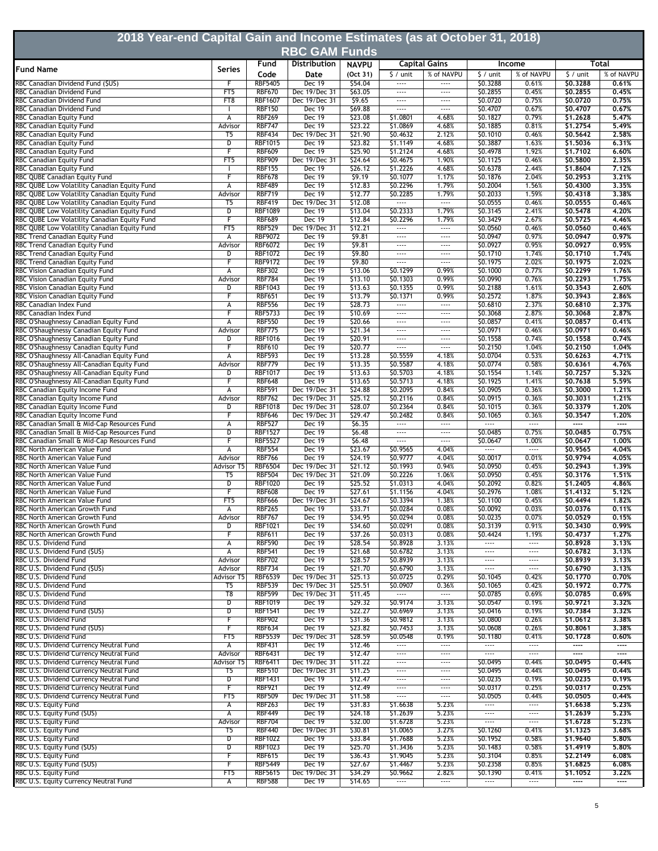| 2018 Year-end Capital Gain and Income Estimates (as at October 31, 2018)                     |                              |                                  |                                |                    |                                      |                                   |                                      |                                   |                            |                   |  |
|----------------------------------------------------------------------------------------------|------------------------------|----------------------------------|--------------------------------|--------------------|--------------------------------------|-----------------------------------|--------------------------------------|-----------------------------------|----------------------------|-------------------|--|
| <b>RBC GAM Funds</b>                                                                         |                              |                                  |                                |                    |                                      |                                   |                                      |                                   |                            |                   |  |
|                                                                                              |                              | Fund                             | Distribution                   | <b>NAVPU</b>       |                                      | <b>Capital Gains</b>              |                                      | <b>Income</b>                     |                            | Total             |  |
| <b>Fund Name</b>                                                                             | <b>Series</b>                | Code                             | Date                           | (Oct 31)           | $\frac{1}{2}$ / unit                 | % of NAVPU                        | $$/$ unit                            | % of NAVPU                        | $\frac{1}{2}$ / unit       | % of NAVPU        |  |
| RBC Canadian Dividend Fund (\$US)                                                            | F                            | <b>RBF5405</b>                   | Dec 19                         | \$54.04            | $\cdots$                             |                                   | \$0.3288                             | 0.61%                             | \$0.3288                   | 0.61%             |  |
| RBC Canadian Dividend Fund<br><b>BC Canadian Dividend Fund</b>                               | FT <sub>5</sub><br>FT8       | <b>RBF670</b><br><b>RBF1607</b>  | Dec 19/Dec 31<br>Dec 19/Dec 31 | \$63.05<br>\$9.65  | $\cdots$<br>$\cdots$                 | $\cdots$<br>$\cdots$              | \$0.2855<br>\$0.0720                 | 0.45%<br>0.75%                    | \$0.2855<br>\$0.0720       | 0.45%<br>0,75%    |  |
| RBC Canadian Dividend Fund                                                                   |                              | <b>RBF150</b>                    | Dec 19                         | \$69.88            | $\cdots$                             | $\cdots$                          | \$0.4707                             | 0.67%                             | \$0.4707                   | 0,67%             |  |
| RBC Canadian Equity Fund                                                                     | А                            | <b>RBF269</b>                    | <b>Dec 19</b>                  | \$23.08            | \$1.0801                             | 4.68%                             | \$0.1827                             | 0.79%                             | \$1.2628                   | 5.47%             |  |
| <b>RBC Canadian Equity Fund</b>                                                              | Advisor                      | <b>RBF747</b><br><b>RBF434</b>   | <b>Dec 19</b><br>Dec 19/Dec 31 | \$23.22<br>\$21.90 | \$1.0869<br>\$0.4632                 | 4.68%<br>2.12%                    | \$0.1885<br>\$0.1010                 | 0.81%<br>0.46%                    | \$1.2754<br>\$0.5642       | 5,49%<br>2.58%    |  |
| RBC Canadian Equity Fund<br>RBC Canadian Equity Fund                                         | T5<br>D                      | <b>RBF1015</b>                   | <b>Dec 19</b>                  | \$23.82            | \$1.1149                             | 4.68%                             | \$0.3887                             | 1.63%                             | \$1,5036                   | 6.31%             |  |
| RBC Canadian Equity Fund                                                                     | F                            | <b>RBF609</b>                    | <b>Dec 19</b>                  | \$25.90            | \$1.2124                             | 4.68%                             | \$0.4978                             | 1.92%                             | \$1,7102                   | 6,60%             |  |
| RBC Canadian Equity Fund                                                                     | FT5                          | <b>RBF909</b>                    | Dec 19/Dec 31                  | \$24.64            | \$0.4675                             | 1.90%                             | \$0.1125                             | 0.46%                             | \$0,5800                   | 2,35%             |  |
| RBC Canadian Equity Fund<br>RBC QUBE Canadian Equity Fund                                    | F                            | <b>RBF155</b><br><b>RBF678</b>   | Dec 19<br><b>Dec 19</b>        | \$26.12<br>\$9.19  | \$1.2226<br>\$0.1077                 | 4.68%<br>1.17%                    | \$0.6378<br>\$0.1876                 | 2.44%<br>2.04%                    | \$1.8604<br>\$0.2953       | 7.12%<br>3,21%    |  |
| RBC QUBE Low Volatility Canadian Equity Fund                                                 | А                            | <b>RBF489</b>                    | <b>Dec 19</b>                  | \$12.83            | \$0.2296                             | 1.79%                             | \$0.2004                             | 1.56%                             | \$0,4300                   | 3,35%             |  |
| RBC QUBE Low Volatility Canadian Equity Fund                                                 | Advisor                      | <b>RBF719</b>                    | <b>Dec 19</b>                  | \$12.77            | \$0.2285                             | 1.79%                             | \$0.2033                             | 1.59%                             | \$0.4318                   | 3,38%             |  |
| RBC QUBE Low Volatility Canadian Equity Fund                                                 | T5                           | <b>RBF419</b>                    | Dec 19/Dec 31                  | \$12.08            |                                      | 1.11                              | \$0.0555                             | 0.46%                             | \$0.0555                   | 0.46%             |  |
| RBC QUBE Low Volatility Canadian Equity Fund<br>RBC QUBE Low Volatility Canadian Equity Fund | D<br>F                       | <b>RBF1089</b><br><b>RBF689</b>  | <b>Dec 19</b><br><b>Dec 19</b> | \$13.04<br>\$12.84 | \$0.2333<br>\$0.2296                 | 1.79%<br>1.79%                    | \$0.3145<br>\$0.3429                 | 2.41%<br>2.67%                    | \$0.5478<br>\$0.5725       | 4.20%<br>4.46%    |  |
| RBC QUBE Low Volatility Canadian Equity Fund                                                 | FT5                          | <b>RBF529</b>                    | Dec 19/Dec 31                  | \$12.21            |                                      |                                   | \$0.0560                             | 0.46%                             | \$0.0560                   | 0,46%             |  |
| RBC Trend Canadian Equity Fund                                                               | А                            | <b>RBF9072</b>                   | Dec 19                         | \$9.81             | $\cdots$                             | $\cdots$                          | \$0.0947                             | 0.97%                             | \$0.0947                   | 0.97%             |  |
| RBC Trend Canadian Equity Fund                                                               | Advisor                      | <b>RBF6072</b>                   | Dec 19                         | \$9.81             | $\cdots$                             | $\cdots$                          | \$0.0927                             | 0.95%                             | \$0.0927                   | 0,95%             |  |
| RBC Trend Canadian Equity Fund<br>RBC Trend Canadian Equity Fund                             | D<br>F                       | <b>RBF1072</b><br><b>RBF9172</b> | <b>Dec 19</b><br>Dec 19        | \$9.80<br>\$9.80   | $\cdots$<br>                         | $\cdots$<br>$\cdots$              | \$0.1710<br>\$0.1975                 | 1.74%<br>2.02%                    | \$0.1710<br>\$0.1975       | 1,74%<br>2.02%    |  |
| RBC Vision Canadian Equity Fund                                                              | А                            | <b>RBF302</b>                    | Dec 19                         | \$13.06            | \$0.1299                             | 0.99%                             | \$0.1000                             | 0.77%                             | \$0.2299                   | 1,76%             |  |
| RBC Vision Canadian Equity Fund                                                              | Advisor                      | <b>RBF784</b>                    | <b>Dec 19</b>                  | \$13.10            | \$0.1303                             | 0.99%                             | \$0.0990                             | 0.76%                             | \$0.2293                   | 1.75%             |  |
| RBC Vision Canadian Equity Fund                                                              | D                            | <b>RBF1043</b>                   | Dec 19                         | \$13.63            | \$0.1355                             | 0.99%                             | \$0.2188                             | 1.61%                             | \$0.3543                   | 2.60%             |  |
| RBC Vision Canadian Equity Fund<br>RBC Canadian Index Fund                                   | F<br>А                       | <b>RBF651</b><br><b>RBF556</b>   | Dec 19<br>Dec 19               | \$13.79<br>\$28.73 | \$0.1371<br>$\cdots$                 | 0.99%<br>$\cdots$                 | \$0.2572<br>\$0.6810                 | 1.87%<br>2.37%                    | \$0.3943<br>\$0,6810       | 2.86%<br>2,37%    |  |
| <b>BC Canadian Index Fund</b>                                                                | F                            | <b>RBF5733</b>                   | Dec 19                         | \$10.69            | $\cdots$                             | $\cdots$                          | \$0.3068                             | 2.87%                             | \$0.3068                   | 2,87%             |  |
| RBC O'Shaughnessy Canadian Equity Fund                                                       | А                            | <b>RBF550</b>                    | Dec 19                         | \$20.66            | $\cdots$                             | $\cdots$                          | \$0.0857                             | 0.41%                             | \$0.0857                   | 0.41%             |  |
| RBC O'Shaughnessy Canadian Equity Fund                                                       | Advisor                      | <b>RBF775</b>                    | Dec 19                         | \$21.34            | $\cdots$                             | $\cdots$                          | \$0.0971                             | 0.46%                             | \$0.0971                   | 0.46%             |  |
| RBC O'Shaughnessy Canadian Equity Fund<br>RBC O'Shaughnessy Canadian Equity Fund             | $\overline{D}$<br>F          | <b>RBF1016</b><br><b>RBF610</b>  | <b>Dec 19</b><br>Dec 19        | \$20.91<br>\$20.77 | $\cdots$<br>$\cdots$                 | $\cdots$<br>$\cdots$              | \$0.1558<br>\$0.2150                 | 0.74%<br>1.04%                    | \$0.1558<br>\$0.2150       | 0,74%<br>1.04%    |  |
| RBC O'Shaughnessy All-Canadian Equity Fund                                                   | А                            | <b>RBF593</b>                    | <b>Dec 19</b>                  | \$13.28            | \$0.5559                             | 4.18%                             | \$0.0704                             | 0.53%                             | \$0.6263                   | 4.71%             |  |
| RBC O'Shaughnessy All-Canadian Equity Fund                                                   | Advisor                      | <b>RBF779</b>                    | <b>Dec 19</b>                  | \$13.35            | \$0.5587                             | 4.18%                             | \$0.0774                             | 0.58%                             | \$0.6361                   | 4,76%             |  |
| RBC O'Shaughnessy All-Canadian Equity Fund                                                   | D                            | <b>RBF1017</b>                   | <b>Dec 19</b>                  | \$13.63            | \$0.5703                             | 4.18%                             | \$0.1554                             | 1.14%                             | \$0.7257                   | 5,32%             |  |
| RBC O'Shaughnessy All-Canadian Equity Fund<br>RBC Canadian Equity Income Fund                | F<br>А                       | <b>RBF648</b><br><b>RBF591</b>   | <b>Dec 19</b><br>Dec 19/Dec 31 | \$13.65<br>\$24.88 | \$0.5713<br>\$0.2095                 | 4.18%<br>0.84%                    | \$0.1925<br>\$0.0905                 | 1.41%<br>0.36%                    | \$0.7638<br>\$0.3000       | 5.59%<br>1,21%    |  |
| RBC Canadian Equity Income Fund                                                              | Advisor                      | <b>RBF762</b>                    | Dec 19/Dec 31                  | \$25.12            | \$0.2116                             | 0.84%                             | \$0.0915                             | 0.36%                             | \$0.3031                   | 1.21%             |  |
| RBC Canadian Equity Income Fund                                                              | D                            | <b>RBF1018</b>                   | Dec 19/Dec 31                  | \$28.07            | \$0.2364                             | 0.84%                             | \$0.1015                             | 0.36%                             | \$0.3379                   | 1.20%             |  |
| RBC Canadian Equity Income Fund<br>RBC Canadian Small & Mid-Cap Resources Fund               | F<br>А                       | <b>RBF646</b><br><b>RBF527</b>   | Dec 19/Dec 31<br><b>Dec 19</b> | \$29.47<br>\$6.35  | \$0.2482<br>$\cdots$                 | 0.84%<br>$\cdots$                 | \$0.1065<br>$\overline{\phantom{a}}$ | 0.36%<br>$\overline{\phantom{a}}$ | \$0.3547<br>$\overline{a}$ | 1.20%<br>ļ        |  |
| RBC Canadian Small & Mid-Cap Resources Fund                                                  | $\overline{\mathsf{D}}$      | <b>RBF1527</b>                   | <b>Dec 19</b>                  | \$6.48             | $\cdots$                             | $\cdots$                          | \$0.0485                             | 0.75%                             | \$0.0485                   | 0.75%             |  |
| RBC Canadian Small & Mid-Cap Resources Fund                                                  | F                            | <b>RBF5527</b>                   | Dec 19                         | \$6.48             | $\cdots$                             | $\cdots$                          | \$0.0647                             | 1.00%                             | \$0.0647                   | 1.00%             |  |
| RBC North American Value Fund                                                                | А                            | <b>RBF554</b>                    | <b>Dec 19</b>                  | \$23.67            | \$0.9565                             | 4.04%                             | $\cdots$                             | $\cdots$                          | \$0.9565                   | 4.04%             |  |
| RBC North American Value Fund<br>RBC North American Value Fund                               | Advisor<br><b>Advisor T5</b> | <b>RBF766</b><br><b>RBF6504</b>  | <b>Dec 19</b><br>Dec 19/Dec 31 | \$24.19<br>\$21.12 | \$0.9777<br>50.1993                  | 4.04%<br>0.94%                    | \$0.0017<br>\$0.0950                 | 0.01%<br>0.45%                    | \$0.9794<br>\$0,2943       | 4,05%<br>1.39%    |  |
| RBC North American Value Fund                                                                | T5                           | <b>RBF504</b>                    | Dec 19/Dec 31                  | \$21.09            | \$0.2226                             | 1.06%                             | \$0.0950                             | 0.45%                             | \$0.3176                   | 1.51%             |  |
| RBC North American Value Fund                                                                | D                            | <b>RBF1020</b>                   | Dec 19                         | \$25.52            | \$1.0313                             | 4.04%                             | \$0.2092                             | 0.82%                             | \$1.2405                   | 4.86%             |  |
| RBC North American Value Fund                                                                | F                            | <b>RBF608</b>                    | Dec 19                         | \$27.61            | \$1.1156                             | 4.04%                             | \$0.2976                             | 1.08%                             | \$1,4132                   | 5,12%             |  |
| RBC North American Value Fund<br>RBC North American Growth Fund                              | FT5<br>А                     | <b>RBF666</b><br><b>RBF265</b>   | Dec 19/Dec 31<br>Dec 19        | \$24.67<br>\$33.71 | \$0.3394<br>\$0.0284                 | 1.38%<br>0.08%                    | \$0.1100<br>\$0.0092                 | 0.45%<br>0.03%                    | \$0.4494<br>\$0.0376       | 1.82%<br>0.11%    |  |
| RBC North American Growth Fund                                                               | Advisor                      | <b>RBF767</b>                    | Dec 19                         | \$34.95            | \$0.0294                             | 0.08%                             | \$0.0235                             | 0.07%                             | \$0.0529                   | 0.15%             |  |
| RBC North American Growth Fund                                                               | D                            | <b>RBF1021</b>                   | <b>Dec 19</b>                  | \$34.60            | \$0.0291                             | 0.08%                             | \$0.3139                             | 0.91%                             | \$0.3430                   | 0.99%             |  |
| RBC North American Growth Fund<br>RBC U.S. Dividend Fund                                     | F<br>А                       | <b>RBF611</b><br><b>RBF590</b>   | Dec 19<br>Dec 19               | \$37.26<br>\$28.54 | \$0.0313<br>\$0.8928                 | 0.08%<br>3.13%                    | \$0.4424<br>$\cdots$                 | 1.19%<br>$\overline{\phantom{a}}$ | \$0.4737<br>\$0.8928       | 1.27%<br>3.13%    |  |
| RBC U.S. Dividend Fund (\$US)                                                                | $\overline{\mathsf{A}}$      | <b>RBF541</b>                    | <b>Dec 19</b>                  | \$21.68            | \$0.6782                             | 3.13%                             | $\overline{\phantom{a}}$             | $\overline{\phantom{a}}$          | \$0,6782                   | 3.13%             |  |
| RBC U.S. Dividend Fund                                                                       | Advisor                      | <b>RBF702</b>                    | Dec 19                         | \$28.57            | \$0.8939                             | 3.13%                             | $\cdots$                             | $\cdots$                          | \$0.8939                   | 3.13%             |  |
| RBC U.S. Dividend Fund (\$US)                                                                | Advisor                      | <b>RBF734</b>                    | Dec 19                         | \$21.70            | \$0.6790                             | 3.13%                             | $\overline{\phantom{a}}$             | $\overline{\phantom{a}}$          | \$0.6790                   | 3.13%             |  |
| RBC U.S. Dividend Fund<br>RBC U.S. Dividend Fund                                             | Advisor T5<br>T5             | <b>RBF6539</b><br><b>RBF539</b>  | Dec 19/Dec 31<br>Dec 19/Dec 31 | \$25.13<br>\$25.51 | \$0.0725<br>\$0.0907                 | 0.29%<br>0.36%                    | S0.1045<br>\$0.1065                  | 0.42%<br>0.42%                    | \$0,1770<br>\$0.1972       | 0,70%<br>0,77%    |  |
| RBC U.S. Dividend Fund                                                                       | T8                           | <b>RBF599</b>                    | Dec 19/Dec 31                  | \$11.45            | $\cdots$                             | $\overline{\phantom{a}}$          | \$0.0785                             | 0.69%                             | \$0.0785                   | 0.69%             |  |
| RBC U.S. Dividend Fund                                                                       | D                            | <b>RBF1019</b>                   | Dec 19                         | \$29.32            | \$0.9174                             | 3.13%                             | \$0.0547                             | 0.19%                             | \$0.9721                   | 3.32%             |  |
| RBC U.S. Dividend Fund (\$US)                                                                | $\overline{D}$               | <b>RBF1541</b>                   | <b>Dec 19</b>                  | \$22.27            | \$0.6969                             | 3.13%                             | \$0.0416                             | 0.19%                             | \$0.7384                   | 3.32%             |  |
| RBC U.S. Dividend Fund<br>RBC U.S. Dividend Fund (\$US)                                      | F                            | <b>RBF902</b><br><b>RBF634</b>   | <b>Dec 19</b><br>Dec 19        | \$31.36<br>\$23.82 | \$0.9812<br>\$0.7453                 | 3.13%<br>3.13%                    | \$0.0800<br>\$0.0608                 | 0.26%<br>0.26%                    | \$1.0612<br>\$0.8061       | 3.38%<br>3,38%    |  |
| RBC U.S. Dividend Fund                                                                       | FT5                          | <b>RBF5539</b>                   | Dec 19/Dec 31                  | \$28.59            | \$0.0548                             | 0.19%                             | \$0.1180                             | 0.41%                             | \$0,1728                   | 0.60%             |  |
| RBC U.S. Dividend Currency Neutral Fund                                                      | А                            | <b>RBF431</b>                    | Dec 19                         | \$12.46            | $\cdots$                             | $\overline{\phantom{a}}$          |                                      |                                   | ----                       | $\cdots$          |  |
| RBC U.S. Dividend Currency Neutral Fund<br>RBC U.S. Dividend Currency Neutral Fund           | Advisor<br>Advisor T5        | RBF6431                          | <b>Dec 19</b><br>Dec 19/Dec 31 | \$12.47<br>\$11.22 | $\cdots$                             | $\cdots$                          | $\cdots$<br>\$0.0495                 | $\cdots$<br>0.44%                 | ----<br>\$0.0495           | $\cdots$<br>0.44% |  |
| RBC U.S. Dividend Currency Neutral Fund                                                      | T <sub>5</sub>               | RBF6411<br><b>RBF510</b>         | Dec 19/Dec 31                  | \$11.25            | $\cdots$<br>$\cdots$                 | $\cdots$<br>$\cdots$              | \$0.0495                             | 0.44%                             | \$0.0495                   | 0.44%             |  |
| RBC U.S. Dividend Currency Neutral Fund                                                      | $\overline{D}$               | <b>RBF1431</b>                   | <b>Dec 19</b>                  | \$12.47            | $\cdots$                             | $\cdots$                          | \$0.0235                             | 0.19%                             | \$0.0235                   | 0.19%             |  |
| RBC U.S. Dividend Currency Neutral Fund                                                      | F                            | <b>RBF921</b>                    | <b>Dec 19</b>                  | \$12.49            | $\cdots$                             | $\cdots$                          | \$0.0317                             | 0.25%                             | \$0.0317                   | 0.25%             |  |
| RBC U.S. Dividend Currency Neutral Fund<br>RBC U.S. Equity Fund                              | FT5<br>А                     | <b>RBF509</b><br><b>RBF263</b>   | Dec 19/Dec 31<br>Dec 19        | \$11.58<br>531.83  | $\overline{\phantom{a}}$<br>\$1.6638 | $\overline{\phantom{a}}$<br>5.23% | \$0.0505<br>$\overline{\phantom{a}}$ | 0.44%<br>$\overline{\phantom{a}}$ | \$0.0505<br>\$1.6638       | 0.44%<br>5.23%    |  |
| RBC U.S. Equity Fund (\$US)                                                                  | А                            | <b>RBF449</b>                    | <b>Dec 19</b>                  | \$24.18            | \$1.2639                             | 5.23%                             | $\cdots$                             |                                   | \$1.2639                   | 5,23%             |  |
| RBC U.S. Equity Fund                                                                         | Advisor                      | <b>RBF704</b>                    | <b>Dec 19</b>                  | \$32.00            | \$1.6728                             | 5.23%                             | $\cdots$                             | $\cdots$                          | \$1,6728                   | 5.23%             |  |
| RBC U.S. Equity Fund                                                                         | T5                           | <b>RBF440</b>                    | Dec 19/Dec 31                  | \$30.81            | \$1.0065                             | 3.27%                             | \$0.1260                             | 0.41%                             | \$1,1325                   | 3.68%             |  |
| RBC U.S. Equity Fund<br>RBC U.S. Equity Fund (\$US)                                          | D<br>$\overline{D}$          | <b>RBF1022</b><br><b>RBF1023</b> | <b>Dec 19</b><br><b>Dec 19</b> | \$33.84<br>\$25.70 | \$1.7688<br>\$1.3436                 | 5.23%<br>5.23%                    | \$0.1952<br>\$0.1483                 | 0.58%<br>0.58%                    | \$1.9640<br>\$1.4919       | 5,80%<br>5.80%    |  |
| RBC U.S. Equity Fund                                                                         | F                            | <b>RBF615</b>                    | <b>Dec 19</b>                  | \$36.43            | \$1.9045                             | 5.23%                             | \$0.3104                             | 0.85%                             | \$2.2149                   | 6.08%             |  |
| RBC U.S. Equity Fund (SUS)                                                                   | F                            | <b>RBF5449</b>                   | <b>Dec 19</b>                  | \$27.67            | \$1,4467                             | 5.23%                             | \$0.2358                             | 0.85%                             | \$1.6825                   | 6.08%             |  |
| RBC U.S. Equity Fund                                                                         | FT <sub>5</sub>              | <b>RBF5615</b>                   | Dec 19/Dec 31                  | \$34.29            | \$0.9662                             | 2.82%                             | \$0.1390                             | 0.41%                             | \$1.1052                   | 3.22%             |  |
| RBC U.S. Equity Currency Neutral Fund                                                        | А                            | <b>RBF588</b>                    | <b>Dec 19</b>                  | \$14.65            | $\overline{\phantom{a}}$             | $\overline{\phantom{a}}$          | $\cdots$                             | $\overline{\phantom{a}}$          | ----                       | $\cdots$          |  |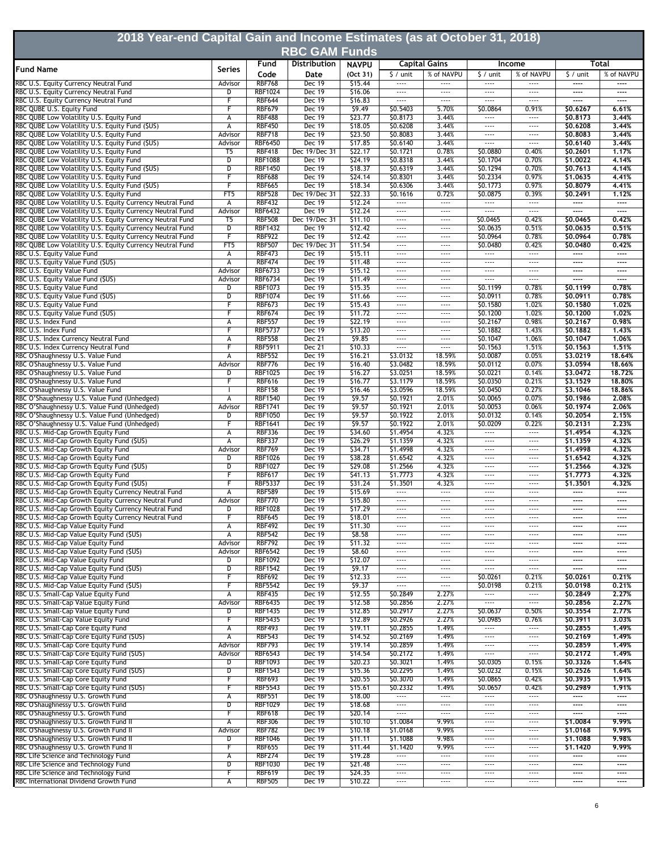| 2018 Year-end Capital Gain and Income Estimates (as at October 31, 2018)                                               |                              |                                  |                                |                    |                                   |                                      |                           |                                           |                      |                   |
|------------------------------------------------------------------------------------------------------------------------|------------------------------|----------------------------------|--------------------------------|--------------------|-----------------------------------|--------------------------------------|---------------------------|-------------------------------------------|----------------------|-------------------|
|                                                                                                                        |                              |                                  | <b>RBC GAM Funds</b>           |                    |                                   |                                      |                           |                                           |                      |                   |
|                                                                                                                        |                              | Fund                             | Distribution                   | <b>NAVPU</b>       |                                   | <b>Capital Gains</b>                 |                           | Income                                    |                      | Total             |
| <b>Fund Name</b>                                                                                                       | <b>Series</b>                | Code                             | Date                           | (Oct 31)           | $\frac{1}{2}$ / unit              | % of NAVPU                           | $\frac{1}{2}$ / unit      | % of NAVPU                                | $\frac{1}{2}$ / unit | % of NAVPU        |
| RBC U.S. Equity Currency Neutral Fund                                                                                  | Advisor                      | <b>RBF768</b>                    | Dec 19                         | \$15.44            | $\cdots$                          | $\cdots$                             | $\cdots$                  |                                           | ----                 | $---$             |
| RBC U.S. Equity Currency Neutral Fund<br>RBC U.S. Equity Currency Neutral Fund                                         | D<br>F                       | <b>RBF1024</b><br><b>RBF644</b>  | <b>Dec 19</b><br>Dec 19        | \$16.06<br>\$16.83 | $\cdots$<br>$\cdots$              | $\cdots$<br>$\cdots$                 | $\cdots$<br>$\cdots$      | $\cdots$<br>$\cdots$                      | ----<br>----         | ----<br>$---$     |
| RBC QUBE U.S. Equity Fund                                                                                              | F                            | <b>RBF679</b>                    | Dec 19                         | \$9.49             | \$0.5403                          | 5.70%                                | \$0.0864                  | 0.91%                                     | \$0,6267             | 6.61%             |
| RBC QUBE Low Volatility U.S. Equity Fund                                                                               | А                            | <b>RBF488</b>                    | Dec 19                         | \$23.77            | \$0.8173                          | 3.44%                                | $\cdots$                  |                                           | \$0,8173             | 3,44%             |
| RBC QUBE Low Volatility U.S. Equity Fund (\$US)<br>RBC QUBE Low Volatility U.S. Equity Fund                            | А<br>Advisor                 | <b>RBF450</b><br><b>RBF718</b>   | <b>Dec 19</b><br><b>Dec 19</b> | \$18.05<br>\$23.50 | \$0.6208<br>\$0.8083              | 3.44%<br>3.44%                       | $\cdots$<br>$\cdots$      | $\cdots$<br>$\cdots$                      | \$0.6208<br>\$0,8083 | 3.44%<br>3.44%    |
| RBC QUBE Low Volatility U.S. Equity Fund (\$US)                                                                        | Advisor                      | <b>RBF6450</b>                   | Dec 19                         | \$17.85            | \$0.6140                          | 3.44%                                | $\cdots$                  | $\cdots$                                  | \$0.6140             | 3.44%             |
| RBC QUBE Low Volatility U.S. Equity Fund                                                                               | T5                           | <b>RBF418</b>                    | Dec 19/Dec 31                  | \$22.17            | \$0.1721                          | 0.78%                                | \$0.0880                  | 0.40%                                     | \$0.2601             | 1.17%             |
| RBC QUBE Low Volatility U.S. Equity Fund                                                                               | D                            | <b>RBF1088</b>                   | <b>Dec 19</b>                  | \$24.19            | \$0.8318                          | 3.44%                                | \$0.1704                  | 0.70%                                     | \$1,0022             | 4.14%             |
| RBC QUBE Low Volatility U.S. Equity Fund (\$US)<br>RBC QUBE Low Volatility U.S. Equity Fund                            | D<br>F                       | <b>RBF1450</b><br><b>RBF688</b>  | Dec 19<br><b>Dec 19</b>        | \$18.37<br>\$24.14 | \$0.6319<br>\$0.8301              | 3.44%<br>3.44%                       | \$0.1294<br>\$0.2334      | 0.70%<br>0.97%                            | \$0,7613<br>\$1,0635 | 4.14%<br>4.41%    |
| RBC QUBE Low Volatility U.S. Equity Fund (\$US)                                                                        | F                            | <b>RBF665</b>                    | Dec 19                         | \$18.34            | \$0.6306                          | 3.44%                                | \$0.1773                  | 0.97%                                     | \$0.8079             | 4.41%             |
| RBC QUBE Low Volatility U.S. Equity Fund                                                                               | FT <sub>5</sub>              | <b>RBF528</b>                    | Dec 19/Dec 31                  | \$22.33            | \$0.1616                          | 0.72%                                | \$0.0875                  | 0.39%                                     | \$0.2491             | 1.12%             |
| RBC QUBE Low Volatility U.S. Equity Currency Neutral Fund<br>RBC QUBE Low Volatility U.S. Equity Currency Neutral Fund | $\overline{A}$<br>Advisor    | <b>RBF432</b><br><b>RBF6432</b>  | <b>Dec 19</b><br><b>Dec 19</b> | \$12.24<br>\$12.24 | $\overline{\phantom{a}}$<br>$---$ | $\overline{}$<br>$\cdots$            | $\overline{}$<br>$\cdots$ | $\overline{}$<br>$\overline{\phantom{a}}$ | ----<br>----         | $\cdots$<br>----  |
| RBC QUBE Low Volatility U.S. Equity Currency Neutral Fund                                                              | T5                           | <b>RBF508</b>                    | Dec 19/Dec 31                  | \$11.10            | $\cdots$                          | $\cdots$                             | \$0.0465                  | 0.42%                                     | \$0,0465             | 0.42%             |
| RBC QUBE Low Volatility U.S. Equity Currency Neutral Fund                                                              | D                            | <b>RBF1432</b>                   | Dec 19                         | \$12.42            | $\cdots$                          | $\cdots$                             | \$0.0635                  | 0.51%                                     | \$0,0635             | 0.51%             |
| RBC QUBE Low Volatility U.S. Equity Currency Neutral Fund                                                              | F                            | <b>RBF922</b>                    | <b>Dec 19</b>                  | \$12.42            | $\cdots$                          | $\cdots$                             | \$0.0964                  | 0.78%                                     | \$0.0964             | 0.78%             |
| RBC QUBE Low Volatility U.S. Equity Currency Neutral Fund                                                              | FT <sub>5</sub>              | <b>RBF507</b><br><b>RBF473</b>   | Dec 19/Dec 31<br><b>Dec 19</b> | \$11.54<br>\$15.11 | $\cdots$<br>$\cdots$              | $---$<br>$\cdots$                    | \$0.0480<br>$\cdots$      | 0.42%<br>$\cdots$                         | \$0,0480<br>----     | 0.42%<br>$\cdots$ |
| RBC U.S. Equity Value Fund<br>RBC U.S. Equity Value Fund (\$US)                                                        | А<br>А                       | <b>RBF474</b>                    | Dec 19                         | \$11.48            | $\cdots$                          | $\cdots$                             | $\cdots$                  | $\cdots$                                  | ----                 | ----              |
| RBC U.S. Equity Value Fund                                                                                             | Advisor                      | <b>RBF6733</b>                   | <b>Dec 19</b>                  | \$15.12            | $\cdots$                          | $---$                                | $\cdots$                  | $---$                                     | ----                 | ----              |
| RBC U.S. Equity Value Fund (\$US)                                                                                      | Advisor                      | <b>RBF6734</b>                   | <b>Dec 19</b>                  | \$11.49            | $\cdots$                          | $\cdots$                             |                           | $\cdots$                                  | ----                 | ----              |
| RBC U.S. Equity Value Fund<br>RBC U.S. Equity Value Fund (\$US)                                                        | D<br>$\overline{\mathsf{D}}$ | <b>RBF1073</b><br><b>RBF1074</b> | Dec 19<br>Dec 19               | \$15.35<br>\$11.66 | $\cdots$<br>$\cdots$              | $\sim$ $\sim$ $\sim$<br>$\cdots$     | \$0.1199<br>\$0.0911      | 0.78%<br>0.78%                            | \$0,1199<br>\$0.0911 | 0.78%<br>0.78%    |
| RBC U.S. Equity Value Fund                                                                                             | F                            | <b>RBF673</b>                    | <b>Dec 19</b>                  | \$15.43            | $\cdots$                          | $\cdots$                             | \$0.1580                  | 1.02%                                     | \$0.1580             | 1.02%             |
| RBC U.S. Equity Value Fund (\$US)                                                                                      | F                            | <b>RBF674</b>                    | Dec 19                         | \$11.72            | $\cdots$                          | $\sim$ $\sim$ $\sim$                 | \$0.1200                  | 1.02%                                     | \$0,1200             | 1.02%             |
| RBC U.S. Index Fund                                                                                                    | А                            | <b>RBF557</b>                    | <b>Dec 19</b>                  | \$22.19            | $\cdots$                          | $\cdots$                             | \$0.2167                  | 0.98%                                     | \$0,2167             | 0.98%             |
| RBC U.S. Index Fund                                                                                                    | F                            | <b>RBF5737</b>                   | Dec 19<br>Dec 21               | \$13.20            | <br>$\cdots$                      | $\cdots$<br>$---$                    | \$0.1882                  | 1.43%<br>1.06%                            | \$0.1882             | 1.43%<br>1.06%    |
| RBC U.S. Index Currency Neutral Fund<br>RBC U.S. Index Currency Neutral Fund                                           | А<br>F                       | <b>RBF558</b><br><b>RBF5911</b>  | Dec 21                         | \$9.85<br>\$10.33  | $\cdots$                          | $\cdots$                             | \$0.1047<br>\$0.1563      | 1.51%                                     | \$0.1047<br>\$0,1563 | 1.51%             |
| RBC O'Shaughnessy U.S. Value Fund                                                                                      | А                            | <b>RBF552</b>                    | Dec 19                         | \$16.21            | \$3.0132                          | 18.59%                               | \$0.0087                  | 0.05%                                     | \$3,0219             | 18.64%            |
| RBC O'Shaughnessy U.S. Value Fund                                                                                      | Advisor                      | <b>RBF776</b>                    | Dec 19                         | \$16.40            | \$3.0482                          | 18.59%                               | \$0.0112                  | 0.07%                                     | \$3.0594             | 18.66%            |
| RBC O'Shaughnessy U.S. Value Fund                                                                                      | D<br>F                       | <b>RBF1025</b><br><b>RBF616</b>  | <b>Dec 19</b><br><b>Dec 19</b> | \$16.27<br>\$16.77 | \$3.0251<br>\$3.1179              | 18.59%<br>18.59%                     | \$0.0221<br>\$0.0350      | 0.14%<br>0.21%                            | \$3,0472<br>\$3,1529 | 18,72%<br>18,80%  |
| RBC O'Shaughnessy U.S. Value Fund<br>RBC O'Shaughnessy U.S. Value Fund                                                 |                              | <b>RBF158</b>                    | Dec 19                         | \$16.46            | \$3.0596                          | 18.59%                               | \$0.0450                  | 0.27%                                     | \$3,1046             | 18,86%            |
| RBC O'Shaughnessy U.S. Value Fund (Unhedged)                                                                           | А                            | <b>RBF1540</b>                   | <b>Dec 19</b>                  | \$9.57             | \$0.1921                          | 2.01%                                | \$0.0065                  | 0.07%                                     | \$0.1986             | 2.08%             |
| RBC O'Shaughnessy U.S. Value Fund (Unhedged)                                                                           | Advisor                      | <b>RBF1741</b>                   | Dec 19                         | 59.57              | \$0.1921                          | 2.01%                                | \$0.0053                  | 0.06%                                     | \$0.1974             | 2,06%             |
| RBC O'Shaughnessy U.S. Value Fund (Unhedged)<br>RBC O'Shaughnessy U.S. Value Fund (Unhedged)                           | D<br>F                       | <b>RBF1050</b><br><b>RBF1641</b> | <b>Dec 19</b><br><b>Dec 19</b> | 59.57<br>59.57     | \$0.1922<br>\$0.1922              | 2.01%<br>2.01%                       | \$0.0132<br>\$0.0209      | 0.14%<br>0.22%                            | \$0.2054<br>\$0.2131 | 2.15%<br>2.23%    |
| RBC U.S. Mid-Cap Growth Equity Fund                                                                                    | А                            | <b>RBF336</b>                    | Dec 19                         | \$34.60            | \$1.4954                          | 4.32%                                | $\cdots$                  | $\cdots$                                  | \$1.4954             | 4.32%             |
| RBC U.S. Mid-Cap Growth Equity Fund (\$US)                                                                             | A                            | <b>RBF337</b>                    | <b>Dec 19</b>                  | \$26.29            | \$1.1359                          | 4.32%                                | $\cdots$                  | $\cdots$                                  | \$1,1359             | 4.32%             |
| RBC U.S. Mid-Cap Growth Equity Fund                                                                                    | Advisor                      | <b>RBF769</b>                    | Dec 19                         | \$34.71            | \$1,4998                          | 4.32%                                | ----                      | $---$                                     | \$1.4998             | 4.32%             |
| RBC U.S. Mid-Cap Growth Equity Fund<br>RBC U.S. Mid-Cap Growth Equity Fund (\$US)                                      | D<br>D                       | <b>RBF1026</b><br><b>RBF1027</b> | Dec 19<br>Dec 19               | \$38.28<br>\$29.08 | \$1.6542<br>\$1.2566              | 4.32%<br>4.32%                       | $\cdots$<br>$\cdots$      | ----<br>$\cdots$                          | \$1.6542<br>\$1.2566 | 4.32%<br>4.32%    |
| RBC U.S. Mid-Cap Growth Equity Fund                                                                                    | F                            | <b>RBF617</b>                    | <b>Dec 19</b>                  | 541.13             | \$1.7773                          | 4.32%                                | $\cdots$                  | $\cdots$                                  | \$1,7773             | 4.32%             |
| RBC U.S. Mid-Cap Growth Equity Fund (\$US)                                                                             | F                            | <b>RBF5337</b>                   | Dec 19                         | \$31.24            | \$1.3501                          | 4.32%                                | ----                      | ----                                      | \$1,3501             | 4.32%             |
| RBC U.S. Mid-Cap Growth Equity Currency Neutral Fund                                                                   | А                            | <b>RBF589</b>                    | Dec 19                         | \$15.69            | $\cdots$                          | $\overline{\phantom{a}}$             | $\cdots$                  | $\cdots$                                  | ----                 | ----              |
| RBC U.S. Mid-Cap Growth Equity Currency Neutral Fund<br>RBC U.S. Mid-Cap Growth Equity Currency Neutral Fund           | Advisor<br>D                 | <b>RBF770</b><br><b>RBF1028</b>  | Dec 19<br><b>Dec 19</b>        | \$15.80<br>\$17.29 | $\cdots$<br>$\cdots$              | $\cdots$<br>$\cdots$                 | $\cdots$<br>----          | $\cdots$<br>----                          | ----<br>----         | ----<br>----      |
| RBC U.S. Mid-Cap Growth Equity Currency Neutral Fund                                                                   | F                            | <b>RBF645</b>                    | Dec 19                         | \$18.01            | $- - - -$                         | $- - - -$                            | $---$                     | $\cdots$                                  | ----                 | ----              |
| RBC U.S. Mid-Cap Value Equity Fund                                                                                     | А                            | <b>RBF492</b>                    | Dec 19                         | \$11.30            | $\cdots$                          | $\cdots$                             | $\cdots$                  | $\cdots$                                  | ----                 | $---$             |
| RBC U.S. Mid-Cap Value Equity Fund (\$US)                                                                              | $\overline{A}$               | <b>RBF542</b>                    | <b>Dec 19</b>                  | \$8.58             | $\cdots$                          | $\cdots$                             | $\cdots$                  | $\cdots$                                  | ----                 | $- - - -$         |
| RBC U.S. Mid-Cap Value Equity Fund<br>RBC U.S. Mid-Cap Value Equity Fund (\$US)                                        | Advisor<br>Advisor           | <b>RBF792</b><br><b>RBF6542</b>  | Dec 19<br><b>Dec 19</b>        | \$11.32<br>\$8.60  | <br>$\cdots$                      | $\cdots$<br>$\cdots$                 | ----<br>$\cdots$          | ----<br>$\cdots$                          | ----<br>----         | ----<br>$---$     |
| RBC U.S. Mid-Cap Value Equity Fund                                                                                     | D                            | <b>RBF1092</b>                   | Dec 19                         | \$12.07            | $\cdots$                          | $\cdots$                             | $\cdots$                  | $\cdots$                                  | ----                 | $\cdots$          |
| RBC U.S. Mid-Cap Value Equity Fund (\$US)                                                                              | ᢧ                            | <b>RBF1542</b>                   | Dec 19                         | 59.17              | $---$                             | $\cdots$                             | $\cdots$                  | $\cdots$                                  | ----                 | ----              |
| RBC U.S. Mid-Cap Value Equity Fund                                                                                     | F                            | <b>RBF692</b>                    | Dec 19                         | \$12.33            | $\cdots$                          | $---$                                | \$0.0261                  | 0.21%                                     | \$0,0261             | 0.21%             |
| RBC U.S. Mid-Cap Value Equity Fund (\$US)<br>RBC U.S. Small-Cap Value Equity Fund                                      | F<br>A                       | <b>RBF5542</b><br><b>RBF435</b>  | Dec 19<br>Dec 19               | \$9.37<br>\$12.55  | $\cdots$<br>\$0.2849              | $\cdots$<br>2.27%                    | \$0.0198<br>$\cdots$      | 0.21%<br>$\dots$ .                        | \$0.0198<br>\$0.2849 | 0.21%<br>2.27%    |
| RBC U.S. Small-Cap Value Equity Fund                                                                                   | Advisor                      | <b>RBF6435</b>                   | <b>Dec 19</b>                  | \$12.58            | \$0.2856                          | 2.27%                                | $\cdots$                  | $\cdots$                                  | \$0,2856             | 2.27%             |
| RBC U.S. Small-Cap Value Equity Fund                                                                                   | D                            | <b>RBF1435</b>                   | <b>Dec 19</b>                  | \$12.85            | \$0.2917                          | 2.27%                                | \$0.0637                  | 0.50%                                     | \$0.3554             | 2.77%             |
| RBC U.S. Small-Cap Value Equity Fund                                                                                   | F                            | <b>RBF5435</b>                   | Dec 19                         | \$12.89            | \$0.2926                          | 2.27%                                | S0.0985                   | 0.76%                                     | \$0.3911             | 3.03%             |
| RBC U.S. Small-Cap Core Equity Fund<br>RBC U.S. Small-Cap Core Equity Fund (\$US)                                      | А<br>А                       | <b>RBF493</b><br><b>RBF543</b>   | <b>Dec 19</b><br>Dec 19        | \$19.11<br>\$14.52 | \$0.2855<br>\$0.2169              | 1.49%<br>1.49%                       | $\cdots$<br>$\cdots$      | $\cdots$<br>$\cdots$                      | \$0.2855<br>\$0.2169 | 1.49%<br>1.49%    |
| RBC U.S. Small-Cap Core Equity Fund                                                                                    | Advisor                      | <b>RBF793</b>                    | Dec 19                         | \$19.14            | \$0.2859                          | 1.49%                                | $\cdots$                  | $\cdots$                                  | \$0.2859             | 1.49%             |
| RBC U.S. Small-Cap Core Equity Fund (\$US)                                                                             | Advisor                      | RBF6543                          | Dec 19                         | \$14.54            | \$0.2172                          | 1.49%                                | $\cdots$                  | $\cdots$                                  | \$0.2172             | 1.49%             |
| RBC U.S. Small-Cap Core Equity Fund                                                                                    | D                            | <b>RBF1093</b>                   | Dec 19                         | \$20.23            | \$0.3021                          | 1.49%                                | \$0.0305                  | 0.15%                                     | \$0.3326             | 1.64%             |
| RBC U.S. Small-Cap Core Equity Fund (\$US)<br>RBC U.S. Small-Cap Core Equity Fund                                      | D<br>F                       | <b>RBF1543</b><br><b>RBF693</b>  | <b>Dec 19</b><br><b>Dec 19</b> | \$15.36<br>\$20.55 | \$0.2295<br>\$0.3070              | 1.49%<br>1.49%                       | \$0.0232<br>\$0.0865      | 0.15%<br>0.42%                            | \$0.2526<br>\$0.3935 | 1.64%<br>1.91%    |
| RBC U.S. Small-Cap Core Equity Fund (\$US)                                                                             | F                            | <b>RBF5543</b>                   | <b>Dec 19</b>                  | \$15.61            | \$0.2332                          | 1.49%                                | \$0.0657                  | 0.42%                                     | \$0.2989             | 1.91%             |
| RBC O'Shaughnessy U.S. Growth Fund                                                                                     | А                            | <b>RBF551</b>                    | Dec 19                         | \$18.00            | $---$                             | $\cdots$                             | $\cdots$                  | $\cdots$                                  | ----                 | $---$             |
| RBC O'Shaughnessy U.S. Growth Fund                                                                                     | D                            | <b>RBF1029</b>                   | Dec 19                         | \$18.68            | $\cdots$                          | $\cdots$                             | $\cdots$                  | $\cdots$                                  | ----                 | ----              |
| RBC O'Shaughnessy U.S. Growth Fund<br>RBC O'Shaughnessy U.S. Growth Fund II                                            | F<br>А                       | <b>RBF618</b><br><b>RBF306</b>   | Dec 19<br><b>Dec 19</b>        | \$20.14<br>\$10.10 | $\cdots$<br>\$1.0084              | $\cdots$<br>9.99%                    | $\cdots$<br>$\cdots$      | $\cdots$<br>----                          | ----<br>\$1,0084     | $\cdots$<br>9.99% |
| RBC O'Shaughnessy U.S. Growth Fund II                                                                                  | Advisor                      | <b>RBF782</b>                    | Dec 19                         | \$10.18            | \$1.0168                          | 9.99%                                | $\cdots$                  | $\cdots$                                  | \$1,0168             | 9.99%             |
| RBC O'Shaughnessy U.S. Growth Fund II                                                                                  | D                            | <b>RBF1046</b>                   | <b>Dec 19</b>                  | \$11.11            | \$1.1088                          | 9.98%                                | $\cdots$                  | $---$                                     | \$1,1088             | 9.98%             |
| RBC O'Shaughnessy U.S. Growth Fund II                                                                                  | F                            | <b>RBF655</b>                    | <b>Dec 19</b>                  | \$11.44            | \$1.1420                          | 9.99%                                | $\cdots$                  | $\cdots$                                  | \$1,1420             | 9.99%             |
| RBC Life Science and Technology Fund<br>RBC Life Science and Technology Fund                                           | А<br>D                       | <b>RBF274</b><br><b>RBF1030</b>  | <b>Dec 19</b><br>Dec 19        | \$19.28<br>\$21.48 | <br>$\cdots$                      | $\overline{\phantom{a}}$<br>$\cdots$ | <br>$\cdots$              | ----<br>$\cdots$                          | ----<br>----         | ----<br>$\cdots$  |
| RBC Life Science and Technology Fund                                                                                   | F                            | <b>RBF619</b>                    | Dec 19                         | \$24.35            | $\cdots$                          | $---$                                | $\cdots$                  | $\cdots$                                  | ----                 | $---$             |
| RBC International Dividend Growth Fund                                                                                 | А                            | <b>RBF505</b>                    | <b>Dec 19</b>                  | \$10.22            | ----                              | $\cdots$                             | $\cdots$                  | $\cdots$                                  | ----                 | ----              |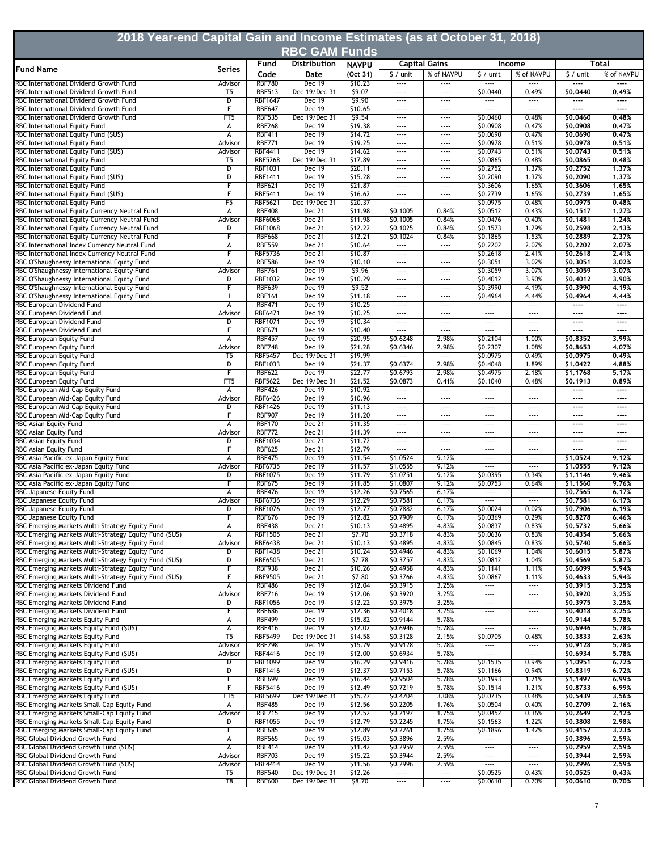| 2018 Year-end Capital Gain and Income Estimates (as at October 31, 2018)<br><b>RBC GAM Funds</b>          |                         |                                  |                                |                    |                      |                                   |                      |                                      |                      |                   |  |
|-----------------------------------------------------------------------------------------------------------|-------------------------|----------------------------------|--------------------------------|--------------------|----------------------|-----------------------------------|----------------------|--------------------------------------|----------------------|-------------------|--|
|                                                                                                           |                         | Fund                             | Distribution                   | <b>NAVPU</b>       |                      | <b>Capital Gains</b>              | Income               |                                      | Total                |                   |  |
| <b>Fund Name</b>                                                                                          | Series                  | Code                             | Date                           | (Oct 31)           | $\frac{1}{2}$ / unit | % of NAVPU                        | $\frac{1}{2}$ / unit | % of NAVPU                           | $\frac{1}{2}$ / unit | % of NAVPU        |  |
| RBC International Dividend Growth Fund<br>RBC International Dividend Growth Fund                          | Advisor                 | <b>RBF780</b>                    | Dec 19                         | \$10.23            |                      |                                   |                      |                                      | ----<br>\$0.0440     | ----              |  |
| RBC International Dividend Growth Fund                                                                    | T <sub>5</sub><br>D     | <b>RBF513</b><br><b>RBF1647</b>  | Dec 19/Dec 31<br>Dec 19        | \$9.07<br>\$9.90   | $\cdots$<br>$\cdots$ | $\cdots$<br>$\cdots$              | \$0.0440<br>$\cdots$ | 0.49%<br>$\cdots$                    | ----                 | 0.49%<br>$\cdots$ |  |
| RBC International Dividend Growth Fund                                                                    | F                       | <b>RBF647</b>                    | Dec 19                         | \$10.65            | $\cdots$             | $\cdots$                          |                      | $\cdots$                             | ----                 | ----              |  |
| RBC International Dividend Growth Fund                                                                    | FT <sub>5</sub>         | <b>RBF535</b>                    | Dec 19/Dec 31                  | \$9.54             | $\cdots$             | $\cdots$                          | \$0.0460             | 0.48%                                | \$0,0460             | 0.48%             |  |
| RBC International Equity Fund<br>RBC International Equity Fund (\$US)                                     | А<br>А                  | <b>RBF268</b><br><b>RBF411</b>   | <b>Dec 19</b><br><b>Dec 19</b> | \$19.38<br>\$14.72 | $\cdots$<br>----     | $\cdots$<br>----                  | \$0.0908<br>\$0.0690 | 0.47%<br>0.47%                       | \$0,0908<br>\$0,0690 | 0.47%<br>0.47%    |  |
| RBC International Equity Fund                                                                             | Advisor                 | <b>RBF771</b>                    | Dec 19                         | \$19.25            | $\cdots$             | $\cdots$                          | \$0.0978             | 0.51%                                | \$0.0978             | 0.51%             |  |
| RBC International Equity Fund (\$US)                                                                      | Advisor                 | <b>RBF4411</b>                   | Dec 19                         | \$14.62            | $\cdots$             | $\cdots$                          | \$0.0743             | 0.51%                                | \$0.0743             | 0.51%             |  |
| RBC International Equity Fund<br>RBC International Equity Fund                                            | T5<br>D                 | <b>RBF5268</b><br>RBF1031        | Dec 19/Dec 31<br>Dec 19        | \$17.89<br>\$20.11 | $\cdots$<br>$\cdots$ | $\cdots$<br>$\cdots$              | \$0.0865<br>\$0.2752 | 0.48%<br>1.37%                       | \$0.0865<br>\$0.2752 | 0.48%<br>1.37%    |  |
| RBC International Equity Fund (\$US)                                                                      | D                       | <b>RBF1411</b>                   | Dec 19                         | \$15.28            | $\cdots$             | $\cdots$                          | \$0.2090             | 1.37%                                | \$0,2090             | 1.37%             |  |
| RBC International Equity Fund                                                                             |                         | <b>RBF621</b>                    | <b>Dec 19</b>                  | \$21.87            | $\cdots$             | $\cdots$                          | \$0.3606             | 1.65%                                | \$0,3606             | 1.65%             |  |
| RBC International Equity Fund (\$US)<br>RBC International Equity Fund                                     | F<br>F5                 | <b>RBF5411</b><br><b>RBF5621</b> | <b>Dec 19</b><br>Dec 19/Dec 31 | \$16.62<br>\$20.37 | $\cdots$<br>$\cdots$ | $\cdots$<br>$\cdots$              | \$0.2739<br>\$0.0975 | 1.65%<br>0.48%                       | \$0,2739<br>\$0.0975 | 1.65%<br>0.48%    |  |
| RBC International Equity Currency Neutral Fund                                                            | А                       | <b>RBF408</b>                    | Dec 21                         | \$11.98            | \$0.1005             | 0.84%                             | \$0.0512             | 0.43%                                | \$0.1517             | 1.27%             |  |
| RBC International Equity Currency Neutral Fund                                                            | Advisor                 | <b>RBF6068</b>                   | Dec 21                         | \$11.98            | \$0.1005             | 0.84%                             | \$0.0476             | 0.40%                                | \$0.1481             | 1.24%             |  |
| RBC International Equity Currency Neutral Fund                                                            | D                       | <b>RBF1068</b>                   | Dec 21                         | \$12.22            | \$0.1025             | 0.84%                             | \$0.1573             | 1.29%                                | \$0.2598             | 2.13%             |  |
| RBC International Equity Currency Neutral Fund                                                            |                         | <b>RBF668</b><br><b>RBF559</b>   | <b>Dec 21</b><br>Dec 21        | \$12.21<br>\$10.64 | \$0.1024<br>$\cdots$ | 0.84%<br>$\dots$ .                | \$0.1865<br>\$0.2202 | 1.53%<br>2.07%                       | \$0.2889<br>\$0,2202 | 2.37%<br>2,07%    |  |
| RBC International Index Currency Neutral Fund<br>RBC International Index Currency Neutral Fund            | А<br>F                  | <b>RBF5736</b>                   | Dec 21                         | \$10.87            | $\cdots$             | $\cdots$                          | \$0.2618             | 2.41%                                | \$0.2618             | 2.41%             |  |
| RBC O'Shaughnessy International Equity Fund                                                               | А                       | <b>RBF586</b>                    | <b>Dec 19</b>                  | \$10.10            | $\cdots$             | $\cdots$                          | \$0.3051             | 3.02%                                | \$0.3051             | 3.02%             |  |
| RBC O'Shaughnessy International Equity Fund                                                               | Advisor                 | <b>RBF761</b>                    | Dec 19                         | 59.96              | $\cdots$             | $\cdots$                          | \$0.3059             | 3.07%                                | \$0,3059             | 3,07%             |  |
| RBC O'Shaughnessy International Equity Fund                                                               | D                       | <b>RBF1032</b><br><b>RBF639</b>  | <b>Dec 19</b><br><b>Dec 19</b> | \$10.29            | $\cdots$<br>$\cdots$ | $\cdots$<br>$\cdots$              | S0.4012              | 3.90%<br>4.19%                       | \$0,4012<br>\$0.3990 | 3.90%             |  |
| RBC O'Shaughnessy International Equity Fund<br>RBC O'Shaughnessy International Equity Fund                |                         | <b>RBF161</b>                    | Dec 19                         | \$9.52<br>\$11.18  | $\cdots$             | $\cdots$                          | \$0.3990<br>\$0.4964 | 4.44%                                | \$0.4964             | 4.19%<br>4.44%    |  |
| RBC European Dividend Fund                                                                                | А                       | <b>RBF471</b>                    | Dec 19                         | \$10.25            | $\cdots$             | $\cdots$                          | $\cdots$             | $\cdots$                             | ----                 | $---$             |  |
| RBC European Dividend Fund                                                                                | Advisor                 | <b>RBF6471</b>                   | <b>Dec 19</b>                  | \$10.25            | $\cdots$             | $\cdots$                          | $\cdots$             | $\cdots$                             | ----                 | ----              |  |
| RBC European Dividend Fund                                                                                | D                       | <b>RBF1071</b>                   | Dec 19                         | \$10.34            | $\cdots$             | $\cdots$                          |                      | $\cdots$                             | ----                 | $---$             |  |
| RBC European Dividend Fund<br>RBC European Equity Fund                                                    | А                       | <b>RBF671</b><br><b>RBF457</b>   | <b>Dec 19</b><br><b>Dec 19</b> | \$10.40<br>\$20.95 | <br>\$0.6248         | $\overline{}$<br>2.98%            | $\cdots$<br>\$0.2104 | $\cdots$<br>1.00%                    | ----<br>\$0.8352     | $---$<br>3.99%    |  |
| RBC European Equity Fund                                                                                  | Advisor                 | <b>RBF748</b>                    | Dec 19                         | \$21.28            | \$0.6346             | 2.98%                             | \$0.2307             | 1.08%                                | \$0,8653             | 4.07%             |  |
| RBC European Equity Fund                                                                                  | T5                      | <b>RBF5457</b>                   | Dec 19/Dec 31                  | \$19.99            |                      |                                   | \$0.0975             | 0.49%                                | \$0.0975             | 0.49%             |  |
| RBC European Equity Fund                                                                                  | D                       | <b>RBF1033</b>                   | <b>Dec 19</b>                  | \$21.37            | \$0.6374             | 2.98%                             | \$0.4048             | 1.89%                                | \$1,0422             | 4.88%             |  |
| RBC European Equity Fund<br>RBC European Equity Fund                                                      | F<br>FT <sub>5</sub>    | <b>RBF622</b><br><b>RBF5622</b>  | Dec 19<br>Dec 19/Dec 31        | \$22.77<br>\$21.52 | \$0.6793<br>\$0.0873 | 2.98%<br>0.41%                    | \$0.4975<br>\$0.1040 | 2.18%<br>0.48%                       | \$1,1768<br>\$0.1913 | 5.17%<br>0.89%    |  |
| RBC European Mid-Cap Equity Fund                                                                          | А                       | <b>RBF426</b>                    | <b>Dec 19</b>                  | \$10.92            | $\cdots$             | $\dots$ .                         | $\cdots$             | $\cdots$                             | ----                 | $---$             |  |
| RBC European Mid-Cap Equity Fund                                                                          | Advisor                 | <b>RBF6426</b>                   | Dec 19                         | \$10.96            | $\cdots$             | $\cdots$                          | $\cdots$             | $\cdots$                             | ----                 | ----              |  |
| RBC European Mid-Cap Equity Fund                                                                          | D                       | <b>RBF1426</b>                   | Dec 19                         | \$11.13            | $\cdots$             | $\cdots$                          |                      | $\cdots$                             | ----                 | $---$             |  |
| RBC European Mid-Cap Equity Fund<br>RBC Asian Equity Fund                                                 | F<br>А                  | <b>RBF907</b><br><b>RBF170</b>   | Dec 19<br>Dec 21               | \$11.20<br>\$11.35 | $\cdots$<br>$\cdots$ | $\cdots$<br>$\cdots$              | $\cdots$<br>$\cdots$ | $\cdots$<br>$- - - -$                | ----<br>----         | ----<br>$---$     |  |
| RBC Asian Equity Fund                                                                                     | Advisor                 | <b>RBF772</b>                    | Dec 21                         | 511.39             | $\cdots$             | $\cdots$                          | $\cdots$             | $\cdots$                             | ----                 | $---$             |  |
| RBC Asian Equity Fund                                                                                     | D                       | <b>RBF1034</b>                   | Dec 21                         | \$11.72            | $\cdots$             | $\cdots$                          |                      | $\cdots$                             | ----                 | $---$             |  |
| RBC Asian Equity Fund                                                                                     |                         | <b>RBF625</b>                    | <b>Dec 21</b>                  | \$12.79            |                      | $\cdots$                          | $\cdots$             | $\cdots$                             | ----                 | $---$             |  |
| RBC Asia Pacific ex-Japan Equity Fund<br>RBC Asia Pacific ex-Japan Equity Fund                            | А<br>Advisor            | <b>RBF475</b><br><b>RBF6735</b>  | Dec 19<br><b>Dec 19</b>        | \$11.54<br>\$11.57 | \$1.0524<br>\$1.0555 | 9.12%<br>9.12%                    | $\cdots$<br>         | $\cdots$<br>$\cdots$                 | \$1,0524<br>\$1.0555 | 9.12%<br>9.12%    |  |
| RBC Asia Pacific ex-Japan Equity Fund                                                                     | D                       | <b>RBF1075</b>                   | <b>Dec 19</b>                  | \$11.79            | \$1.0751             | 9.12%                             | \$0.0395             | 0.34%                                | \$1.1146             | 9.46%             |  |
| RBC Asia Pacific ex-Japan Equity Fund                                                                     | F                       | <b>RBF675</b>                    | <b>Dec 19</b>                  | 511.85             | \$1.0807             | 9.12%                             | \$0.0753             | 0.64%                                | \$1,1560             | 9.76%             |  |
| RBC Japanese Equity Fund                                                                                  | A                       | <b>RBF476</b>                    | <b>Dec 19</b>                  | \$12.26            | \$0.7565             | 6.17%                             | $\cdots$             | $\cdots$                             | \$0.7565             | 6.17%             |  |
| RBC Japanese Equity Fund<br>RBC Japanese Equity Fund                                                      | Advisor<br>D            | <b>RBF6736</b><br><b>RBF1076</b> | Dec 19<br>Dec 19               | \$12.29<br>\$12.77 | \$0.7581<br>\$0.7882 | 6.17%<br>6.17%                    | $\cdots$<br>\$0.0024 | $\cdots$<br>0.02%                    | \$0.7581<br>\$0,7906 | 6.17%<br>6,19%    |  |
| RBC Japanese Equity Fund                                                                                  | F                       | <b>RBF676</b>                    | Dec 19                         | \$12.82            | \$0.7909             | 6.17%                             | \$0.0369             | 0.29%                                | \$0.8278             | 6.46%             |  |
| RBC Emerging Markets Multi-Strategy Equity Fund                                                           | А                       | <b>RBF438</b>                    | Dec 21                         | \$10.13            | \$0.4895             | 4.83%                             | \$0.0837             | 0.83%                                | \$0.5732             | 5.66%             |  |
| RBC Emerging Markets Multi-Strategy Equity Fund (\$US)                                                    | $\overline{\mathsf{A}}$ | <b>RBF1505</b>                   | Dec 21                         | \$7.70             | \$0.3718             | 4.83%                             | \$0.0636             | 0.83%                                | \$0.4354             | 5.66%             |  |
| RBC Emerging Markets Multi-Strategy Equity Fund                                                           | Advisor                 | <b>RBF6438</b>                   | Dec 21                         | \$10.13<br>\$10.24 | \$0.4895             | 4.83%<br>4.83%                    | \$0.0845             | 0.83%                                | \$0.5740             | 5.66%<br>5,87%    |  |
| RBC Emerging Markets Multi-Strategy Equity Fund<br>RBC Emerging Markets Multi-Strategy Equity Fund (\$US) | D<br>D                  | <b>RBF1438</b><br><b>RBF6505</b> | Dec 21<br>Dec 21               | 57.78              | \$0.4946<br>\$0.3757 | 4.83%                             | \$0.1069<br>\$0.0812 | 1.04%<br>1.04%                       | \$0.6015<br>\$0.4569 | 5.87%             |  |
| RBC Emerging Markets Multi-Strategy Equity Fund                                                           | F                       | <b>RBF938</b>                    | <b>Dec 21</b>                  | \$10.26            | \$0.4958             | 4.83%                             | \$0.1141             | 1.11%                                | \$0.6099             | 5.94%             |  |
| RBC Emerging Markets Multi-Strategy Equity Fund (\$US)                                                    | F                       | <b>RBF9505</b>                   | Dec 21                         | \$7.80             | \$0.3766             | 4.83%                             | \$0.0867             | 1.11%                                | \$0,4633             | 5.94%             |  |
| RBC Emerging Markets Dividend Fund                                                                        | А                       | <b>RBF486</b>                    | Dec 19<br><b>Dec 19</b>        | \$12.04            | \$0.3915             | 3.25%<br>3.25%                    | $\cdots$<br>$\cdots$ | $\overline{\phantom{a}}$<br>$\cdots$ | \$0,3915             | 3.25%             |  |
| RBC Emerging Markets Dividend Fund<br>RBC Emerging Markets Dividend Fund                                  | Advisor<br>D            | <b>RBF716</b><br><b>RBF1056</b>  | <b>Dec 19</b>                  | \$12.06<br>\$12.22 | \$0.3920<br>\$0.3975 | 3.25%                             | $\cdots$             | $\cdots$                             | \$0.3920<br>\$0.3975 | 3.25%<br>3,25%    |  |
| RBC Emerging Markets Dividend Fund                                                                        | F                       | <b>RBF686</b>                    | <b>Dec 19</b>                  | \$12.36            | \$0.4018             | 3.25%                             | $\cdots$             | $\cdots$                             | \$0,4018             | 3,25%             |  |
| RBC Emerging Markets Equity Fund                                                                          | А                       | <b>RBF499</b>                    | Dec 19                         | \$15.82            | \$0.9144             | 5.78%                             | ----                 | $---$                                | \$0.9144             | 5.78%             |  |
| RBC Emerging Markets Equity Fund (\$US)<br>RBC Emerging Markets Equity Fund                               | А<br>T5                 | <b>RBF416</b>                    | Dec 19<br>Dec 19/Dec 31        | \$12.02<br>\$14.58 | \$0.6946<br>\$0.3128 | 5.78%<br>2.15%                    |                      | $\cdots$                             | \$0.6946<br>\$0.3833 | 5.78%             |  |
| RBC Emerging Markets Equity Fund                                                                          | Advisor                 | <b>RBF5499</b><br><b>RBF798</b>  | Dec 19                         | \$15.79            | \$0.9128             | 5.78%                             | \$0.0705<br>$\cdots$ | 0.48%<br>$\cdots$                    | \$0.9128             | 2.63%<br>5,78%    |  |
| RBC Emerging Markets Equity Fund (\$US)                                                                   | Advisor                 | <b>RBF4416</b>                   | Dec 19                         | \$12.00            | \$0.6934             | 5.78%                             |                      | $\cdots$                             | \$0.6934             | 5.78%             |  |
| RBC Emerging Markets Equity Fund                                                                          | D                       | <b>RBF1099</b>                   | Dec 19                         | \$16.29            | \$0.9416             | 5.78%                             | \$0.1535             | 0.94%                                | \$1.0951             | 6.72%             |  |
| RBC Emerging Markets Equity Fund (\$US)                                                                   | D                       | <b>RBF1416</b><br><b>RBF699</b>  | <b>Dec 19</b><br><b>Dec 19</b> | \$12.37            | \$0.7153             | 5.78%                             | \$0.1166             | 0.94%                                | \$0.8319             | 6,72%<br>6.99%    |  |
| RBC Emerging Markets Equity Fund<br>RBC Emerging Markets Equity Fund (\$US)                               | F<br>F                  | <b>RBF5416</b>                   | <b>Dec 19</b>                  | \$16.44<br>\$12.49 | \$0.9504<br>\$0.7219 | 5.78%<br>5.78%                    | \$0.1993<br>\$0.1514 | 1.21%<br>1.21%                       | \$1.1497<br>\$0.8733 | 6.99%             |  |
| RBC Emerging Markets Equity Fund                                                                          | FT5                     | <b>RBF5699</b>                   | Dec 19/Dec 31                  | \$15.27            | \$0.4704             | 3.08%                             | \$0.0735             | 0.48%                                | \$0.5439             | 3.56%             |  |
| RBC Emerging Markets Small-Cap Equity Fund                                                                | А                       | <b>RBF485</b>                    | <b>Dec 19</b>                  | \$12.56            | \$0.2205             | 1.76%                             | \$0.0504             | 0.40%                                | \$0.2709             | 2.16%             |  |
| RBC Emerging Markets Small-Cap Equity Fund                                                                | Advisor                 | <b>RBF715</b>                    | Dec 19                         | \$12.52            | 50.2197              | 1.75%                             | \$0.0452             | 0.36%                                | \$0.2649             | 2.12%             |  |
| RBC Emerging Markets Small-Cap Equity Fund<br>RBC Emerging Markets Small-Cap Equity Fund                  | D<br>F                  | <b>RBF1055</b><br><b>RBF685</b>  | Dec 19<br>Dec 19               | \$12.79<br>\$12.89 | \$0.2245<br>\$0.2261 | 1.75%<br>1.75%                    | \$0.1563<br>\$0.1896 | 1.22%<br>1.47%                       | \$0.3808<br>\$0.4157 | 2.98%<br>3.23%    |  |
| RBC Global Dividend Growth Fund                                                                           | А                       | <b>RBF565</b>                    | Dec 19                         | \$15.03            | \$0.3896             | 2.59%                             | $\cdots$             | $\cdots$                             | \$0.3896             | 2,59%             |  |
| RBC Global Dividend Growth Fund (\$US)                                                                    | $\overline{A}$          | <b>RBF414</b>                    | Dec 19                         | \$11.42            | \$0.2959             | 2.59%                             | $\cdots$             | $\overline{\phantom{a}}$             | \$0.2959             | 2.59%             |  |
| RBC Global Dividend Growth Fund                                                                           | Advisor                 | <b>RBF703</b>                    | <b>Dec 19</b>                  | \$15.22            | \$0.3944             | 2.59%                             | $\cdots$             |                                      | \$0.3944             | 2.59%             |  |
| RBC Global Dividend Growth Fund (\$US)<br>RBC Global Dividend Growth Fund                                 | Advisor<br>T5           | <b>RBF4414</b><br><b>RBF540</b>  | <b>Dec 19</b><br>Dec 19/Dec 31 | \$11.56<br>\$12.26 | \$0.2996<br>         | 2.59%<br>$\overline{\phantom{a}}$ | $\cdots$<br>\$0.0525 | $\cdots$<br>0.43%                    | \$0.2996<br>\$0.0525 | 2.59%<br>0.43%    |  |
| RBC Global Dividend Growth Fund                                                                           | T8                      | <b>RBF600</b>                    | Dec 19/Dec 31                  | \$8.70             | $\cdots$             | $\cdots$                          | \$0.0610             | 0.70%                                | \$0.0610             | 0,70%             |  |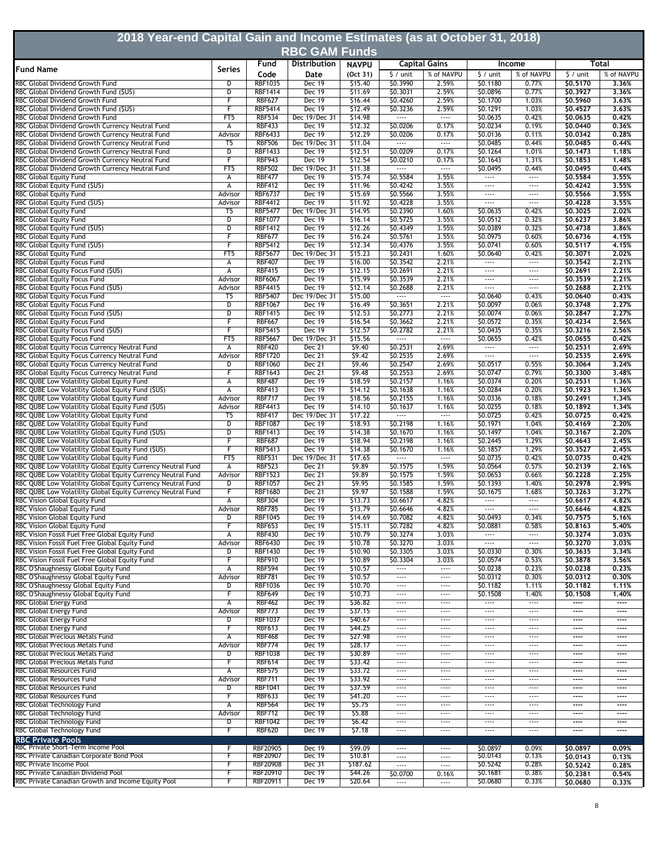| 2018 Year-end Capital Gain and Income Estimates (as at October 31, 2018)                             |                         |                                  |                                |                    |                                      |                          |                                      |                                   |                      |                      |
|------------------------------------------------------------------------------------------------------|-------------------------|----------------------------------|--------------------------------|--------------------|--------------------------------------|--------------------------|--------------------------------------|-----------------------------------|----------------------|----------------------|
|                                                                                                      |                         |                                  | <b>RBC GAM Funds</b>           |                    |                                      |                          |                                      |                                   |                      |                      |
| <b>Fund Name</b>                                                                                     | Series                  | Fund                             | Distribution                   | <b>NAVPU</b>       |                                      | <b>Capital Gains</b>     |                                      | Income                            |                      | Total                |
|                                                                                                      |                         | Code                             | Date                           | (Oct 31)           | $\frac{1}{2}$ / unit                 | % of NAVPU               | $$/$ unit                            | % of NAVPU                        | $\frac{1}{2}$ / unit | % of NAVPU           |
| RBC Global Dividend Growth Fund<br>RBC Global Dividend Growth Fund (\$US)                            | D<br>D                  | <b>RBF1035</b><br><b>RBF1414</b> | Dec 19<br>Dec 19               | \$15.40<br>\$11.69 | \$0.3990<br>\$0.3031                 | 2.59%<br>2.59%           | \$0.1180<br>\$0.0896                 | 0.77%<br>0.77%                    | \$0.5170<br>\$0.3927 | 3,36%<br>3,36%       |
| RBC Global Dividend Growth Fund                                                                      | F                       | <b>RBF627</b>                    | Dec 19                         | \$16.44            | \$0.4260                             | 2.59%                    | \$0.1700                             | 1.03%                             | \$0.5960             | 3,63%                |
| RBC Global Dividend Growth Fund (\$US)                                                               | F                       | <b>RBF5414</b>                   | Dec 19                         | \$12.49            | \$0.3236                             | 2.59%                    | \$0.1291                             | 1.03%                             | \$0.4527             | 3,63%                |
| RBC Global Dividend Growth Fund                                                                      | FT <sub>5</sub>         | <b>RBF534</b>                    | Dec 19/Dec 31                  | \$14.98            | $\cdots$                             | $\cdots$                 | \$0.0635                             | 0.42%                             | \$0.0635             | 0,42%                |
| RBC Global Dividend Growth Currency Neutral Fund<br>RBC Global Dividend Growth Currency Neutral Fund | А<br>Advisor            | <b>RBF433</b><br><b>RBF6433</b>  | <b>Dec 19</b><br><b>Dec 19</b> | \$12.32<br>\$12.29 | \$0.0206<br>\$0.0206                 | 0.17%<br>0.17%           | \$0.0234<br>\$0.0136                 | 0.19%<br>0.11%                    | \$0.0440<br>\$0,0342 | 0.36%<br>0.28%       |
| RBC Global Dividend Growth Currency Neutral Fund                                                     | T5                      | <b>RBF506</b>                    | Dec 19/Dec 31                  | \$11.04            | $\overline{\phantom{a}}$             | $\overline{\phantom{a}}$ | \$0.0485                             | 0.44%                             | \$0.0485             | 0.44%                |
| RBC Global Dividend Growth Currency Neutral Fund                                                     | D                       | <b>RBF1433</b>                   | <b>Dec 19</b>                  | \$12.51            | \$0.0209                             | 0.17%                    | \$0.1264                             | 1.01%                             | \$0.1473             | 1.18%                |
| RBC Global Dividend Growth Currency Neutral Fund                                                     | F                       | <b>RBF943</b>                    | Dec 19                         | \$12.54            | \$0.0210                             | 0.17%                    | \$0.1643                             | 1.31%                             | \$0,1853             | 1.48%                |
| RBC Global Dividend Growth Currency Neutral Fund                                                     | FT <sub>5</sub>         | <b>RBF502</b>                    | Dec 19/Dec 31                  | \$11.38            | $\cdots$                             | $\cdots$                 | \$0.0495                             | 0.44%                             | \$0.0495             | 0,44%                |
| RBC Global Equity Fund<br>RBC Global Equity Fund (\$US)                                              | А<br>А                  | <b>RBF477</b><br><b>RBF412</b>   | Dec 19<br><b>Dec 19</b>        | \$15.74<br>\$11.96 | \$0.5584<br>\$0.4242                 | 3.55%<br>3.55%           | $\cdots$<br>$\cdots$                 | $\cdots$<br>$\cdots$              | \$0.5584<br>\$0,4242 | 3,55%<br>3,55%       |
| RBC Global Equity Fund                                                                               | Advisor                 | <b>RBF6737</b>                   | <b>Dec 19</b>                  | \$15.69            | \$0.5566                             | 3.55%                    | $\cdots$                             | $\cdots$                          | \$0.5566             | 3.55%                |
| RBC Global Equity Fund (\$US)                                                                        | Advisor                 | <b>RBF4412</b>                   | Dec 19                         | \$11.92            | \$0.4228                             | 3.55%                    | $\cdots$                             | $\cdots$                          | \$0.4228             | 3.55%                |
| <b>RBC Global Equity Fund</b>                                                                        | T5                      | <b>RBF5477</b>                   | Dec 19/Dec 31                  | \$14.95            | \$0.2390                             | 1.60%                    | \$0.0635                             | 0.42%                             | \$0.3025             | 2.02%                |
| RBC Global Equity Fund                                                                               | D                       | <b>RBF1077</b>                   | <b>Dec 19</b>                  | \$16.14            | \$0.5725                             | 3.55%                    | \$0.0512                             | 0.32%                             | \$0.6237             | 3.86%                |
| RBC Global Equity Fund (\$US)<br>RBC Global Equity Fund                                              | D<br>F                  | <b>RBF1412</b><br><b>RBF677</b>  | Dec 19<br><b>Dec 19</b>        | \$12.26<br>\$16.24 | \$0.4349<br>\$0.5761                 | 3.55%<br>3.55%           | \$0.0389<br>\$0.0975                 | 0.32%<br>0.60%                    | \$0.4738<br>\$0.6736 | 3,86%<br>4,15%       |
| RBC Global Equity Fund (\$US)                                                                        | F                       | <b>RBF5412</b>                   | <b>Dec 19</b>                  | \$12.34            | \$0.4376                             | 3.55%                    | \$0.0741                             | 0.60%                             | \$0.5117             | 4,15%                |
| RBC Global Equity Fund                                                                               | FT <sub>5</sub>         | <b>RBF5677</b>                   | Dec 19/Dec 31                  | \$15.23            | \$0.2431                             | 1.60%                    | \$0.0640                             | 0.42%                             | \$0,3071             | 2,02%                |
| RBC Global Equity Focus Fund                                                                         | А                       | <b>RBF407</b>                    | <b>Dec 19</b>                  | \$16.00            | \$0.3542                             | 2.21%                    | $\cdots$                             | $\cdots$                          | \$0.3542             | 2.21%                |
| RBC Global Equity Focus Fund (\$US)                                                                  | А                       | <b>RBF415</b>                    | <b>Dec 19</b>                  | \$12.15            | \$0.2691                             | 2.21%                    | $\cdots$                             | $---$                             | \$0.2691             | 2.21%                |
| <b>RBC Global Equity Focus Fund</b>                                                                  | Advisor                 | <b>RBF6067</b>                   | <b>Dec 19</b><br><b>Dec 19</b> | \$15.99            | \$0.3539                             | 2.21%<br>2.21%           | $\cdots$<br>$\cdots$                 | $\cdots$<br>$\cdots$              | 50,3539              | 2.21%<br>2.21%       |
| RBC Global Equity Focus Fund (\$US)<br><b>RBC Global Equity Focus Fund</b>                           | Advisor<br>T5           | <b>RBF4415</b><br><b>RBF5407</b> | Dec 19/Dec 31                  | \$12.14<br>\$15.00 | \$0.2688<br>$\overline{\phantom{a}}$ | $\overline{\phantom{a}}$ | \$0.0640                             | 0.43%                             | \$0.2688<br>\$0.0640 | 0.43%                |
| RBC Global Equity Focus Fund                                                                         | D                       | <b>RBF1067</b>                   | Dec 19                         | \$16.49            | \$0.3651                             | 2.21%                    | \$0.0097                             | 0.06%                             | \$0.3748             | 2,27%                |
| RBC Global Equity Focus Fund (\$US)                                                                  | D                       | <b>RBF1415</b>                   | Dec 19                         | \$12.53            | \$0.2773                             | 2.21%                    | \$0.0074                             | 0.06%                             | \$0.2847             | 2.27%                |
| RBC Global Equity Focus Fund                                                                         | F                       | <b>RBF667</b>                    | Dec 19                         | \$16.54            | \$0.3662                             | 2.21%                    | \$0.0572                             | 0.35%                             | \$0.4234             | 2.56%                |
| RBC Global Equity Focus Fund (\$US)                                                                  | F                       | <b>RBF5415</b>                   | <b>Dec 19</b>                  | \$12.57            | \$0.2782                             | 2.21%                    | \$0.0435                             | 0.35%                             | \$0.3216             | 2,56%                |
| RBC Global Equity Focus Fund<br>RBC Global Equity Focus Currency Neutral Fund                        | FT <sub>5</sub><br>А    | <b>RBF5667</b><br><b>RBF420</b>  | Dec 19/Dec 31<br>Dec 21        | \$15.56<br>59.40   | $\overline{\phantom{a}}$<br>\$0.2531 | $\overline{}$<br>2.69%   | S0.0655<br>$\cdots$                  | 0.42%<br>$\overline{\phantom{a}}$ | \$0.0655<br>\$0.2531 | 0.42%<br>2.69%       |
| RBC Global Equity Focus Currency Neutral Fund                                                        | Advisor                 | <b>RBF1720</b>                   | Dec 21                         | 59.42              | \$0.2535                             | 2.69%                    | $\cdots$                             | $\overline{\phantom{a}}$          | \$0.2535             | 2.69%                |
| RBC Global Equity Focus Currency Neutral Fund                                                        | D                       | <b>RBF1060</b>                   | Dec 21                         | \$9.46             | \$0.2547                             | 2.69%                    | \$0.0517                             | 0.55%                             | \$0.3064             | 3.24%                |
| RBC Global Equity Focus Currency Neutral Fund                                                        | F                       | <b>RBF1643</b>                   | Dec 21                         | \$9.48             | \$0.2553                             | 2.69%                    | \$0.0747                             | 0.79%                             | \$0,3300             | 3.48%                |
| RBC QUBE Low Volatility Global Equity Fund                                                           | А                       | <b>RBF487</b>                    | Dec 19                         | \$18.59            | \$0.2157                             | 1.16%                    | \$0.0374                             | 0.20%                             | \$0.2531             | 1.36%                |
| RBC QUBE Low Volatility Global Equity Fund (\$US)<br>RBC QUBE Low Volatility Global Equity Fund      | A<br>Advisor            | <b>RBF413</b><br><b>RBF717</b>   | Dec 19<br><b>Dec 19</b>        | \$14.12<br>\$18.56 | \$0.1638<br>\$0.2155                 | 1.16%<br>1.16%           | \$0.0284<br>\$0.0336                 | 0.20%<br>0.18%                    | \$0.1923<br>\$0,2491 | 1.36%<br>1.34%       |
| RBC QUBE Low Volatility Global Equity Fund (\$US)                                                    | Advisor                 | <b>RBF4413</b>                   | <b>Dec 19</b>                  | \$14.10            | \$0.1637                             | 1.16%                    | \$0.0255                             | 0.18%                             | \$0,1892             | 1.34%                |
| RBC QUBE Low Volatility Global Equity Fund                                                           | T5                      | <b>RBF417</b>                    | Dec 19/Dec 31                  | \$17.22            | $\overline{\cdots}$                  | $\overline{\phantom{a}}$ | \$0.0725                             | 0.42%                             | \$0.0725             | 0.42%                |
| RBC QUBE Low Volatility Global Equity Fund                                                           | D                       | <b>RBF1087</b>                   | <b>Dec 19</b>                  | \$18.93            | \$0.2198                             | 1.16%                    | \$0.1971                             | 1.04%                             | \$0,4169             | 2.20%                |
| RBC QUBE Low Volatility Global Equity Fund (\$US)                                                    | $\overline{\mathsf{D}}$ | <b>RBF1413</b>                   | <b>Dec 19</b>                  | \$14.38            | \$0.1670                             | 1.16%                    | \$0.1497                             | 1.04%                             | \$0.3167             | 2.20%                |
| RBC QUBE Low Volatility Global Equity Fund<br>RBC QUBE Low Volatility Global Equity Fund (\$US)      | F<br>F                  | <b>RBF687</b><br><b>RBF5413</b>  | Dec 19<br>Dec 19               | \$18.94<br>\$14.38 | \$0.2198<br>\$0.1670                 | 1.16%<br>1.16%           | \$0.2445<br>\$0.1857                 | 1.29%<br>1.29%                    | \$0.4643<br>\$0.3527 | 2.45%<br>2,45%       |
| RBC QUBE Low Volatility Global Equity Fund                                                           | FT <sub>5</sub>         | <b>RBF531</b>                    | Dec 19/Dec 31                  | \$17.65            | $\cdots$                             | $\overline{\phantom{a}}$ | \$0.0735                             | 0.42%                             | \$0.0735             | 0,42%                |
| RBC QUBE Low Volatility Global Equity Currency Neutral Fund                                          | А                       | <b>RBF523</b>                    | Dec 21                         | \$9.89             | \$0.1575                             | 1.59%                    | \$0.0564                             | 0.57%                             | \$0,2139             | 2.16%                |
| RBC QUBE Low Volatility Global Equity Currency Neutral Fund                                          | Advisor                 | <b>RBF1523</b>                   | Dec 21                         | \$9.89             | \$0.1575                             | 1.59%                    | \$0.0653                             | 0.66%                             | \$0.2228             | 2.25%                |
| RBC QUBE Low Volatility Global Equity Currency Neutral Fund                                          | D                       | <b>RBF1057</b>                   | Dec 21                         | 59.95              | \$0.1585                             | 1.59%                    | \$0.1393                             | 1.40%                             | \$0.2978             | 2.99%                |
| RBC QUBE Low Volatility Global Equity Currency Neutral Fund<br>RBC Vision Global Equity Fund         | А                       | <b>RBF1680</b><br><b>RBF304</b>  | Dec 21<br>Dec 19               | \$9.97<br>\$13.73  | \$0.1588<br>\$0.6617                 | 1.59%<br>4.82%           | \$0.1675<br>$\cdots$                 | 1.68%<br>$\cdots$                 | \$0.3263<br>\$0.6617 | 3,27%<br>4.82%       |
| RBC Vision Global Equity Fund                                                                        | Advisor                 | <b>RBF785</b>                    | Dec 19                         | \$13.79            | \$0.6646                             | 4.82%                    | $\cdots$                             | $\cdots$                          | \$0.6646             | 4.82%                |
| <b>RBC Vision Global Equity Fund</b>                                                                 | D                       | <b>RBF1045</b>                   | Dec 19                         | \$14.69            | \$0.7082                             | 4.82%                    | \$0.0493                             | 0.34%                             | \$0.7575             | 5.16%                |
| RBC Vision Global Equity Fund                                                                        | F                       | <b>RBF653</b>                    | Dec 19                         | \$15.11            | \$0.7282                             | 4.82%                    | \$0.0881                             | 0.58%                             | 50.8163              | 5.40%                |
| RBC Vision Fossil Fuel Free Global Equity Fund                                                       | А                       | <b>RBF430</b>                    | Dec 19                         | \$10.79            | \$0.3274                             | 3.03%                    | $\cdots$                             | $\cdots$                          | \$0.3274             | 3.03%                |
| RBC Vision Fossil Fuel Free Global Equity Fund<br>RBC Vision Fossil Fuel Free Global Equity Fund     | Advisor<br>D            | <b>RBF6430</b><br><b>RBF1430</b> | <b>Dec 19</b><br><b>Dec 19</b> | \$10.78<br>\$10.90 | \$0.3270<br>\$0.3305                 | 3.03%<br>3.03%           | $\overline{\phantom{a}}$<br>\$0.0330 | $\cdots$<br>0.30%                 | \$0.3270<br>\$0.3635 | 3.03%<br>3.34%       |
| RBC Vision Fossil Fuel Free Global Equity Fund                                                       | F                       | <b>RBF910</b>                    | Dec 19                         | \$10.89            | \$0.3304                             | 3.03%                    | \$0.0574                             | 0.53%                             | \$0.3878             | 3.56%                |
| RBC O'Shaughnessy Global Equity Fund                                                                 | А                       | <b>RBF594</b>                    | Dec 19                         | \$10.57            | $\cdots$                             | $\cdots$                 | \$0.0238                             | 0.23%                             | \$0.0238             | 0.23%                |
| RBC O'Shaughnessy Global Equity Fund                                                                 | Advisor                 | <b>RBF781</b>                    | Dec 19                         | \$10.57            | $\cdots$                             | $\cdots$                 | \$0.0312                             | 0.30%                             | \$0.0312             | 0.30%                |
| RBC O'Shaughnessy Global Equity Fund                                                                 | D                       | <b>RBF1036</b>                   | Dec 19                         | \$10.70            | $\cdots$                             | $\cdots$                 | \$0.1182                             | 1.11%                             | \$0.1182             | 1.11%                |
| RBC O'Shaughnessy Global Equity Fund<br>RBC Global Energy Fund                                       | F<br>А                  | <b>RBF649</b><br><b>RBF462</b>   | Dec 19<br><b>Dec 19</b>        | \$10.73<br>\$36.82 | $\cdots$<br>$---$                    | $\cdots$<br>$---$        | \$0.1508<br>$\cdots$                 | 1.40%<br>$\cdots$                 | \$0.1508<br>----     | 1.40%<br>$\cdots$    |
| RBC Global Energy Fund                                                                               | Advisor                 | <b>RBF773</b>                    | <b>Dec 19</b>                  | \$37.15            | $\cdots$                             | $---$                    | $\cdots$                             | $\cdots$                          | ----                 | $\cdots$             |
| RBC Global Energy Fund                                                                               | D                       | <b>RBF1037</b>                   | Dec 19                         | \$40.67            | $\cdots$                             | $\cdots$                 | $\cdots$                             | $\cdots$                          | $---$                | $\cdots$             |
| RBC Global Energy Fund                                                                               | F                       | <b>RBF613</b>                    | Dec 19                         | \$44.25            | $\cdots$                             | $\cdots$                 | $\cdots$                             | $---$                             | $---$                | $---$                |
| RBC Global Precious Metals Fund                                                                      | А                       | <b>RBF468</b>                    | Dec 19                         | \$27.98            | $\cdots$                             | $\cdots$                 | $\cdots$                             | $\cdots$                          | $---$                | $\cdots$             |
| RBC Global Precious Metals Fund<br>RBC Global Precious Metals Fund                                   | Advisor<br>D            | <b>RBF774</b><br><b>RBF1038</b>  | Dec 19<br>Dec 19               | \$28.17<br>\$30.89 | $\cdots$<br>$\cdots$                 | $\cdots$<br>$\cdots$     | $\cdots$<br>$\cdots$                 | $\cdots$<br>$\cdots$              | $---$<br>$---$       | $\cdots$<br>$\cdots$ |
| RBC Global Precious Metals Fund                                                                      | F                       | <b>RBF614</b>                    | Dec 19                         | \$33.42            | $\cdots$                             | $---$                    | $\cdots$                             | $\cdots$                          | $---$                | $---$                |
| RBC Global Resources Fund                                                                            | А                       | <b>RBF575</b>                    | <b>Dec 19</b>                  | \$33.72            | $\cdots$                             | $\cdots$                 | $\cdots$                             | $\cdots$                          | $---$                | $-- -$               |
| <b>RBC Global Resources Fund</b>                                                                     | Advisor                 | <b>RBF711</b>                    | Dec 19                         | \$33.92            | $\cdots$                             | $\cdots$                 | $\cdots$                             | $\cdots$                          | $---$                | $---$                |
| RBC Global Resources Fund                                                                            | D                       | <b>RBF1041</b>                   | <b>Dec 19</b>                  | \$37.59            | $\cdots$                             | $---$                    | $\cdots$                             | $\cdots$                          | $---$                | $\cdots$             |
| RBC Global Resources Fund<br>RBC Global Technology Fund                                              | F<br>А                  | <b>RBF633</b><br><b>RBF564</b>   | Dec 19<br><b>Dec 19</b>        | \$41.20<br>55.75   | $\cdots$<br>$\cdots$                 | $\cdots$<br>$\cdots$     | $\cdots$<br>$\cdots$                 | $\cdots$<br>$\cdots$              | $---$<br>$---$       | $---$<br>$---$       |
| RBC Global Technology Fund                                                                           | Advisor                 | <b>RBF712</b>                    | Dec 19                         | \$5.88             | $\cdots$                             | $\cdots$                 | $\cdots$                             | $\cdots$                          | $---$                | $---$                |
| RBC Global Technology Fund                                                                           | D                       | <b>RBF1042</b>                   | Dec 19                         | \$6.42             | $- - - -$                            | $\cdots$                 | $\cdots$                             | $\cdots$                          | ----                 | $\cdots$             |
| RBC Global Technology Fund                                                                           | F                       | <b>RBF620</b>                    | Dec 19                         | \$7.18             | $\cdots$                             | $---$                    | $\cdots$                             | $\cdots$                          | $---$                | $\cdots$             |
| <b>RBC Private Pools</b>                                                                             |                         |                                  |                                |                    |                                      |                          |                                      |                                   |                      |                      |
| RBC Private Short-Term Income Pool<br>RBC Private Canadian Corporate Bond Pool                       | F<br>F                  | RBF20905<br>RBF20907             | Dec 19<br><b>Dec 19</b>        | \$99.09<br>\$10.81 | $\cdots$                             | $---$                    | \$0.0897<br>\$0.0143                 | 0.09%<br>0.13%                    | \$0,0897             | 0.09%                |
| RBC Private Income Pool                                                                              | F                       | <b>RBF20908</b>                  | <b>Dec 31</b>                  | \$187.62           | $\cdots$<br>$\cdots$                 | <br>$\cdots$             | \$0.5242                             | 0.28%                             | \$0,0143<br>\$0.5242 | 0.13%<br>0.28%       |
| RBC Private Canadian Dividend Pool                                                                   | F                       | RBF20910                         | Dec 19                         | \$44.26            | \$0.0700                             | 0.16%                    | \$0.1681                             | 0.38%                             | \$0.2381             | 0.54%                |
| RBC Private Canadian Growth and Income Equity Pool                                                   | F                       | RBF20911                         | Dec 19                         | \$20.64            | $\cdots$                             | $\cdots$                 | \$0.0680                             | 0.33%                             | \$0.0680             | 0.33%                |

┨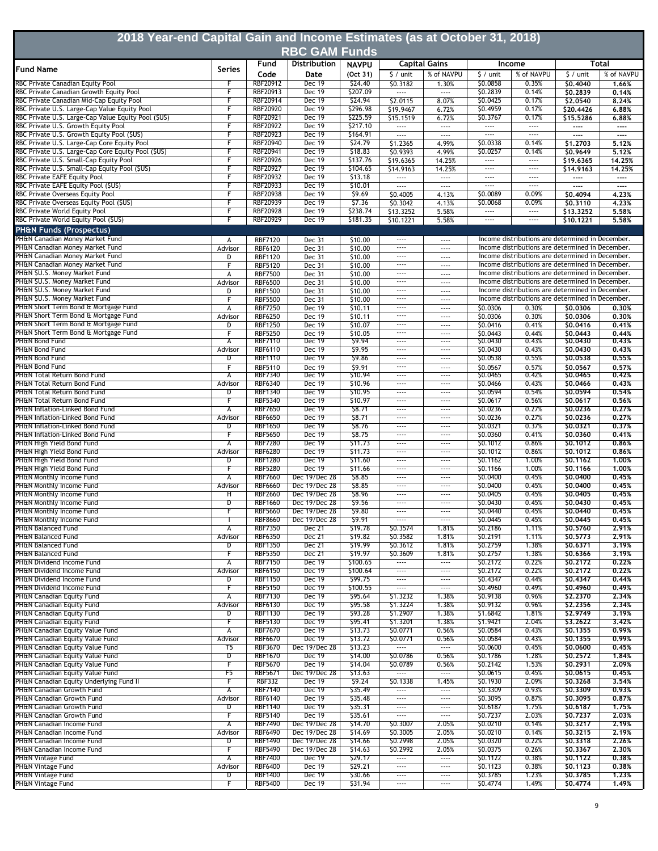| 2018 Year-end Capital Gain and Income Estimates (as at October 31, 2018)<br><b>RBC GAM Funds</b> |                                    |                                    |                                |                      |                                      |                                      |                           |                                                                                                      |                       |                      |  |
|--------------------------------------------------------------------------------------------------|------------------------------------|------------------------------------|--------------------------------|----------------------|--------------------------------------|--------------------------------------|---------------------------|------------------------------------------------------------------------------------------------------|-----------------------|----------------------|--|
|                                                                                                  | Fund<br>Distribution               |                                    |                                | <b>NAVPU</b>         |                                      | <b>Capital Gains</b>                 | Total<br>Income           |                                                                                                      |                       |                      |  |
| <b>Fund Name</b>                                                                                 | <b>Series</b>                      | Code                               | Date                           | (Oct 31)             | \$ / unit                            | % of NAVPU                           | $$/$ unit                 | % of NAVPU                                                                                           | $$/$ unit             | % of NAVPU           |  |
| RBC Private Canadian Equity Pool                                                                 | F                                  | RBF20912                           | Dec 19                         | \$24.40              | \$0.3182                             | 1.30%                                | \$0.0858                  | 0.35%                                                                                                | \$0,4040              | 1.66%                |  |
| RBC Private Canadian Growth Equity Pool<br>RBC Private Canadian Mid-Cap Equity Pool              | F<br>F                             | RBF20913<br>RBF20914               | Dec 19<br>Dec 19               | \$207.09<br>\$24.94  | $\cdots$<br>\$2.0115                 | $\cdots$<br>8.07%                    | \$0.2839<br>\$0.0425      | 0.14%<br>0.17%                                                                                       | \$0.2839<br>\$2.0540  | 0.14%<br>8.24%       |  |
| RBC Private U.S. Large-Cap Value Equity Pool                                                     | F                                  | <b>RBF20920</b>                    | Dec 19                         | \$296.98             | \$19.9467                            | 6.72%                                | \$0.4959                  | 0.17%                                                                                                | \$20,4426             | 6.88%                |  |
| RBC Private U.S. Large-Cap Value Equity Pool (\$US)                                              | F                                  | RBF20921                           | <b>Dec 19</b>                  | \$225.59             | \$15.1519                            | 6.72%                                | \$0.3767                  | 0.17%                                                                                                | \$15,5286             | 6.88%                |  |
| RBC Private U.S. Growth Equity Pool<br>RBC Private U.S. Growth Equity Pool (\$US)                | F<br>F                             | <b>RBF20922</b><br>RBF20923        | <b>Dec 19</b><br><b>Dec 19</b> | \$217.10<br>\$164.91 | $\cdots$<br>                         | $\cdots$<br>$\cdots$                 | $\cdots$<br>$\overline{}$ | $\cdots$<br>$\overline{}$                                                                            | $\cdots$<br>----      | $\cdots$<br>$\cdots$ |  |
| RBC Private U.S. Large-Cap Core Equity Pool                                                      | F                                  | <b>RBF20940</b>                    | <b>Dec 19</b>                  | \$24.79              | 51.2365                              | 4.99%                                | \$0.0338                  | 0.14%                                                                                                | \$1,2703              | 5.12%                |  |
| RBC Private U.S. Large-Cap Core Equity Pool (\$US)                                               | F                                  | <b>RBF20941</b>                    | Dec 19                         | \$18.83              | \$0.9393                             | 4.99%                                | \$0.0257                  | 0.14%                                                                                                | \$0.9649              | 5.12%                |  |
| RBC Private U.S. Small-Cap Equity Pool                                                           | F                                  | <b>RBF20926</b>                    | Dec 19                         | \$137.76             | \$19.6365                            | 14.25%                               | $\cdots$                  | $\cdots$                                                                                             | \$19.6365             | 14.25%               |  |
| RBC Private U.S. Small-Cap Equity Pool (\$US)<br>RBC Private EAFE Equity Pool                    | F<br>F                             | RBF20927<br>RBF20932               | Dec 19<br>Dec 19               | \$104.65<br>\$13.18  | \$14.9163<br>$\cdots$                | 14.25%<br>$\cdots$                   | $\cdots$<br>$\cdots$      | $\cdots$<br>$\cdots$                                                                                 | \$14.9163<br>----     | 14.25%<br>$\cdots$   |  |
| RBC Private EAFE Equity Pool (\$US)                                                              | F                                  | RBF20933                           | <b>Dec 19</b>                  | \$10.01              |                                      | $\cdots$                             | $\cdots$                  | $\cdots$                                                                                             | ----                  | $\cdots$             |  |
| RBC Private Overseas Equity Pool                                                                 | F                                  | <b>RBF20938</b>                    | <b>Dec 19</b>                  | \$9.69               | \$0.4005                             | 4.13%                                | \$0.0089                  | 0.09%                                                                                                | \$0,4094              | 4.23%                |  |
| RBC Private Overseas Equity Pool (\$US)<br>RBC Private World Equity Pool                         | F<br>F                             | <b>RBF20939</b><br><b>RBF20928</b> | <b>Dec 19</b><br><b>Dec 19</b> | \$7.36<br>\$238.74   | \$0.3042<br>\$13.3252                | 4.13%<br>5.58%                       | \$0.0068<br>              | 0.09%<br>$\cdots$                                                                                    | \$0.3110<br>\$13,3252 | 4.23%<br>5.58%       |  |
| RBC Private World Equity Pool (\$US)                                                             | F                                  | <b>RBF20929</b>                    | <b>Dec 19</b>                  | \$181.35             | \$10.1221                            | 5.58%                                | $\cdots$                  | $\cdots$                                                                                             | \$10.1221             | 5.58%                |  |
| <b>PH&amp;N Funds (Prospectus)</b>                                                               |                                    |                                    |                                |                      |                                      |                                      |                           |                                                                                                      |                       |                      |  |
| PH&N Canadian Money Market Fund                                                                  | А                                  | <b>RBF7120</b>                     | Dec 31                         | \$10.00              | $\cdots$                             | $---$                                |                           | Income distributions are determined in December.                                                     |                       |                      |  |
| PH&N Canadian Money Market Fund                                                                  | Advisor                            | <b>RBF6120</b>                     | Dec 31                         | \$10.00              | $\cdots$                             | $\cdots$                             |                           | Income distributions are determined in December.                                                     |                       |                      |  |
| PH&N Canadian Money Market Fund<br>PH&N Canadian Money Market Fund                               | D<br>F                             | <b>RBF1120</b><br><b>RBF5120</b>   | Dec 31<br>Dec 31               | \$10.00<br>\$10.00   | $\cdots$<br>$\cdots$                 | $\cdots$<br>$\cdots$                 |                           | Income distributions are determined in December.<br>Income distributions are determined in December. |                       |                      |  |
| PH&N \$U.S. Money Market Fund                                                                    | А                                  | <b>RBF7500</b>                     | Dec 31                         | \$10.00              | $\cdots$                             | $\cdots$                             |                           | Income distributions are determined in December.                                                     |                       |                      |  |
| PH&N \$U.S. Money Market Fund                                                                    | Advisor                            | <b>RBF6500</b>                     | Dec 31                         | \$10.00              | $\cdots$                             | $\cdots$                             |                           | Income distributions are determined in December.                                                     |                       |                      |  |
| PH&N \$U.S. Money Market Fund<br>PH&N \$U.S. Money Market Fund                                   | D                                  | <b>RBF1500</b>                     | Dec 31                         | \$10.00              | $\cdots$<br>$\cdots$                 | $---$                                |                           | Income distributions are determined in December.<br>Income distributions are determined in December. |                       |                      |  |
| PH&N Short Term Bond & Mortgage Fund                                                             | F<br>А                             | <b>RBF5500</b><br><b>RBF7250</b>   | Dec 31<br>Dec 19               | \$10.00<br>\$10.11   | $\cdots$                             | $\cdots$<br>$\cdots$                 | \$0.0306                  | 0.30%                                                                                                | \$0,0306              | 0.30%                |  |
| PH&N Short Term Bond & Mortgage Fund                                                             | Advisor                            | RBF6250                            | Dec 19                         | \$10.11              | $\cdots$                             | $\cdots$                             | \$0.0306                  | 0.30%                                                                                                | \$0,0306              | 0.30%                |  |
| PH&N Short Term Bond & Mortgage Fund                                                             | D                                  | <b>RBF1250</b>                     | Dec 19                         | \$10.07              | $---$                                | $\cdots$                             | \$0.0416                  | 0.41%                                                                                                | \$0,0416              | 0.41%                |  |
| PH&N Short Term Bond & Mortgage Fund<br><b>PH&amp;N Bond Fund</b>                                | F<br>А                             | <b>RBF5250</b><br><b>RBF7110</b>   | Dec 19<br>Dec 19               | \$10.05<br>59.94     | $\cdots$<br>$\cdots$                 | $\cdots$<br>$\cdots$                 | \$0.0443<br>\$0.0430      | 0.44%<br>0.43%                                                                                       | \$0.0443<br>\$0,0430  | 0.44%<br>0.43%       |  |
| <b>PH&amp;N Bond Fund</b>                                                                        | Advisor                            | <b>RBF6110</b>                     | <b>Dec 19</b>                  | \$9.95               | $---$                                | $\cdots$                             | \$0.0430                  | 0.43%                                                                                                | \$0.0430              | 0.43%                |  |
| <b>PH&amp;N Bond Fund</b>                                                                        | $\overline{D}$                     | <b>RBF1110</b>                     | <b>Dec 19</b>                  | \$9.86               | $\cdots$                             | $\cdots$                             | \$0.0538                  | 0.55%                                                                                                | \$0.0538              | 0.55%                |  |
| PH&N Bond Fund                                                                                   | F                                  | <b>RBF5110</b>                     | Dec 19                         | 59.91                | $\cdots$                             | $\cdots$                             | \$0.0567                  | 0.57%                                                                                                | \$0.0567              | 0.57%                |  |
| PH&N Total Return Bond Fund<br>PH&N Total Return Bond Fund                                       | A<br>Advisor                       | <b>RBF7340</b><br><b>RBF6340</b>   | Dec 19<br>Dec 19               | \$10.94<br>\$10.96   | $---$<br>$\cdots$                    | $\cdots$<br>$\cdots$                 | \$0.0465<br>\$0.0466      | 0.42%<br>0.43%                                                                                       | \$0,0465<br>\$0,0466  | 0.42%<br>0.43%       |  |
| PH&N Total Return Bond Fund                                                                      | D                                  | <b>RBF1340</b>                     | Dec 19                         | \$10.95              | $\cdots$                             | $\cdots$                             | \$0.0594                  | 0.54%                                                                                                | \$0.0594              | 0.54%                |  |
| PH&N Total Return Bond Fund                                                                      | F                                  | <b>RBF5340</b>                     | Dec 19                         | \$10.97              | $\cdots$                             | $\cdots$                             | \$0.0617                  | 0.56%                                                                                                | \$0.0617              | 0.56%                |  |
| PH&N Inflation-Linked Bond Fund<br>PH&N Inflation-Linked Bond Fund                               | А<br>Advisor                       | <b>RBF7650</b><br><b>RBF6650</b>   | Dec 19<br><b>Dec 19</b>        | \$8.71<br>\$8.71     | $\cdots$<br>$\cdots$                 | $\cdots$<br>$\cdots$                 | \$0.0236<br>\$0.0236      | 0.27%<br>0.27%                                                                                       | \$0.0236<br>\$0,0236  | 0.27%<br>0.27%       |  |
| PH&N Inflation-Linked Bond Fund                                                                  | D                                  | <b>RBF1650</b>                     | <b>Dec 19</b>                  | \$8.76               | $\cdots$                             | $---$                                | \$0.0321                  | 0.37%                                                                                                | \$0.0321              | 0.37%                |  |
| PH&N Inflation-Linked Bond Fund                                                                  | F                                  | <b>RBF5650</b>                     | <b>Dec 19</b>                  | \$8.75               | $\cdots$                             | $\cdots$                             | \$0.0360                  | 0.41%                                                                                                | \$0,0360              | 0.41%                |  |
| PH&N High Yield Bond Fund                                                                        | А                                  | <b>RBF7280</b>                     | <b>Dec 19</b>                  | \$11.73              | $\cdots$                             | $\cdots$                             | \$0.1012                  | 0.86%                                                                                                | \$0.1012              | 0.86%                |  |
| PH&N High Yield Bond Fund<br>PH&N High Yield Bond Fund                                           | Advisor<br>D                       | <b>RBF6280</b><br><b>RBF1280</b>   | Dec 19<br>Dec 19               | \$11.73<br>\$11.60   | $---$<br>$\cdots$                    | $---$<br>$\cdots$                    | \$0.1012<br>\$0.1162      | 0.86%<br>1.00%                                                                                       | \$0.1012<br>\$0.1162  | 0.86%<br>1,00%       |  |
| PH&N High Yield Bond Fund                                                                        | F                                  | <b>RBF5280</b>                     | Dec 19                         | \$11.66              | $\cdots$                             | $\cdots$                             | \$0.1166                  | 1.00%                                                                                                | \$0.1166              | 1.00%                |  |
| PH&N Monthly Income Fund                                                                         | А                                  | <b>RBF7660</b>                     | Dec 19/Dec 28                  | \$8.85               | $---$                                | $\cdots$                             | \$0.0400                  | 0.45%                                                                                                | \$0.0400              | 0.45%                |  |
| PH&N Monthly Income Fund<br><b>PH&amp;N Monthly Income Fund</b>                                  | Advisor<br>н                       | <b>RBF6660</b><br><b>RBF2660</b>   | Dec 19/Dec 28<br>Dec 19/Dec 28 | \$8.85<br>\$8.96     | $---$<br>$\cdots$                    | $---$<br>$\cdots$                    | \$0.0400<br>\$0.0405      | 0.45%<br>0.45%                                                                                       | \$0,0400<br>\$0,0405  | 0.45%<br>0.45%       |  |
| PH&N Monthly Income Fund                                                                         | $\overline{\mathtt{D}}$            | <b>RBF1660</b>                     | Dec 19/Dec 28                  | \$9.56               | $\overline{\phantom{a}}$             | $\cdots$                             | \$0.0430                  | 0.45%                                                                                                | \$0,0430              | 0.45%                |  |
| PH&N Monthly Income Fund                                                                         | F                                  | <b>RBF5660</b>                     | Dec 19/Dec 28                  | \$9.80               |                                      |                                      | \$0.0440                  | 0.45%                                                                                                | \$0.0440              | 0.45%                |  |
| PH&N Monthly Income Fund                                                                         | $\mathbf{I}$                       | <b>RBF8660</b>                     | Dec 19/Dec 28                  | \$9.91               | $\cdots$                             | $\cdots$                             | \$0.0445                  | 0.45%                                                                                                | \$0.0445              | 0.45%                |  |
| <b>PH&amp;N Balanced Fund</b><br><b>PH&amp;N Balanced Fund</b>                                   | А<br>Advisor                       | <b>RBF7350</b><br><b>RBF6350</b>   | Dec 21<br>Dec 21               | \$19.78<br>\$19.82   | \$0.3574<br>\$0.3582                 | 1.81%<br>1.81%                       | \$0.2186<br>\$0.2191      | 1.11%<br>1.11%                                                                                       | \$0.5760<br>\$0.5773  | 2.91%<br>2.91%       |  |
| <b>PH&amp;N Balanced Fund</b>                                                                    | D                                  | <b>RBF1350</b>                     | Dec 21                         | \$19.99              | \$0.3612                             | 1.81%                                | \$0.2759                  | 1.38%                                                                                                | \$0.6371              | 3.19%                |  |
| PH&N Balanced Fund                                                                               | F                                  | <b>RBF5350</b>                     | <b>Dec 21</b>                  | \$19.97              | \$0.3609                             | 1.81%                                | \$0.2757                  | 1.38%                                                                                                | \$0.6366              | 3.19%                |  |
| PH&N Dividend Income Fund<br>PH&N Dividend Income Fund                                           | А<br>Advisor                       | <b>RBF7150</b><br><b>RBF6150</b>   | <b>Dec 19</b><br><b>Dec 19</b> | \$100.65<br>\$100.64 | $\cdots$<br>$\cdots$                 | $\cdots$<br>$\overline{\phantom{a}}$ | \$0.2172<br>\$0.2172      | 0.22%<br>0.22%                                                                                       | \$0.2172<br>\$0.2172  | 0.22%<br>0.22%       |  |
| PH&N Dividend Income Fund                                                                        | D                                  | <b>RBF1150</b>                     | Dec 19                         | \$99.75              | $\overline{\phantom{a}}$             | $\overline{\phantom{a}}$             | \$0.4347                  | 0.44%                                                                                                | \$0.4347              | 0.44%                |  |
| PH&N Dividend Income Fund                                                                        | F                                  | <b>RBF5150</b>                     | Dec 19                         | \$100.55             | $\cdots$                             | $\cdots$                             | \$0.4960                  | 0.49%                                                                                                | \$0.4960              | 0.49%                |  |
| PH&N Canadian Equity Fund<br>PH&N Canadian Equity Fund                                           | А                                  | <b>RBF7130</b><br><b>RBF6130</b>   | Dec 19                         | \$95.64              | \$1.3232                             | 1.38%                                | \$0.9138                  | 0.96%<br>0.96%                                                                                       | \$2.2370              | 2.34%                |  |
| PH&N Canadian Equity Fund                                                                        | Advisor<br>D                       | <b>RBF1130</b>                     | Dec 19<br>Dec 19               | \$95.58<br>\$93.28   | \$1.3224<br>\$1.2907                 | 1.38%<br>1.38%                       | \$0.9132<br>\$1.6842      | 1.81%                                                                                                | \$2.2356<br>\$2.9749  | 2.34%<br>3.19%       |  |
| PH&N Canadian Equity Fund                                                                        | F                                  | <b>RBF5130</b>                     | <b>Dec 19</b>                  | \$95.41              | \$1.3201                             | 1.38%                                | \$1.9421                  | 2.04%                                                                                                | \$3,2622              | 3.42%                |  |
| PH&N Canadian Equity Value Fund                                                                  | $\overline{\mathsf{A}}$            | <b>RBF7670</b>                     | <b>Dec 19</b>                  | \$13.73              | \$0.0771                             | 0.56%                                | \$0.0584                  | 0.43%                                                                                                | \$0.1355              | 0.99%                |  |
| PH&N Canadian Equity Value Fund<br>PH&N Canadian Equity Value Fund                               | Advisor<br>T5                      | <b>RBF6670</b><br><b>RBF3670</b>   | Dec 19<br>Dec 19/Dec 28        | \$13.72<br>\$13.23   | \$0.0771<br>$\overline{\phantom{a}}$ | 0.56%<br>$\overline{\phantom{a}}$    | \$0.0584<br>\$0.0600      | 0.43%<br>0.45%                                                                                       | \$0.1355<br>\$0.0600  | 0.99%<br>0.45%       |  |
| PH&N Canadian Equity Value Fund                                                                  | D                                  | <b>RBF1670</b>                     | Dec 19                         | \$14.00              | \$0.0786                             | 0.56%                                | \$0.1786                  | 1.28%                                                                                                | \$0.2572              | 1.84%                |  |
| PH&N Canadian Equity Value Fund                                                                  | F                                  | <b>RBF5670</b>                     | Dec 19                         | \$14.04              | \$0.0789                             | 0.56%                                | \$0.2142                  | 1.53%                                                                                                | \$0.2931              | 2.09%                |  |
| PH&N Canadian Equity Value Fund                                                                  | F5                                 | <b>RBF5671</b>                     | Dec 19/Dec 28                  | \$13.63              | $\cdots$                             | $\cdots$                             | \$0.0615                  | 0.45%                                                                                                | \$0.0615              | 0.45%                |  |
| PH&N Canadian Equity Underlying Fund II<br>PH&N Canadian Growth Fund                             | F<br>А                             | <b>RBF332</b><br><b>RBF7140</b>    | Dec 19<br><b>Dec 19</b>        | \$9.24<br>\$35.49    | \$0.1338<br>$\cdots$                 | 1.45%<br>$\cdots$                    | \$0.1930<br>\$0.3309      | 2.09%<br>0.93%                                                                                       | \$0.3268<br>\$0.3309  | 3.54%<br>0.93%       |  |
| PH&N Canadian Growth Fund                                                                        | Advisor                            | <b>RBF6140</b>                     | <b>Dec 19</b>                  | \$35.48              | $\cdots$                             | $\cdots$                             | \$0.3095                  | 0.87%                                                                                                | \$0.3095              | 0.87%                |  |
| PH&N Canadian Growth Fund                                                                        | D                                  | <b>RBF1140</b>                     | <b>Dec 19</b>                  | \$35.31              | $\cdots$                             | $\cdots$                             | \$0.6187                  | 1.75%                                                                                                | \$0.6187              | 1.75%                |  |
| PH&N Canadian Growth Fund<br>PH&N Canadian Income Fund                                           | F<br>А                             | <b>RBF5140</b><br><b>RBF7490</b>   | Dec 19<br>Dec 19/Dec 28        | \$35.61<br>\$14.70   | $\overline{\phantom{a}}$<br>\$0.3007 | $\overline{\phantom{a}}$<br>2.05%    | \$0.7237<br>\$0.0210      | 2.03%<br>0.14%                                                                                       | \$0.7237<br>\$0.3217  | 2.03%<br>2.19%       |  |
| PH&N Canadian Income Fund                                                                        | Advisor                            | <b>RBF6490</b>                     | Dec 19/Dec 28                  | \$14.69              | \$0.3005                             | 2.05%                                | \$0.0210                  | 0.14%                                                                                                | \$0.3215              | 2.19%                |  |
| PH&N Canadian Income Fund                                                                        | D                                  | <b>RBF1490</b>                     | Dec 19/Dec 28                  | \$14.66              | \$0.2998                             | 2.05%                                | \$0.0320                  | 0.22%                                                                                                | \$0.3318              | 2.26%                |  |
| PH&N Canadian Income Fund                                                                        | F                                  | <b>RBF5490</b>                     | Dec 19/Dec 28                  | \$14.63              | \$0.2992                             | 2.05%                                | \$0.0375                  | 0.26%                                                                                                | \$0.3367              | 2.30%                |  |
| <b>PH&amp;N Vintage Fund</b><br><b>PH&amp;N Vintage Fund</b>                                     | $\overline{\mathsf{A}}$<br>Advisor | <b>RBF7400</b><br><b>RBF6400</b>   | <b>Dec 19</b><br><b>Dec 19</b> | \$29.17<br>\$29.21   | $\cdots$<br>$\cdots$                 | $\cdots$<br>$\overline{\phantom{a}}$ | \$0.1122<br>\$0.1123      | 0.38%<br>0.38%                                                                                       | \$0.1122<br>\$0.1123  | 0.38%<br>0.38%       |  |
| <b>PH&amp;N Vintage Fund</b>                                                                     | D                                  | <b>RBF1400</b>                     | Dec 19                         | \$30.66              | $\cdots$                             | $\cdots$                             | \$0.3785                  | 1.23%                                                                                                | \$0.3785              | 1.23%                |  |
| <b>PH&amp;N Vintage Fund</b>                                                                     | F                                  | <b>RBF5400</b>                     | Dec 19                         | \$31.94              | $\cdots$                             | $\cdots$                             | \$0.4774                  | 1.49%                                                                                                | \$0.4774              | 1.49%                |  |